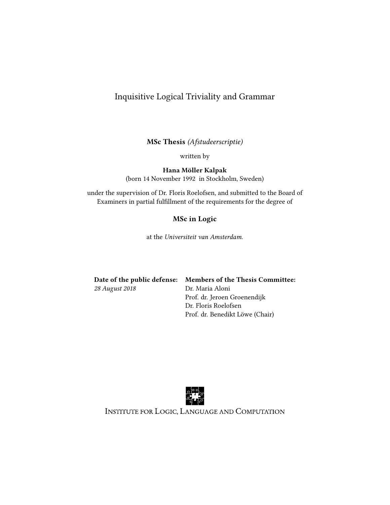## Inquisitive Logical Triviality and Grammar

MSc Thesis (Afstudeerscriptie)

written by

Hana Möller Kalpak

(born 14 November 1992 in Stockholm, Sweden)

under the supervision of Dr. Floris Roelofsen, and submitted to the Board of Examiners in partial fulllment of the requirements for the degree of

### MSc in Logic

at the Universiteit van Amsterdam.

|                | Date of the public defense: Members of the Thesis Committee: |
|----------------|--------------------------------------------------------------|
| 28 August 2018 | Dr. Maria Aloni                                              |
|                | Prof. dr. Jeroen Groenendijk                                 |
|                | Dr. Floris Roelofsen                                         |
|                | Prof. dr. Benedikt Löwe (Chair)                              |



INSTITUTE FOR LOGIC, LANGUAGE AND COMPUTATION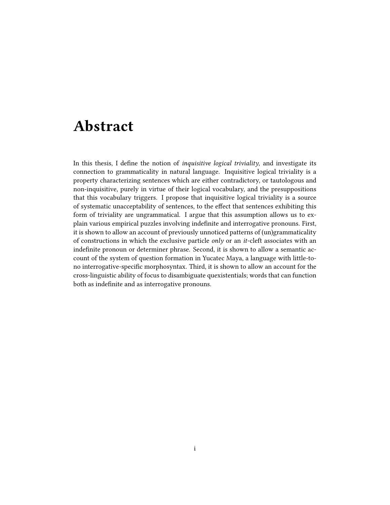## Abstract

In this thesis, I define the notion of *inquisitive logical triviality*, and investigate its connection to grammaticality in natural language. Inquisitive logical triviality is a property characterizing sentences which are either contradictory, or tautologous and non-inquisitive, purely in virtue of their logical vocabulary, and the presuppositions that this vocabulary triggers. I propose that inquisitive logical triviality is a source of systematic unacceptability of sentences, to the effect that sentences exhibiting this form of triviality are ungrammatical. I argue that this assumption allows us to explain various empirical puzzles involving indenite and interrogative pronouns. First, it is shown to allow an account of previously unnoticed patterns of (un)grammaticality of constructions in which the exclusive particle *only* or an *it*-cleft associates with an indefinite pronoun or determiner phrase. Second, it is shown to allow a semantic account of the system of question formation in Yucatec Maya, a language with little-tono interrogative-specific morphosyntax. Third, it is shown to allow an account for the cross-linguistic ability of focus to disambiguate quexistentials; words that can function both as indefinite and as interrogative pronouns.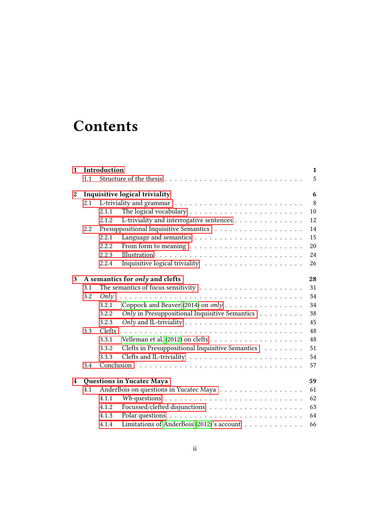# **Contents**

| $\mathbf{1}$ |     | Introduction<br>$\mathbf{1}$                                                                   |  |
|--------------|-----|------------------------------------------------------------------------------------------------|--|
|              | 1.1 | 5                                                                                              |  |
| $\mathbf{2}$ |     | Inquisitive logical triviality<br>6                                                            |  |
|              | 2.1 | 8                                                                                              |  |
|              |     | 10<br>2.1.1                                                                                    |  |
|              |     | L-triviality and interrogative sentences<br>12<br>2.1.2                                        |  |
|              | 2.2 | 14                                                                                             |  |
|              |     | 15<br>2.2.1                                                                                    |  |
|              |     | 2.2.2.<br>From form to meaning $\ldots \ldots \ldots \ldots \ldots \ldots \ldots \ldots$<br>20 |  |
|              |     | Illustration<br>2.2.3<br>24                                                                    |  |
|              |     | 2.2.4<br>26                                                                                    |  |
| 3            |     | A semantics for only and clefts<br>28                                                          |  |
|              | 3.1 | 31                                                                                             |  |
|              | 3.2 | Only<br>34                                                                                     |  |
|              |     | Coppock and Beaver (2014) on only<br>3.2.1<br>34                                               |  |
|              |     | Only in Presuppositional Inquisitive Semantics<br>38<br>3.2.2                                  |  |
|              |     | 45<br>3.2.3                                                                                    |  |
|              | 3.3 | 48                                                                                             |  |
|              |     | 3.3.1<br>48                                                                                    |  |
|              |     | Clefts in Presuppositional Inquisitive Semantics<br>51<br>3.3.2                                |  |
|              |     | 54<br>3.3.3                                                                                    |  |
|              | 3.4 | Conclusion<br>57                                                                               |  |
| 4            |     | 59<br>Questions in Yucatec Maya                                                                |  |
|              | 4.1 | AnderBois on questions in Yucatec Maya<br>61                                                   |  |
|              |     | 62<br>4.1.1                                                                                    |  |
|              |     | 63<br>4.1.2                                                                                    |  |
|              |     | 64<br>4.1.3                                                                                    |  |
|              |     | Limitations of AnderBois (2012)'s account<br>66<br>4.1.4                                       |  |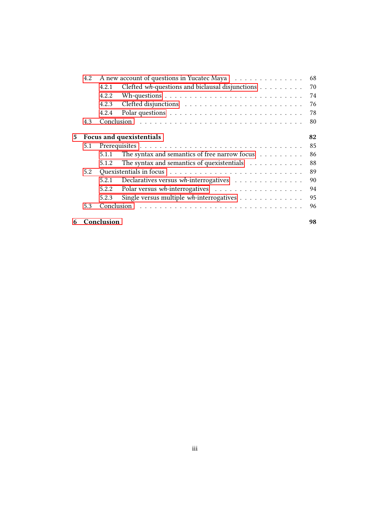|     | 4.2 |            | A new account of questions in Yucatec Maya                                | 68 |
|-----|-----|------------|---------------------------------------------------------------------------|----|
|     |     | 4.2.1      | Clefted wh-questions and biclausal disjunctions                           | 70 |
|     |     | 4.2.2      |                                                                           | 74 |
|     |     | 4.2.3      |                                                                           | 76 |
|     |     | 4.2.4      |                                                                           | 78 |
|     | 4.3 | Conclusion |                                                                           | 80 |
| 5   |     |            | Focus and quexistentials                                                  | 82 |
|     | 5.1 |            |                                                                           | 85 |
|     |     | 5.1.1      | The syntax and semantics of free narrow focus                             | 86 |
|     |     | 5.1.2      | The syntax and semantics of quexistentials $\ldots \ldots \ldots$         | 88 |
| 5.2 |     |            | 89                                                                        |    |
|     |     | 5.2.1      | Declaratives versus wh-interrogatives                                     | 90 |
|     |     | 5.2.2      |                                                                           | 94 |
|     |     | 5.2.3      | Single versus multiple $wh$ -interrogatives $\ldots \ldots \ldots \ldots$ | 95 |
|     | 5.3 | Conclusion |                                                                           | 96 |
| 6   |     | Conclusion |                                                                           | 98 |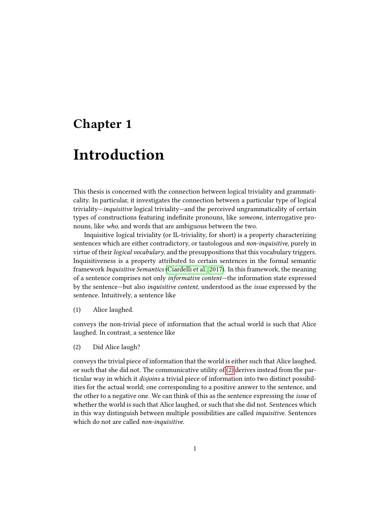## <span id="page-4-0"></span>Chapter 1

# Introduction

This thesis is concerned with the connection between logical triviality and grammaticality. In particular, it investigates the connection between a particular type of logical triviality—inquisitive logical triviality—and the perceived ungrammaticality of certain types of constructions featuring indefinite pronouns, like someone, interrogative pronouns, like who, and words that are ambiguous between the two.

Inquisitive logical triviality (or IL-triviality, for short) is a property characterizing sentences which are either contradictory, or tautologous and non-inquisitive, purely in virtue of their logical vocabulary, and the presuppositions that this vocabulary triggers. Inquisitiveness is a property attributed to certain sentences in the formal semantic framework Inquisitive Semantics [\(Ciardelli et al., 2017\)](#page-104-1). In this framework, the meaning of a sentence comprises not only informative content—the information state expressed by the sentence—but also inquisitive content, understood as the issue expressed by the sentence. Intuitively, a sentence like

(1) Alice laughed.

conveys the non-trivial piece of information that the actual world is such that Alice laughed. In contrast, a sentence like

<span id="page-4-1"></span>(2) Did Alice laugh?

conveys the trivial piece of information that the world is either such that Alice laughed, or such that she did not. The communicative utility of [\(2\)](#page-4-1) derives instead from the particular way in which it disjoins a trivial piece of information into two distinct possibilities for the actual world; one corresponding to a positive answer to the sentence, and the other to a negative one. We can think of this as the sentence expressing the issue of whether the world is such that Alice laughed, or such that she did not. Sentences which in this way distinguish between multiple possibilities are called inquisitive. Sentences which do not are called non-inquisitive.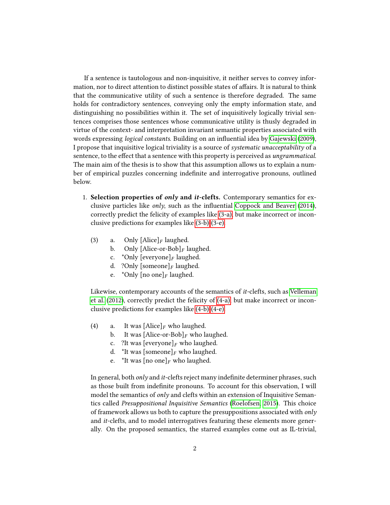If a sentence is tautologous and non-inquisitive, it neither serves to convey information, nor to direct attention to distinct possible states of affairs. It is natural to think that the communicative utility of such a sentence is therefore degraded. The same holds for contradictory sentences, conveying only the empty information state, and distinguishing no possibilities within it. The set of inquisitively logically trivial sentences comprises those sentences whose communicative utility is thusly degraded in virtue of the context- and interpretation invariant semantic properties associated with words expressing *logical constants*. Building on an influential idea by [Gajewski](#page-104-2) [\(2009\)](#page-104-2), I propose that inquisitive logical triviality is a source of systematic unacceptability of a sentence, to the effect that a sentence with this property is perceived as *ungrammatical*. The main aim of the thesis is to show that this assumption allows us to explain a number of empirical puzzles concerning indenite and interrogative pronouns, outlined below.

- <span id="page-5-0"></span>1. Selection properties of only and *it*-clefts. Contemporary semantics for exclusive particles like  $\omega n/v$ , such as the influential [Coppock and Beaver](#page-104-0) [\(2014\)](#page-104-0), correctly predict the felicity of examples like [\(3-a\),](#page-5-0) but make incorrect or inconclusive predictions for examples like [\(3-b\)-](#page-5-1)[\(3-e\).](#page-5-2)
	- (3) a. Only  $[\text{Alice}]_F$  laughed.<br>b. Only  $[\text{Alice-or-Bob}]_F$  la
		- Only [Alice-or-Bob] $_F$  laughed.
		- c. \*Only  $[everyone]_F$  laughed.
		- d. ?Only [someone] $_F$  laughed.
		- e. \*Only [no one] $_F$  laughed.

<span id="page-5-2"></span><span id="page-5-1"></span>Likewise, contemporary accounts of the semantics of it-clefts, such as [Velleman](#page-107-0) [et al.](#page-107-0) [\(2012\)](#page-107-0), correctly predict the felicity of [\(4-a\),](#page-5-3) but make incorrect or inconclusive predictions for examples like [\(4-b\)-](#page-5-4)[\(4-e\).](#page-5-5)

- <span id="page-5-4"></span><span id="page-5-3"></span>(4) a. It was  $[\text{Alice}]_F$  who laughed.<br>b. It was  $[\text{Alice-or-Bob}]_F$  who la
	- It was [Alice-or-Bob]<sub>F</sub> who laughed.
	- c. ?It was  $[everyone]_F$  who laughed.
	- d. \*It was [someone] $_F$  who laughed.
	- e. \*It was [no one]<sub>F</sub> who laughed.

<span id="page-5-5"></span>In general, both *only* and *it*-clefts reject many indefinite determiner phrases, such as those built from indefinite pronouns. To account for this observation, I will model the semantics of *only* and clefts within an extension of Inquisitive Semantics called Presuppositional Inquisitive Semantics [\(Roelofsen, 2015\)](#page-106-0). This choice of framework allows us both to capture the presuppositions associated with  $only$ and it-clefts, and to model interrogatives featuring these elements more generally. On the proposed semantics, the starred examples come out as IL-trivial,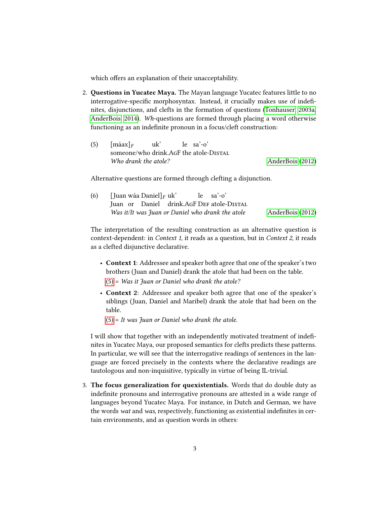which offers an explanation of their unacceptability.

- 2. Questions in Yucatec Maya. The Mayan language Yucatec features little to no interrogative-specific morphosyntax. Instead, it crucially makes use of indefinites, disjunctions, and clefts in the formation of questions [\(Tonhauser, 2003a;](#page-107-1) [AnderBois, 2014\)](#page-103-1). Wh-questions are formed through placing a word otherwise functioning as an indefinite pronoun in a focus/cleft construction:
	- (5)  $[\text{m\'aax}]_F$ someone/who drink.AgF the atole-Distal uk' le sa'-o' Who drank the atole? [AnderBois](#page-103-0) [\(2012\)](#page-103-0)

Alternative questions are formed through clefting a disjunction.

(6) [Juan wáa Daniel] $_F$  uk' Juan or Daniel drink.AgF D $_{\rm EF}$  atole-Distal le sa'-o' Was it/It was Juan or Daniel who drank the atole [AnderBois](#page-103-0) [\(2012\)](#page-103-0)

The interpretation of the resulting construction as an alternative question is context-dependent: in Context 1, it reads as a question, but in Context 2, it reads as a clefted disjunctive declarative.

- Context 1: Addressee and speaker both agree that one of the speaker's two brothers (Juan and Daniel) drank the atole that had been on the table.  $(5)$  = Was it Juan or Daniel who drank the atole?
- Context 2: Addressee and speaker both agree that one of the speaker's siblings (Juan, Daniel and Maribel) drank the atole that had been on the table.
	- $(5)$  = It was Juan or Daniel who drank the atole.

I will show that together with an independently motivated treatment of indefinites in Yucatec Maya, our proposed semantics for clefts predicts these patterns. In particular, we will see that the interrogative readings of sentences in the language are forced precisely in the contexts where the declarative readings are tautologous and non-inquisitive, typically in virtue of being IL-trivial.

3. The focus generalization for quexistentials. Words that do double duty as indefinite pronouns and interrogative pronouns are attested in a wide range of languages beyond Yucatec Maya. For instance, in Dutch and German, we have the words wat and was, respectively, functioning as existential indefinites in certain environments, and as question words in others: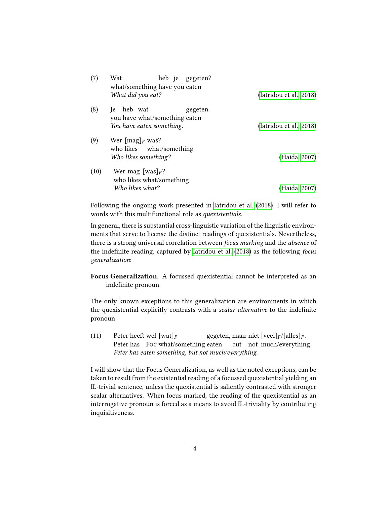| (7)  | Wat<br>heb je gegeten?<br>what/something have you eaten<br>What did you eat?             | (Iatridou et al., 2018) |
|------|------------------------------------------------------------------------------------------|-------------------------|
| (8)  | heb wat<br>-le<br>gegeten.<br>you have what/something eaten<br>You have eaten something. | (Iatridou et al., 2018) |
| (9)  | Wer $[\text{mag}]_F$ was?<br>who likes what/something<br>Who likes something?            | (Haida, 2007)           |
| (10) | Wer mag [was] <sub>F</sub> ?<br>who likes what/something<br>Who likes what?              | (Haida, 2007)           |

Following the ongoing work presented in [Iatridou et al.](#page-105-0) [\(2018\)](#page-105-0), I will refer to words with this multifunctional role as quexistentials.

In general, there is substantial cross-linguistic variation of the linguistic environments that serve to license the distinct readings of quexistentials. Nevertheless, there is a strong universal correlation between focus marking and the absence of the indefinite reading, captured by [Iatridou et al.](#page-105-0) [\(2018\)](#page-105-0) as the following focus generalization:

Focus Generalization. A focussed quexistential cannot be interpreted as an indefinite pronoun.

The only known exceptions to this generalization are environments in which the quexistential explicitly contrasts with a scalar alternative to the indefinite pronoun:

(11) Peter heeft wel  $[\text{wat}]_F$ <br>Peter has Foo what Peter has Foc what/something eaten gegeten, maar niet [veel] $_F$ /[alles] $_F$ . but not much/everything Peter has eaten something, but not much/everything.

I will show that the Focus Generalization, as well as the noted exceptions, can be taken to result from the existential reading of a focussed quexistential yielding an IL-trivial sentence, unless the quexistential is saliently contrasted with stronger scalar alternatives. When focus marked, the reading of the quexistential as an interrogative pronoun is forced as a means to avoid IL-triviality by contributing inquisitiveness.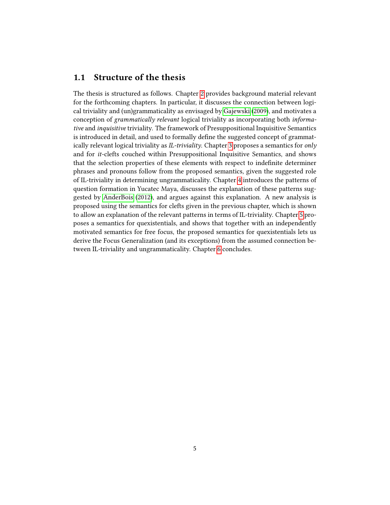### <span id="page-8-0"></span>1.1 Structure of the thesis

The thesis is structured as follows. Chapter [2](#page-9-0) provides background material relevant for the forthcoming chapters. In particular, it discusses the connection between logical triviality and (un)grammaticality as envisaged by [Gajewski](#page-104-2) [\(2009\)](#page-104-2), and motivates a conception of grammatically relevant logical triviality as incorporating both informative and inquisitive triviality. The framework of Presuppositional Inquisitive Semantics is introduced in detail, and used to formally define the suggested concept of grammatically relevant logical triviality as  $IL$ -triviality. Chapter [3](#page-31-0) proposes a semantics for only and for it-clefts couched within Presuppositional Inquisitive Semantics, and shows that the selection properties of these elements with respect to indenite determiner phrases and pronouns follow from the proposed semantics, given the suggested role of IL-triviality in determining ungrammaticality. Chapter [4](#page-62-0) introduces the patterns of question formation in Yucatec Maya, discusses the explanation of these patterns suggested by [AnderBois](#page-103-0) [\(2012\)](#page-103-0), and argues against this explanation. A new analysis is proposed using the semantics for clefts given in the previous chapter, which is shown to allow an explanation of the relevant patterns in terms of IL-triviality. Chapter [5](#page-85-0) proposes a semantics for quexistentials, and shows that together with an independently motivated semantics for free focus, the proposed semantics for quexistentials lets us derive the Focus Generalization (and its exceptions) from the assumed connection between IL-triviality and ungrammaticality. Chapter [6](#page-101-0) concludes.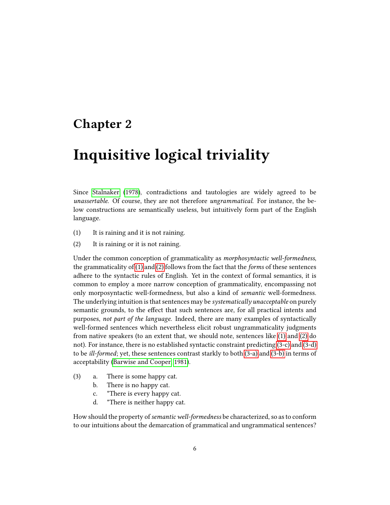## <span id="page-9-0"></span>Chapter 2

# Inquisitive logical triviality

Since [Stalnaker](#page-107-2) [\(1978\)](#page-107-2), contradictions and tautologies are widely agreed to be unassertable. Of course, they are not therefore ungrammatical. For instance, the below constructions are semantically useless, but intuitively form part of the English language.

- <span id="page-9-2"></span><span id="page-9-1"></span>(1) It is raining and it is not raining.
- (2) It is raining or it is not raining.

Under the common conception of grammaticality as morphosyntactic well-formedness, the grammaticality of [\(1\)](#page-9-1) and [\(2\)](#page-9-2) follows from the fact that the forms of these sentences adhere to the syntactic rules of English. Yet in the context of formal semantics, it is common to employ a more narrow conception of grammaticality, encompassing not only morposyntactic well-formedness, but also a kind of semantic well-formedness. The underlying intuition is that sentences may be systematically unacceptable on purely semantic grounds, to the effect that such sentences are, for all practical intents and purposes, not part of the language. Indeed, there are many examples of syntactically well-formed sentences which nevertheless elicit robust ungrammaticality judgments from native speakers (to an extent that, we should note, sentences like [\(1\)](#page-9-1) and [\(2\)](#page-9-2) do not). For instance, there is no established syntactic constraint predicting [\(3-c\)](#page-9-3) and [\(3-d\)](#page-9-4) to be ill-formed; yet, these sentences contrast starkly to both [\(3-a\)](#page-9-5) and [\(3-b\)](#page-9-6) in terms of acceptability [\(Barwise and Cooper, 1981\)](#page-103-2).

- <span id="page-9-6"></span><span id="page-9-5"></span><span id="page-9-3"></span>(3) a. There is some happy cat.
	- b. There is no happy cat.
	- c. \*There is every happy cat.
	- d. \*There is neither happy cat.

<span id="page-9-4"></span>How should the property of semantic well-formedness be characterized, so as to conform to our intuitions about the demarcation of grammatical and ungrammatical sentences?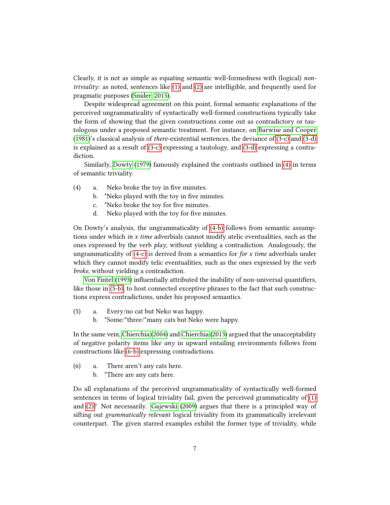Clearly, it is not as simple as equating semantic well-formedness with (logical) nontriviality: as noted, sentences like [\(1\)](#page-9-1) and [\(2\)](#page-9-2) are intelligible, and frequently used for pragmatic purposes [\(Snider, 2015\)](#page-107-3).

Despite widespread agreement on this point, formal semantic explanations of the perceived ungrammaticality of syntactically well-formed constructions typically take the form of showing that the given constructions come out as contradictory or tautologous under a proposed semantic treatment. For instance, on [Barwise and Cooper](#page-103-2) [\(1981\)](#page-103-2)'s classical analysis of there-existential sentences, the deviance of [\(3-c\)](#page-9-3) and [\(3-d\)](#page-9-4) is explained as a result of [\(3-c\)](#page-9-3) expressing a tautology, and [\(3-d\)](#page-9-4) expressing a contradiction.

Similarly, [Dowty](#page-104-3) [\(1979\)](#page-104-3) famously explained the contrasts outlined in [\(4\)](#page-10-0) in terms of semantic triviality.

- <span id="page-10-2"></span><span id="page-10-1"></span><span id="page-10-0"></span> $(4)$  a. Neko broke the toy in five minutes.
	- b. \*Neko played with the toy in five minutes.
	- c. \*Neko broke the toy for five minutes.
	- d. Neko played with the toy for five minutes.

On Dowty's analysis, the ungrammaticality of [\(4-b\)](#page-10-1) follows from semantic assumptions under which in  $x$  time adverbials cannot modify atelic eventualities, such as the ones expressed by the verb play, without yielding a contradiction. Analogously, the ungrammaticality of  $(4-c)$  is derived from a semantics for *for x time* adverbials under which they cannot modify telic eventualities, such as the ones expressed by the verb broke, without yielding a contradiction.

[Von Fintel](#page-107-4) [\(1993\)](#page-107-4) influentially attributed the inability of non-universal quantifiers, like those in [\(5-b\),](#page-10-3) to host connected exceptive phrases to the fact that such constructions express contradictions, under his proposed semantics.

- <span id="page-10-3"></span>(5) a. Every/no cat but Neko was happy.
	- b. \*Some/\*three/\*many cats but Neko were happy.

In the same vein, [Chierchia](#page-103-3) [\(2004\)](#page-103-3) and [Chierchia](#page-104-4) [\(2013\)](#page-104-4) argued that the unacceptability of negative polarity items like any in upward entailing environments follows from constructions like [\(6-b\)](#page-10-4) expressing contradictions.

- <span id="page-10-5"></span><span id="page-10-4"></span>(6) a. There aren't any cats here.
	- b. \*There are any cats here.

Do all explanations of the perceived ungrammaticality of syntactically well-formed sentences in terms of logical triviality fail, given the perceived grammaticality of [\(1\)](#page-9-1) and [\(2\)?](#page-9-2) Not necessarily. [Gajewski](#page-104-2) [\(2009\)](#page-104-2) argues that there is a principled way of sifting out *grammatically relevant* logical triviality from its grammatically irrelevant counterpart. The given starred examples exhibit the former type of triviality, while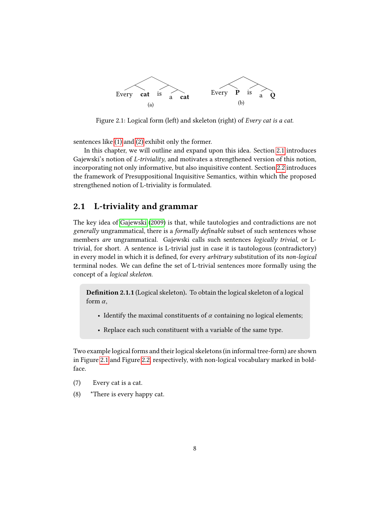

<span id="page-11-1"></span>Figure 2.1: Logical form (left) and skeleton (right) of Every cat is a cat.

sentences like [\(1\)](#page-9-1) and [\(2\)](#page-9-2) exhibit only the former.

In this chapter, we will outline and expand upon this idea. Section [2.1](#page-11-0) introduces Gajewski's notion of *L*-triviality, and motivates a strengthened version of this notion, incorporating not only informative, but also inquisitive content. Section [2.2](#page-17-0) introduces the framework of Presuppositional Inquisitive Semantics, within which the proposed strengthened notion of L-triviality is formulated.

## <span id="page-11-0"></span>2.1 L-triviality and grammar

The key idea of [Gajewski](#page-104-2) [\(2009\)](#page-104-2) is that, while tautologies and contradictions are not generally ungrammatical, there is a formally definable subset of such sentences whose members are ungrammatical. Gajewski calls such sentences logically trivial, or Ltrivial, for short. A sentence is L-trivial just in case it is tautologous (contradictory) in every model in which it is defined, for every *arbitrary* substitution of its *non-logical* terminal nodes. We can define the set of L-trivial sentences more formally using the concept of a logical skeleton.

Definition 2.1.1 (Logical skeleton). To obtain the logical skeleton of a logical form  $\alpha$ ,

- Identify the maximal constituents of  $\alpha$  containing no logical elements;
- Replace each such constituent with a variable of the same type.

Two example logical forms and their logical skeletons (in informal tree-form) are shown in Figure [2.1](#page-11-1) and Figure [2.2,](#page-12-0) respectively, with non-logical vocabulary marked in boldface.

- <span id="page-11-3"></span><span id="page-11-2"></span>(7) Every cat is a cat.
- (8) \*There is every happy cat.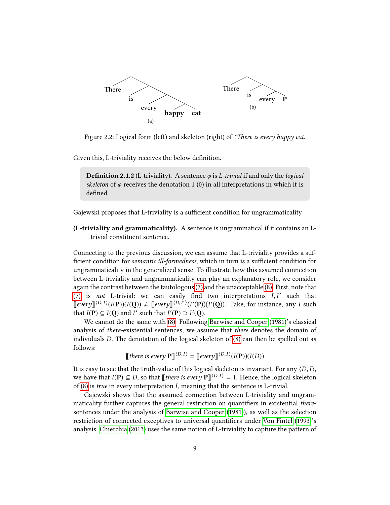

<span id="page-12-0"></span>Figure 2.2: Logical form (left) and skeleton (right) of \*There is every happy cat.

Given this, L-triviality receives the below definition.

**Definition 2.1.2** (L-triviality). A sentence  $\varphi$  is *L-trivial* if and only the *logical* skeleton of  $\varphi$  receives the denotation 1 (0) in all interpretations in which it is defined.

Gajewski proposes that L-triviality is a sufficient condition for ungrammaticality:

(L-triviality and grammaticality). A sentence is ungrammatical if it contains an Ltrivial constituent sentence.

Connecting to the previous discussion, we can assume that L-triviality provides a suf ficient condition for semantic ill-formedness, which in turn is a sufficient condition for ungrammaticality in the generalized sense. To illustrate how this assumed connection between L-triviality and ungrammaticality can play an explanatory role, we consider again the contrast between the tautologous [\(7\)](#page-11-2) and the unacceptable [\(8\).](#page-11-3) First, note that [\(7\)](#page-11-2) is not L-trivial: we can easily find two interpretations  $I, I'$  such that  $\mathbb{E}_{\text{current}}(D,I)/(I(\mathbf{O})) \neq \mathbb{E}_{\text{current}}(D,I')/(I'(\mathbf{O}))/I'(\mathbf{O}))$ . Take for instance any L such  $\llbracket \text{every} \rrbracket^{(D,I)}(I(\mathbf{P}))(I(\mathbf{Q})) \neq \llbracket \text{every} \rrbracket^{(D,I')}(I'(\mathbf{P}))(I'(\mathbf{Q}))$ . Take, for instance, any I such that  $I(\mathbf{P}) \subseteq I(\mathbf{Q})$  and I' such that  $I'(\mathbf{P}) \supset I'(\mathbf{Q})$ .

We cannot do the same with [\(8\).](#page-11-3) Following [Barwise and Cooper](#page-103-2) [\(1981\)](#page-103-2)'s classical analysis of there-existential sentences, we assume that there denotes the domain of individuals D. The denotation of the logical skeleton of [\(8\)](#page-11-3) can then be spelled out as follows:

[there is every 
$$
P
$$
] <sup>$\langle D,I \rangle$</sup>  = [every] <sup>$\langle D,I \rangle$</sup> ( $I(P)$ )( $I(D)$ )

It is easy to see that the truth-value of this logical skeleton is invariant. For any  $\langle D, I \rangle$ , we have that  $I(\mathbf{P}) \subseteq D$ , so that  $\llbracket$  there is every  $\mathbf{P} \rrbracket^{\langle D,I \rangle} = 1$ . Hence, the logical skeleton of [\(8\)](#page-11-3) is true in every interpretation I, meaning that the sentence is L-trivial.

Gajewski shows that the assumed connection between L-triviality and ungrammaticality further captures the general restriction on quantifiers in existential theresentences under the analysis of [Barwise and Cooper](#page-103-2) [\(1981\)](#page-103-2)), as well as the selection restriction of connected exceptives to universal quantifiers under [Von Fintel](#page-107-4) [\(1993\)](#page-107-4)'s analysis. [Chierchia](#page-104-4) [\(2013\)](#page-104-4) uses the same notion of L-triviality to capture the pattern of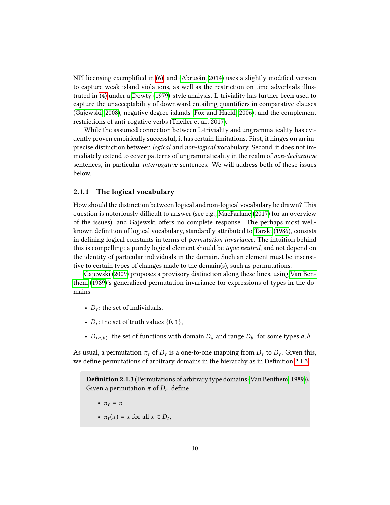NPI licensing exemplied in [\(6\),](#page-10-5) and [\(Abrusán, 2014\)](#page-103-4) uses a slightly modied version to capture weak island violations, as well as the restriction on time adverbials illustrated in [\(4\)](#page-10-0) under a [Dowty](#page-104-3) [\(1979\)](#page-104-3)-style analysis. L-triviality has further been used to capture the unacceptability of downward entailing quantifiers in comparative clauses [\(Gajewski, 2008\)](#page-104-5), negative degree islands [\(Fox and Hackl, 2006\)](#page-104-6), and the complement restrictions of anti-rogative verbs [\(Theiler et al., 2017\)](#page-107-5).

While the assumed connection between L-triviality and ungrammaticality has evidently proven empirically successful, it has certain limitations. First, it hinges on an imprecise distinction between logical and non-logical vocabulary. Second, it does not immediately extend to cover patterns of ungrammaticality in the realm of non-declarative sentences, in particular interrogative sentences. We will address both of these issues below.

#### <span id="page-13-0"></span>2.1.1 The logical vocabulary

How should the distinction between logical and non-logical vocabulary be drawn? This question is notoriously difficult to answer (see e.g., [MacFarlane](#page-106-1)  $(2017)$  for an overview of the issues), and Gajewski offers no complete response. The perhaps most well-known definition of logical vocabulary, standardly attributed to [Tarski](#page-107-6) [\(1986\)](#page-107-6), consists in defining logical constants in terms of *permutation invariance*. The intuition behind this is compelling: a purely logical element should be topic neutral, and not depend on the identity of particular individuals in the domain. Such an element must be insensitive to certain types of changes made to the domain(s), such as permutations.

[Gajewski](#page-104-2) [\(2009\)](#page-104-2) proposes a provisory distinction along these lines, using [Van Ben](#page-107-7)[them](#page-107-7) [\(1989\)](#page-107-7)'s generalized permutation invariance for expressions of types in the domains

- $D_e$ : the set of individuals,
- $D_t$ : the set of truth values  $\{0, 1\}$ ,
- $D_{\langle a,b \rangle}$ : the set of functions with domain  $D_a$  and range  $D_b$ , for some types  $a,b$ .

As usual, a permutation  $\pi_e$  of  $D_e$  is a one-to-one mapping from  $D_e$  to  $D_e$ . Given this, we define permutations of arbitrary domains in the hierarchy as in Definition [2.1.3.](#page-13-1)

<span id="page-13-1"></span>Definition 2.1.3 (Permutations of arbitrary type domains [\(Van Benthem, 1989\)](#page-107-7)). Given a permutation  $\pi$  of  $D_e$ , define

- $\pi_e = \pi$
- $\pi_t(x) = x$  for all  $x \in D_t$ ,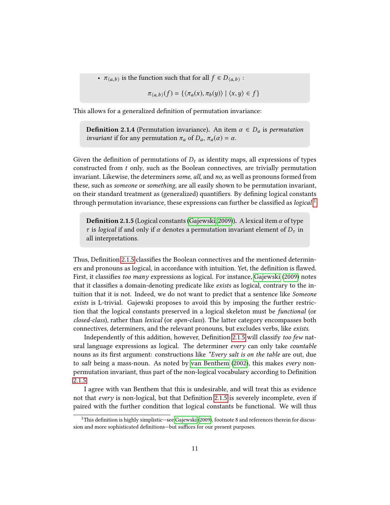•  $\pi_{\langle a,b\rangle}$  is the function such that for all  $f \in D_{\langle a,b\rangle}$ :

$$
\pi_{\langle a,b\rangle}(f) = \{\langle \pi_a(x), \pi_b(y) \rangle \mid \langle x, y \rangle \in f\}
$$

This allows for a generalized definition of permutation invariance:

**Definition 2.1.4** (Permutation invariance). An item  $\alpha \in D_a$  is permutation *invariant* if for any permutation  $\pi_a$  of  $D_a$ ,  $\pi_a(\alpha) = \alpha$ .

Given the definition of permutations of  $D_t$  as identity maps, all expressions of types constructed from t only, such as the Boolean connectives, are trivially permutation invariant. Likewise, the determiners some, all, and no, as well as pronouns formed from these, such as someone or something, are all easily shown to be permutation invariant, on their standard treatment as (generalized) quantifiers. By defining logical constants through permutation invariance, these expressions can further be classified as  $logical:$ 

<span id="page-14-1"></span>**Definition 2.1.5** (Logical constants [\(Gajewski, 2009\)](#page-104-2)). A lexical item  $\alpha$  of type τ is logical if and only if α denotes a permutation invariant element of  $D_τ$  in all interpretations.

Thus, Definition [2.1.5](#page-14-1) classifies the Boolean connectives and the mentioned determiners and pronouns as logical, in accordance with intuition. Yet, the definition is flawed. First, it classifies too many expressions as logical. For instance, [Gajewski](#page-104-2) [\(2009\)](#page-104-2) notes that it classifies a domain-denoting predicate like *exists* as logical, contrary to the intuition that it is not. Indeed, we do not want to predict that a sentence like Someone exists is L-trivial. Gajewski proposes to avoid this by imposing the further restriction that the logical constants preserved in a logical skeleton must be functional (or closed-class), rather than lexical (or open-class). The latter category encompasses both connectives, determiners, and the relevant pronouns, but excludes verbs, like exists.

Independently of this addition, however, Definition [2.1.5](#page-14-1) will classify too few natural language expressions as logical. The determiner every can only take countable nouns as its first argument: constructions like \*Every salt is on the table are out, due to salt being a mass-noun. As noted by [van Benthem](#page-107-8) [\(2002\)](#page-107-8), this makes every nonpermutation invariant, thus part of the non-logical vocabulary according to Definition [2.1.5.](#page-14-1)

I agree with van Benthem that this is undesirable, and will treat this as evidence not that every is non-logical, but that Definition [2.1.5](#page-14-1) is severely incomplete, even if paired with the further condition that logical constants be functional. We will thus

<span id="page-14-0"></span> $1$ This definition is highly simplistic—see [Gajewski](#page-104-2) [\(2009\)](#page-104-2), footnote 8 and references therein for discussion and more sophisticated definitions—but suffices for our present purposes.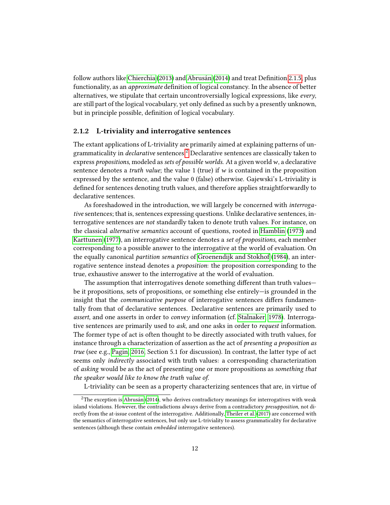follow authors like [Chierchia](#page-104-4)  $(2013)$  and [Abrusán](#page-103-4)  $(2014)$  and treat Definition [2.1.5,](#page-14-1) plus functionality, as an *approximate* definition of logical constancy. In the absence of better alternatives, we stipulate that certain uncontroversially logical expressions, like every, are still part of the logical vocabulary, yet only defined as such by a presently unknown, but in principle possible, definition of logical vocabulary.

#### <span id="page-15-0"></span>2.1.2 L-triviality and interrogative sentences

The extant applications of L-triviality are primarily aimed at explaining patterns of ungrammaticality in declarative sentences.[2](#page-15-1) Declarative sentences are classically taken to express propositions, modeled as sets of possible worlds. At a given world w, a declarative sentence denotes a *truth value*; the value 1 (true) if w is contained in the proposition expressed by the sentence, and the value 0 (false) otherwise. Gajewski's L-triviality is defined for sentences denoting truth values, and therefore applies straightforwardly to declarative sentences.

As foreshadowed in the introduction, we will largely be concerned with interrogative sentences; that is, sentences expressing questions. Unlike declarative sentences, interrogative sentences are not standardly taken to denote truth values. For instance, on the classical alternative semantics account of questions, rooted in [Hamblin](#page-105-2) [\(1973\)](#page-105-2) and [Karttunen](#page-105-3) [\(1977\)](#page-105-3), an interrogative sentence denotes a set of propositions, each member corresponding to a possible answer to the interrogative at the world of evaluation. On the equally canonical partition semantics of [Groenendijk and Stokhof](#page-105-4) [\(1984\)](#page-105-4), an interrogative sentence instead denotes a proposition: the proposition corresponding to the true, exhaustive answer to the interrogative at the world of evaluation.

The assumption that interrogatives denote something different than truth values be it propositions, sets of propositions, or something else entirely—is grounded in the insight that the *communicative purpose* of interrogative sentences differs fundamentally from that of declarative sentences. Declarative sentences are primarily used to assert, and one asserts in order to convey information (cf. [Stalnaker, 1978\)](#page-107-2). Interrogative sentences are primarily used to ask, and one asks in order to request information. The former type of act is often thought to be directly associated with truth values, for instance through a characterization of assertion as the act of presenting a proposition as true (see e.g., [Pagin, 2016,](#page-106-2) Section 5.1 for discussion). In contrast, the latter type of act seems only indirectly associated with truth values: a corresponding characterization of asking would be as the act of presenting one or more propositions as something that the speaker would like to know the truth value of.

<span id="page-15-1"></span>L-triviality can be seen as a property characterizing sentences that are, in virtue of

 $2$ The exception is [Abrusán](#page-103-4) [\(2014\)](#page-103-4), who derives contradictory meanings for interrogatives with weak island violations. However, the contradictions always derive from a contradictory presupposition, not directly from the at-issue content of the interrogative. Additionally, [Theiler et al.](#page-107-5) [\(2017\)](#page-107-5) are concerned with the semantics of interrogative sentences, but only use L-triviality to assess grammaticality for declarative sentences (although these contain embedded interrogative sentences).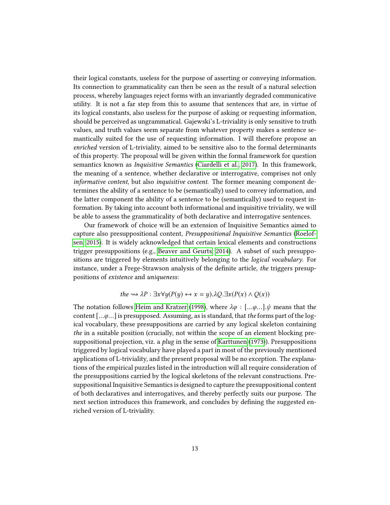their logical constants, useless for the purpose of asserting or conveying information. Its connection to grammaticality can then be seen as the result of a natural selection process, whereby languages reject forms with an invariantly degraded communicative utility. It is not a far step from this to assume that sentences that are, in virtue of its logical constants, also useless for the purpose of asking or requesting information, should be perceived as ungrammatical. Gajewski's L-triviality is only sensitive to truth values, and truth values seem separate from whatever property makes a sentence semantically suited for the use of requesting information. I will therefore propose an enriched version of L-triviality, aimed to be sensitive also to the formal determinants of this property. The proposal will be given within the formal framework for question semantics known as Inquisitive Semantics [\(Ciardelli et al., 2017\)](#page-104-1). In this framework, the meaning of a sentence, whether declarative or interrogative, comprises not only informative content, but also inquisitive content. The former meaning component determines the ability of a sentence to be (semantically) used to convey information, and the latter component the ability of a sentence to be (semantically) used to request information. By taking into account both informational and inquisitive triviality, we will be able to assess the grammaticality of both declarative and interrogative sentences.

Our framework of choice will be an extension of Inquisitive Semantics aimed to capture also presuppositional content, Presuppositional Inquisitive Semantics [\(Roelof](#page-106-0)[sen, 2015\)](#page-106-0). It is widely acknowledged that certain lexical elements and constructions trigger presuppositions (e.g., [Beaver and Geurts, 2014\)](#page-103-5). A subset of such presuppositions are triggered by elements intuitively belonging to the logical vocabulary. For instance, under a Frege-Strawson analysis of the definite article, the triggers presuppositions of existence and uniqueness:

$$
the \rightsquigarrow \lambda P: \exists x \forall y (P(y) \leftrightarrow x = y). \lambda Q. \exists x (P(x) \land Q(x))
$$

The notation follows [Heim and Kratzer](#page-105-5) [\(1998\)](#page-105-5), where  $\lambda \varphi : [... \varphi ...] \psi$  means that the content  $[... \varphi...]$  is presupposed. Assuming, as is standard, that the forms part of the logical vocabulary, these presuppositions are carried by any logical skeleton containing the in a suitable position (crucially, not within the scope of an element blocking presuppositional projection, viz. a *plug* in the sense of [Karttunen](#page-105-6) [\(1973\)](#page-105-6)). Presuppositions triggered by logical vocabulary have played a part in most of the previously mentioned applications of L-triviality, and the present proposal will be no exception. The explanations of the empirical puzzles listed in the introduction will all require consideration of the presuppositions carried by the logical skeletons of the relevant constructions. Presuppositional Inquisitive Semantics is designed to capture the presuppositional content of both declaratives and interrogatives, and thereby perfectly suits our purpose. The next section introduces this framework, and concludes by defining the suggested enriched version of L-triviality.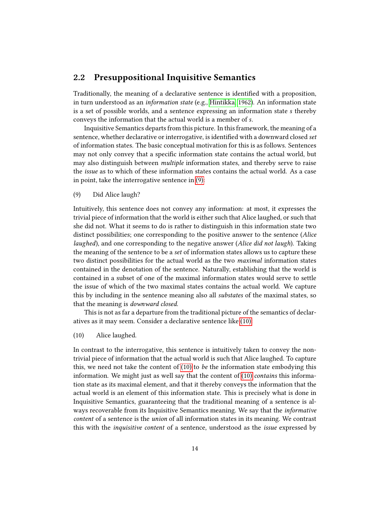### <span id="page-17-0"></span>2.2 Presuppositional Inquisitive Semantics

Traditionally, the meaning of a declarative sentence is identified with a proposition, in turn understood as an information state (e.g., [Hintikka, 1962\)](#page-105-7). An information state is a set of possible worlds, and a sentence expressing an information state s thereby conveys the information that the actual world is a member of s.

Inquisitive Semantics departs from this picture. In this framework, the meaning of a sentence, whether declarative or interrogative, is identified with a downward closed set of information states. The basic conceptual motivation for this is as follows. Sentences may not only convey that a specific information state contains the actual world, but may also distinguish between multiple information states, and thereby serve to raise the issue as to which of these information states contains the actual world. As a case in point, take the interrogative sentence in [\(9\):](#page-17-1)

<span id="page-17-1"></span>(9) Did Alice laugh?

Intuitively, this sentence does not convey any information: at most, it expresses the trivial piece of information that the world is either such that Alice laughed, or such that she did not. What it seems to do is rather to distinguish in this information state two distinct possibilities; one corresponding to the positive answer to the sentence (Alice laughed), and one corresponding to the negative answer (Alice did not laugh). Taking the meaning of the sentence to be a set of information states allows us to capture these two distinct possibilities for the actual world as the two maximal information states contained in the denotation of the sentence. Naturally, establishing that the world is contained in a subset of one of the maximal information states would serve to settle the issue of which of the two maximal states contains the actual world. We capture this by including in the sentence meaning also all substates of the maximal states, so that the meaning is downward closed.

This is not as far a departure from the traditional picture of the semantics of declaratives as it may seem. Consider a declarative sentence like [\(10\):](#page-17-2)

<span id="page-17-2"></span>(10) Alice laughed.

In contrast to the interrogative, this sentence is intuitively taken to convey the nontrivial piece of information that the actual world is such that Alice laughed. To capture this, we need not take the content of  $(10)$  to be the information state embodying this information. We might just as well say that the content of  $(10)$  contains this information state as its maximal element, and that it thereby conveys the information that the actual world is an element of this information state. This is precisely what is done in Inquisitive Semantics, guaranteeing that the traditional meaning of a sentence is always recoverable from its Inquisitive Semantics meaning. We say that the informative content of a sentence is the union of all information states in its meaning. We contrast this with the inquisitive content of a sentence, understood as the issue expressed by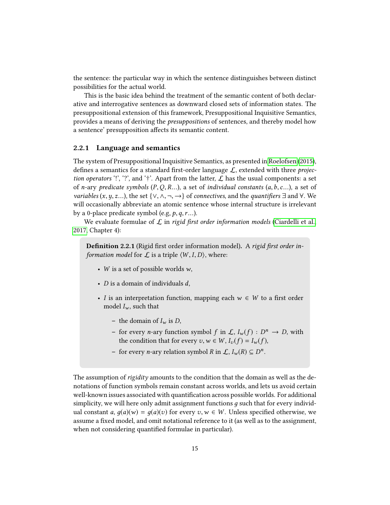the sentence: the particular way in which the sentence distinguishes between distinct possibilities for the actual world.

This is the basic idea behind the treatment of the semantic content of both declarative and interrogative sentences as downward closed sets of information states. The presuppositional extension of this framework, Presuppositional Inquisitive Semantics, provides a means of deriving the presuppositions of sentences, and thereby model how a sentence' presupposition affects its semantic content.

#### <span id="page-18-0"></span>2.2.1 Language and semantics

The system of Presuppositional Inquisitive Semantics, as presented in [Roelofsen](#page-106-0) [\(2015\)](#page-106-0), defines a semantics for a standard first-order language  $\mathcal{L}$ , extended with three *projec*tion operators '!', '?', and '†'. Apart from the latter,  $\mathcal L$  has the usual components: a set of n-ary predicate symbols  $(P, Q, R...)$ , a set of individual constants  $(a, b, c...)$ , a set of *variables*  $(x, y, z...)$ , the set  $\{\vee, \wedge, \neg, \rightarrow\}$  of *connectives*, and the *quantifiers*  $\exists$  and  $\forall$ . We will occasionally abbreviate an atomic sentence whose internal structure is irrelevant by a 0-place predicate symbol (e.g,  $p, q, r...$ ).

We evaluate formulae of  $\mathcal L$  in rigid first order information models [\(Ciardelli et al.,](#page-104-1) [2017,](#page-104-1) Chapter 4):

Definition 2.2.1 (Rigid first order information model). A rigid first order information model for  $\mathcal L$  is a triple  $\langle W, I, D \rangle$ , where:

- W is a set of possible worlds  $w$ ,
- $D$  is a domain of individuals  $d$ ,
- I is an interpretation function, mapping each  $w \in W$  to a first order model  $I_w$ , such that
	- the domain of  $I_w$  is D,
	- for every *n*-ary function symbol  $f$  in  $\mathcal{L}$ ,  $I_w(f) : D^n \to D$ , with the condition that for guarantee  $x \in W, I_n(f) = I_n(f)$ the condition that for every  $v, w \in W$ ,  $I_v(f) = I_w(f)$ ,
	- − for every *n*-ary relation symbol *R* in  $\mathcal{L}$ ,  $I_w(R) \subseteq D^n$ .

The assumption of rigidity amounts to the condition that the domain as well as the denotations of function symbols remain constant across worlds, and lets us avoid certain well-known issues associated with quantification across possible worlds. For additional simplicity, we will here only admit assignment functions  $q$  such that for every individual constant a,  $q(a)(w) = q(a)(v)$  for every  $v, w \in W$ . Unless specified otherwise, we assume a fixed model, and omit notational reference to it (as well as to the assignment, when not considering quantified formulae in particular).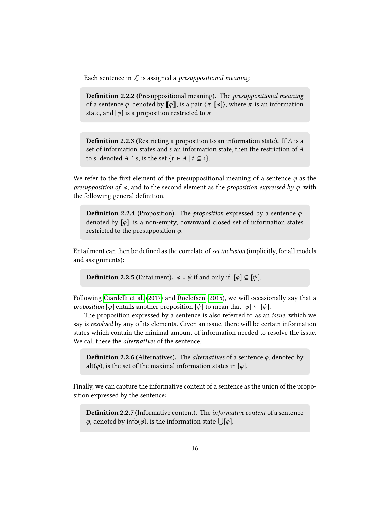Each sentence in  $\mathcal L$  is assigned a *presuppositional meaning*:

**Definition 2.2.2** (Presuppositional meaning). The *presuppositional meaning* of a sentence  $\varphi$ , denoted by  $\llbracket \varphi \rrbracket$ , is a pair  $\langle \pi, [\varphi] \rangle$ , where  $\pi$  is an information state, and  $\lceil \varphi \rceil$  is a proposition restricted to  $\pi$ .

**Definition 2.2.3** (Restricting a proposition to an information state). If  $A$  is a set of information states and s an information state, then the restriction of A to s, denoted  $A \restriction s$ , is the set  $\{t \in A \mid t \subseteq s\}.$ 

We refer to the first element of the presuppositional meaning of a sentence  $\varphi$  as the *presupposition of*  $\varphi$ , and to the second element as the *proposition expressed by*  $\varphi$ , with the following general definition.

**Definition 2.2.4** (Proposition). The *proposition* expressed by a sentence  $\varphi$ , denoted by  $[\varphi]$ , is a non-empty, downward closed set of information states restricted to the presupposition  $\varphi$ .

Entailment can then be defined as the correlate of set inclusion (implicitly, for all models and assignments):

**Definition 2.2.5** (Entailment).  $\varphi \models \psi$  if and only if  $[\varphi] \subseteq [\psi]$ .

Following [Ciardelli et al.](#page-104-1) [\(2017\)](#page-104-1) and [Roelofsen](#page-106-0) [\(2015\)](#page-106-0), we will occasionally say that a *proposition*  $[\varphi]$  entails another proposition  $[\psi]$  to mean that  $[\varphi] \subseteq [\psi]$ .

The proposition expressed by a sentence is also referred to as an issue, which we say is resolved by any of its elements. Given an issue, there will be certain information states which contain the minimal amount of information needed to resolve the issue. We call these the alternatives of the sentence.

**Definition 2.2.6** (Alternatives). The *alternatives* of a sentence  $\varphi$ , denoted by alt( $\varphi$ ), is the set of the maximal information states in [ $\varphi$ ].

Finally, we can capture the informative content of a sentence as the union of the proposition expressed by the sentence:

Definition 2.2.7 (Informative content). The informative content of a sentence  $\varphi$ , denoted by info( $\varphi$ ), is the information state  $\bigcup [\varphi]$ .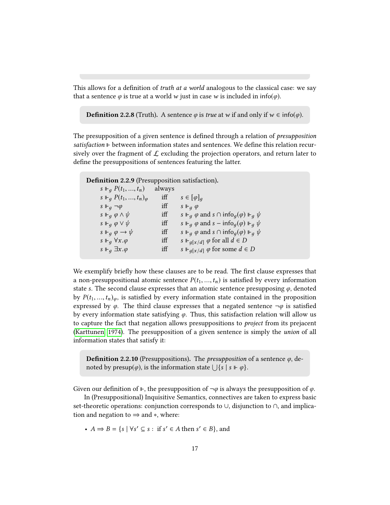This allows for a definition of *truth at a world* analogous to the classical case: we say that a sentence  $\varphi$  is true at a world w just in case w is included in info( $\varphi$ ).

**Definition 2.2.8** (Truth). A sentence  $\varphi$  is *true* at w if and only if  $w \in \text{info}(\varphi)$ .

The presupposition of a given sentence is defined through a relation of *presupposition*  $satisfactor  $\vDash$  between information states and sentences. We define this relation recur$ sively over the fragment of  $\mathcal L$  excluding the projection operators, and return later to define the presuppositions of sentences featuring the latter.

<span id="page-20-0"></span>Definition 2.2.9 (Presupposition satisfaction).

| $s \Vdash_q P(t_1, , t_n)$           | always |                                                                          |
|--------------------------------------|--------|--------------------------------------------------------------------------|
| $s \Vdash_q P(t_1, , t_n)_{\varphi}$ | iff    | $s \in [\varphi]_q$                                                      |
| $s \Vdash_q \neg \varphi$            | iff    | $s \Vdash_q \varphi$                                                     |
| $s \Vdash_q \varphi \wedge \psi$     | iff    | $s \Vdash_q \varphi$ and $s \cap \mathsf{info}_q(\varphi) \Vdash_q \psi$ |
| $s \Vdash_q \varphi \vee \psi$       | iff    | $s \Vdash_q \varphi$ and $s - \text{info}_q(\varphi) \Vdash_q \psi$      |
| $s \Vdash_q \varphi \to \psi$        | iff    | $s \Vdash_q \varphi$ and $s \cap \text{info}_q(\varphi) \Vdash_q \psi$   |
| $s \Vdash_q \forall x.\varphi$       | iff    | s $\Vdash_{q[x/d]} \varphi$ for all $d \in D$                            |
| $s \Vdash_q \exists x.\varphi$       | iff    | s $\Vdash_{q[x/d]} \varphi$ for some $d \in D$                           |
|                                      |        |                                                                          |

We exemplify briefly how these clauses are to be read. The first clause expresses that a non-presuppositional atomic sentence  $P(t_1, ..., t_n)$  is satisfied by every information state s. The second clause expresses that an atomic sentence presupposing  $\varphi$ , denoted by  $P(t_1, ..., t_n)_{\varphi}$ , is satisfied by every information state contained in the proposition expressed by  $\varphi$ . The third clause expresses that a negated sentence  $\neg \varphi$  is satisfied by every information state satisfying  $\varphi$ . Thus, this satisfaction relation will allow us to capture the fact that negation allows presuppositions to project from its prejacent [\(Karttunen, 1974\)](#page-105-8). The presupposition of a given sentence is simply the union of all information states that satisfy it:

<span id="page-20-1"></span>**Definition 2.2.10** (Presuppositions). The *presupposition* of a sentence  $\varphi$ , denoted by presup $(\varphi)$ , is the information state  $\bigcup \{ s \mid s \Vdash \varphi \}.$ 

Given our definition of  $\mathbb{F}$ , the presupposition of  $\neg \varphi$  is always the presupposition of  $\varphi$ .

In (Presuppositional) Inquisitive Semantics, connectives are taken to express basic set-theoretic operations: conjunction corresponds to ∪, disjunction to ∩, and implication and negation to  $\Rightarrow$  and  $*$ , where:

•  $A \Rightarrow B = \{s \mid \forall s' \subseteq s : \text{ if } s' \in A \text{ then } s' \in B\}$ , and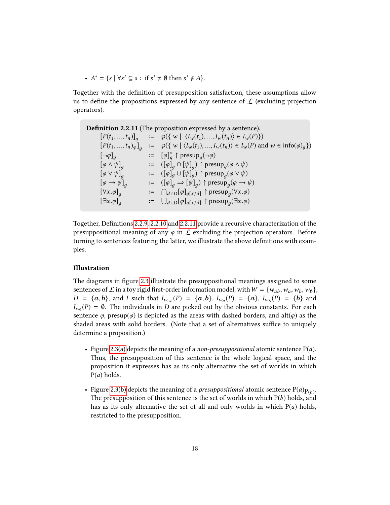•  $A^* = \{s \mid \forall s' \subseteq s : \text{ if } s' \neq \emptyset \text{ then } s' \notin A\}.$ 

Together with the definition of presupposition satisfaction, these assumptions allow us to define the propositions expressed by any sentence of  $\mathcal L$  (excluding projection operators).

<span id="page-21-0"></span>

| <b>Definition 2.2.11</b> (The proposition expressed by a sentence). |  |                                                                                                                                                  |
|---------------------------------------------------------------------|--|--------------------------------------------------------------------------------------------------------------------------------------------------|
| $[P(t_1, , t_n)]_q$                                                 |  | $\mathcal{L} = \wp(\{ w \mid \langle I_w(t_1), , I_w(t_n) \rangle \in I_w(P) \})$                                                                |
|                                                                     |  | $[P(t_1, , t_n)_{\varphi}]_q := \varphi(\{ w \mid \langle I_w(t_1), , I_w(t_n) \rangle \in I_w(P) \text{ and } w \in \text{info}(\varphi)_q \})$ |
| $[\neg \varphi]_q$                                                  |  | $\mathsf{p} := [\varphi]_q^* \restriction \mathsf{presup}_q(\neg \varphi)$                                                                       |
| $[\varphi \wedge \psi]_q$                                           |  | $\mathcal{L} = \left( [\varphi]_q \cap [\psi]_q \right) \upharpoonright \text{presup}_q(\varphi \wedge \psi)$                                    |
| $[\varphi \vee \psi]_q$                                             |  | $\mathcal{L} = (\llbracket \varphi \rrbracket_g \cup \llbracket \psi \rrbracket_g) \upharpoonright \text{presup}_q(\varphi \vee \psi)$           |
| $[\varphi \rightarrow \psi]_q$                                      |  | $\phi := (\phi]_q \Rightarrow [\psi]_q) \upharpoonright \text{presup}_q(\varphi \rightarrow \psi)$                                               |
| $[\forall x.\varphi]_q$                                             |  | $\mathcal{L} = \bigcap_{d \in D} [\varphi]_{g[x/d]}$ $\upharpoonright$ presup <sub>a</sub> ( $\forall x . \varphi$ )                             |
| $[\exists x.\varphi]_q$                                             |  | $\mathcal{L} = \bigcup_{d \in D} [\varphi]_{g[x/d]} \restriction \text{presup}_q(\exists x. \varphi)$                                            |
|                                                                     |  |                                                                                                                                                  |

Together, Definitions [2.2.9,](#page-20-0) [2.2.10](#page-20-1) and [2.2.11](#page-21-0) provide a recursive characterization of the presuppositional meaning of any  $\varphi$  in  $\mathcal L$  excluding the projection operators. Before turning to sentences featuring the latter, we illustrate the above definitions with examples.

#### Illustration

The diagrams in figure [2.3](#page-22-0) illustrate the presuppositional meanings assigned to some sentences of  $\mathcal L$  in a toy rigid first-order information model, with  $W = \{w_{ab}, w_a, w_b, w_{\emptyset}\},$  $D = \{a, b\}$ , and I such that  $I_{w_{ab}}(P) = \{a, b\}$ ,  $I_{w_a}(P) = \{a\}$ ,  $I_{w_b}(P) = \{b\}$  and  $I_{w_b}(P) = \emptyset$ . The individuals in D are picked out by the obvious constants. For each  $I_{w_0}(P) = \emptyset$ . The individuals in D are picked out by the obvious constants. For each expression  $P$  are property of the surface of the surface of  $P$ sentence  $\varphi$ , presup $(\varphi)$  is depicted as the areas with dashed borders, and alt $(\varphi)$  as the shaded areas with solid borders. (Note that a set of alternatives suffice to uniquely determine a proposition.)

- Figure [2.3\(a\)](#page-22-1) depicts the meaning of a *non-presuppositional* atomic sentence  $P(a)$ . Thus, the presupposition of this sentence is the whole logical space, and the proposition it expresses has as its only alternative the set of worlds in which  $P(a)$  holds.
- Figure [2.3\(b\)](#page-22-2) depicts the meaning of a *presuppositional* atomic sentence  $P(a)p_{(b)}$ .<br>The presupposition of this sentence is the set of worlds in which  $P(b)$  holds, and The presupposition of this sentence is the set of worlds in which  $P(b)$  holds, and has as its only alternative the set of all and only worlds in which  $P(a)$  holds, restricted to the presupposition.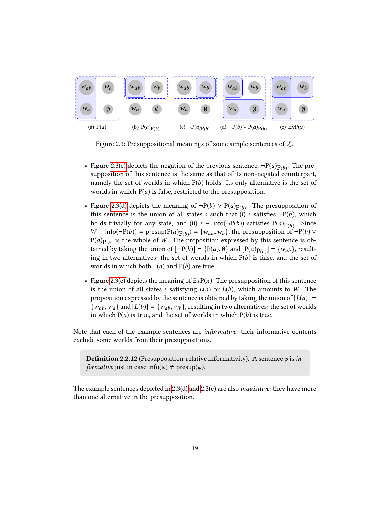<span id="page-22-1"></span>

<span id="page-22-5"></span><span id="page-22-4"></span><span id="page-22-3"></span><span id="page-22-2"></span><span id="page-22-0"></span>Figure 2.3: Presuppositional meanings of some simple sentences of  $\mathcal{L}$ .

- Figure [2.3\(c\)](#page-22-3) depicts the negation of the previous sentence,  $\neg P(a)p_{(b)}$ . The pre-<br>supposition of this sentence is the same as that of its non-negated counterpart supposition of this sentence is the same as that of its non-negated counterpart, namely the set of worlds in which  $P(b)$  holds. Its only alternative is the set of worlds in which  $P(a)$  is false, restricted to the presupposition.
- Figure [2.3\(d\)](#page-22-4) depicts the meaning of  $\neg P(b) \vee P(a)p_{(b)}$ . The presupposition of this sentence is the union of all states s such that (i) s satisfies  $\neg P(b)$  which this sentence is the union of all states s such that (i) s satisfies  $\neg P(b)$ , which holds trivially for any state, and (ii)  $s - \inf(\neg P(b))$  satisfies  $P(a)p_{(b)}$ . Since  $W - \inf(\neg P(b)) - \max(P(a)p_{(b)}) - \lim_{s \to b} \lim_{s \to b} \lim_{s \to b} \lim_{s \to b} \inf(\neg P(b))$  $W - info(\neg P(b)) = presup(P(a)p(b)) = \{w_{ab}, w_b\}$ , the presupposition of  $\neg P(b) \vee$ <br> $P(a)$  is the whole of W. The proposition expressed by this septence is ob- $P(a)P(b)$  is the whole of W. The proposition expressed by this sentence is obtained by taking the union of  $[-P(b)] - [P(a) \&$  and  $[P(a) \& ] - [w]$ . I result tained by taking the union of  $[\neg P(b)] = \{P(a), \emptyset\}$  and  $[P(a)p_{(b)}] = \{w_{ab}\}$ , result-<br>ing in two alternatives: the set of worlds in which  $P(b)$  is false, and the set of ing in two alternatives: the set of worlds in which  $P(b)$  is false, and the set of worlds in which both  $P(a)$  and  $P(b)$  are true.
- Figure [2.3\(e\)](#page-22-5) depicts the meaning of  $\exists x P(x)$ . The presupposition of this sentence is the union of all states s satisfying  $L(a)$  or  $L(b)$ , which amounts to W. The proposition expressed by the sentence is obtained by taking the union of  $[L(a)] =$  $\{w_{ab}, w_a\}$  and  $[L(b)] = \{w_{ab}, w_b\}$ , resulting in two alternatives: the set of worlds in which  $P(a)$  is true, and the set of worlds in which  $P(b)$  is true.

Note that each of the example sentences are informative: their informative contents exclude some worlds from their presuppositions.

<span id="page-22-6"></span>**Definition 2.2.12** (Presupposition-relative informativity). A sentence  $\varphi$  is in*formative* just in case info( $\varphi$ )  $\neq$  presup( $\varphi$ ).

The example sentences depicted in [2.3\(d\)](#page-22-4) and [2.3\(e\)](#page-22-5) are also inquisitive: they have more than one alternative in the presupposition.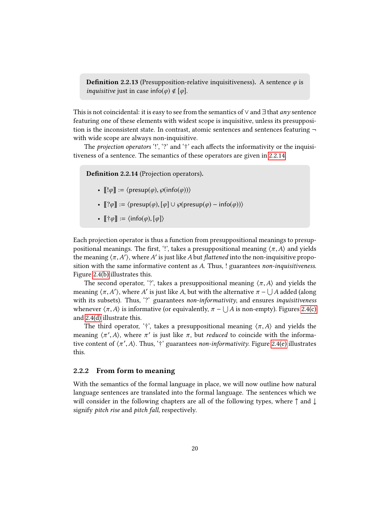<span id="page-23-2"></span>**Definition 2.2.13** (Presupposition-relative inquisitiveness). A sentence  $\varphi$  is *inquisitive* just in case info( $\varphi$ )  $\notin$  [ $\varphi$ ].

This is not coincidental: it is easy to see from the semantics of  $\vee$  and  $\exists$  that *any* sentence featuring one of these elements with widest scope is inquisitive, unless its presupposition is the inconsistent state. In contrast, atomic sentences and sentences featuring  $\neg$ with wide scope are always non-inquisitive.

The *projection operators* '!', '?' and ' $\dagger$ ' each affects the informativity or the inquisitiveness of a sentence. The semantics of these operators are given in [2.2.14.](#page-23-1)

<span id="page-23-1"></span>Definition 2.2.14 (Projection operators).

- $\llbracket |\varphi \| \coloneqq \langle \text{presup}(\varphi), \varphi(\text{info}(\varphi)) \rangle$
- $\lbrack \lbrack ?\varphi \rbrack \rbrack := \langle \text{presup}(\varphi), [\varphi] \cup \varphi(\text{presup}(\varphi) \text{info}(\varphi)) \rangle$
- $\[\,\dagger \varphi\] := \langle \text{info}(\varphi), [\varphi] \rangle\]$

Each projection operator is thus a function from presuppositional meanings to presuppositional meanings. The first, '!', takes a presuppositional meaning  $\langle \pi, A \rangle$  and yields the meaning  $\langle \pi, A' \rangle$ , where A' is just like A but *flattened* into the non-inquisitive propo-<br>sition with the same informative content as A. Thus, Louarantees non-inquisitiveness sition with the same informative content as A. Thus, ! guarantees non-inquisitiveness. Figure [2.4\(b\)](#page-24-0) illustrates this.

The second operator, '?', takes a presuppositional meaning  $\langle \pi, A \rangle$  and yields the meaning  $\langle \pi, A' \rangle$ , where A' is just like A, but with the alternative  $\pi - \bigcup A$  added (along<br>with its subsets). Thus '?' guarantees non-informativity and ensures inquisitiveness with its subsets). Thus, '?' guarantees non-informativity, and ensures inquisitiveness whenever  $\langle \pi, A \rangle$  is informative (or equivalently,  $\pi - \bigcup A$  is non-empty). Figures [2.4\(c\)](#page-24-1) and [2.4\(d\)](#page-24-2) illustrate this.

The third operator, '†', takes a presuppositional meaning  $\langle \pi, A \rangle$  and yields the meaning  $\langle \pi', A \rangle$ , where  $\pi'$  is just like  $\pi$ , but *reduced* to coincide with the informa-<br>tive content of  $\langle \pi', A \rangle$ . Thus  $f(x)$  guarantees non-informativity. Figure 2.4(a) illustrates tive content of  $\langle \pi', A \rangle$ . Thus, '†' guarantees *non-informativity*. Figure [2.4\(e\)](#page-24-3) illustrates this this.

#### <span id="page-23-0"></span>2.2.2 From form to meaning

With the semantics of the formal language in place, we will now outline how natural language sentences are translated into the formal language. The sentences which we will consider in the following chapters are all of the following types, where ↑ and ↓ signify pitch rise and pitch fall, respectively.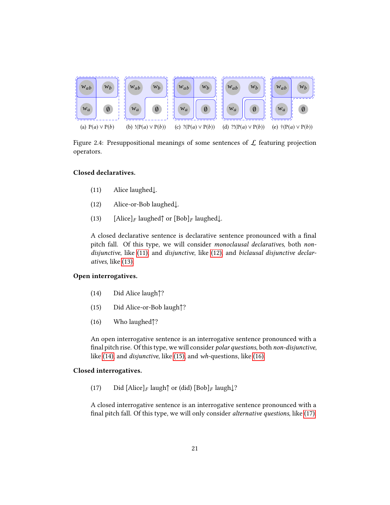

<span id="page-24-2"></span><span id="page-24-1"></span><span id="page-24-0"></span>Figure 2.4: Presuppositional meanings of some sentences of  $\mathcal L$  featuring projection operators.

#### <span id="page-24-4"></span>Closed declaratives.

- <span id="page-24-5"></span><span id="page-24-3"></span>(11) Alice laughed↓.
- <span id="page-24-6"></span>(12) Alice-or-Bob laughed↓.
- (13) [Alice]<sub>F</sub> laughed $\uparrow$  or [Bob]<sub>F</sub> laughed $\downarrow$ .

A closed declarative sentence is declarative sentence pronounced with a final pitch fall. Of this type, we will consider monoclausal declaratives, both nondisjunctive, like [\(11\),](#page-24-4) and disjunctive, like [\(12\),](#page-24-5) and biclausal disjunctive declaratives, like [\(13\).](#page-24-6)

#### <span id="page-24-7"></span>Open interrogatives.

- <span id="page-24-8"></span>(14) Did Alice laugh↑?
- <span id="page-24-9"></span>(15) Did Alice-or-Bob laugh↑?
- (16) Who laughed↑?

An open interrogative sentence is an interrogative sentence pronounced with a final pitch rise. Of this type, we will consider polar questions, both non-disjunctive, like [\(14\),](#page-24-7) and disjunctive, like [\(15\),](#page-24-8) and wh-questions, like [\(16\).](#page-24-9)

#### <span id="page-24-10"></span>Closed interrogatives.

(17) Did  $[\text{Alice}]_F$  laugh $\uparrow$  or (did)  $[\text{Bob}]_F$  laugh $\downarrow$ ?

A closed interrogative sentence is an interrogative sentence pronounced with a final pitch fall. Of this type, we will only consider *alternative questions*, like [\(17\).](#page-24-10)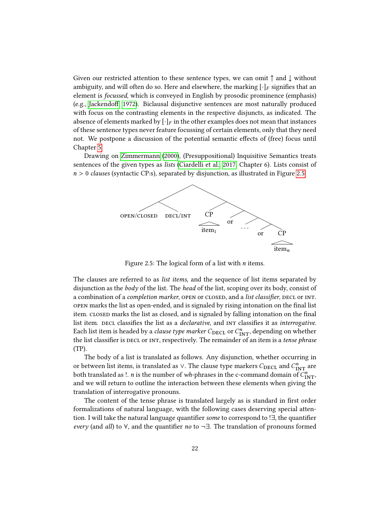Given our restricted attention to these sentence types, we can omit  $\uparrow$  and  $\downarrow$  without ambiguity, and will often do so. Here and elsewhere, the marking  $[\cdot]_F$  signifies that an element is focussed, which is conveyed in English by prosodic prominence (emphasis) (e.g., Jackendoff, 1972). Biclausal disjunctive sentences are most naturally produced with focus on the contrasting elements in the respective disjuncts, as indicated. The absence of elements marked by  $[\cdot]_F$  in the other examples does not mean that instances of these sentence types never feature focussing of certain elements, only that they need not. We postpone a discussion of the potential semantic effects of (free) focus until Chapter [5.](#page-85-0)

Drawing on [Zimmermann](#page-107-9) [\(2000\)](#page-107-9), (Presuppositional) Inquisitive Semantics treats sentences of the given types as lists [\(Ciardelli et al., 2017,](#page-104-1) Chapter 6). Lists consist of  $n > 0$  clauses (syntactic CP:s), separated by disjunction, as illustrated in Figure [2.5.](#page-25-0)



<span id="page-25-0"></span>Figure 2.5: The logical form of a list with  $n$  items.

The clauses are referred to as list items, and the sequence of list items separated by disjunction as the body of the list. The head of the list, scoping over its body, consist of a combination of a *completion marker*, open or closed, and a *list classifier*, decl or INT. open marks the list as open-ended, and is signaled by rising intonation on the final list item. closed marks the list as closed, and is signaled by falling intonation on the final list item. DECL classifies the list as a *declarative*, and INT classifies it as *interrogative*. Each list item is headed by a *clause type marker*  $C_{\rm DECL}$  or  $C^n_{\rm INT}$ , depending on whether the list classifier is DECL or INT, respectively. The remainder of an item is a tense phrase (TP).

The body of a list is translated as follows. Any disjunction, whether occurring in or between list items, is translated as ∨. The clause type markers  $C_{\rm DECL}$  and  $C^n_{\rm INT}$  are both translated as !. *n* is the number of *wh*-phrases in the c-command domain of  $C^n_{\text{INT}}$ , and we will return to outline the interaction between these elements when giving the translation of interrogative pronouns.

The content of the tense phrase is translated largely as is standard in first order formalizations of natural language, with the following cases deserving special attention. I will take the natural language quantifier some to correspond to ! $\exists$ , the quantifier every (and all) to  $\forall$ , and the quantifier no to  $\neg \exists$ . The translation of pronouns formed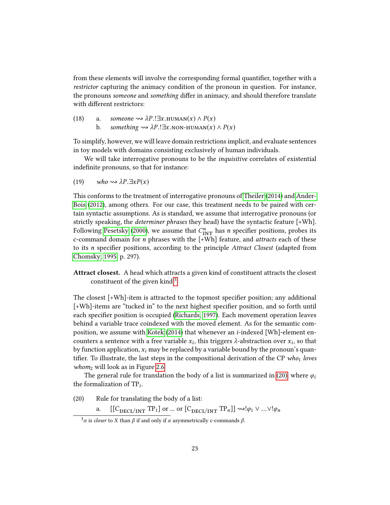from these elements will involve the corresponding formal quantifier, together with a restrictor capturing the animacy condition of the pronoun in question. For instance, the pronouns someone and something differ in animacy, and should therefore translate with different restrictors:

(18) a. someone  $\rightsquigarrow \lambda P$ .!∃x.HUMAN(x)  $\land P(x)$ <br>b. something  $\rightsquigarrow \lambda P$ .!∃x.NON-HUMAN(x) something  $\rightsquigarrow \lambda P$ .!∃x.non-human(x)  $\wedge P(x)$ 

To simplify, however, we will leave domain restrictions implicit, and evaluate sentences in toy models with domains consisting exclusively of human individuals.

We will take interrogative pronouns to be the *inquisitive* correlates of existential indefinite pronouns, so that for instance:

(19) 
$$
who \rightsquigarrow \lambda P. \exists x P(x)
$$

This conforms to the treatment of interrogative pronouns of [Theiler](#page-107-10) [\(2014\)](#page-107-10) and [Ander-](#page-103-0)[Bois](#page-103-0) [\(2012\)](#page-103-0), among others. For our case, this treatment needs to be paired with certain syntactic assumptions. As is standard, we assume that interrogative pronouns (or strictly speaking, the determiner phrases they head) have the syntactic feature [+Wh]. Following [Pesetsky](#page-106-3) [\(2000\)](#page-106-3), we assume that  $C_{\text{INT}}^{n}$  has n specifier positions, probes its c-command domain for n phrases with the [+Wh] feature, and attracts each of these to its *n* specifier positions, according to the principle Attract Closest (adapted from [Chomsky, 1995,](#page-104-7) p. 297).

Attract closest. A head which attracts a given kind of constituent attracts the closest constituent of the given kind.<sup>[3](#page-26-0)</sup>

The closest  $[+Wh]$ -item is attracted to the topmost specifier position; any additional  $[-Wh]$ -items are "tucked in" to the next highest specifier position, and so forth until each specifier position is occupied [\(Richards, 1997\)](#page-106-4). Each movement operation leaves behind a variable trace coindexed with the moved element. As for the semantic composition, we assume with [Kotek](#page-106-5) [\(2014\)](#page-106-5) that whenever an i-indexed [Wh]-element encounters a sentence with a free variable  $x_i$ , this triggers  $\lambda$ -abstraction over  $x_i$ , so that the function condition is more be realized by a variable hourd by the group such a varia by function application,  $x_i$  may be replaced by a variable bound by the pronoun's quantifier. To illustrate, the last steps in the compositional derivation of the CP who<sub>1</sub> loves *whom*<sub>2</sub> will look as in Figure [2.6.](#page-27-1)

The general rule for translation the body of a list is summarized in [\(20\),](#page-26-1) where  $\varphi_i$ the formalization of  $TP_i$ .

<span id="page-26-1"></span>(20) Rule for translating the body of a list:

a.  $[[C_{\text{DECL}/\text{INT}} TP_1]$  or ... or  $[C_{\text{DECL}/\text{INT}} TP_n]] \rightsquigarrow !\varphi_1 \vee ... \vee !\varphi_n$ 

<span id="page-26-0"></span><sup>&</sup>lt;sup>3</sup>α is closer to X than  $β$  if and only if  $α$  asymmetrically c-commands  $β$ .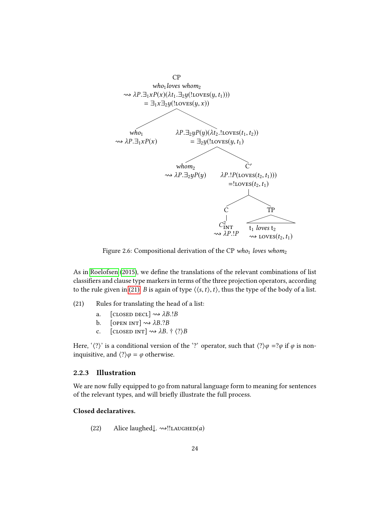

<span id="page-27-1"></span>Figure 2.6: Compositional derivation of the CP who<sub>1</sub> loves whom<sub>2</sub>

As in [Roelofsen](#page-106-0) [\(2015\)](#page-106-0), we define the translations of the relevant combinations of list classifiers and clause type markers in terms of the three projection operators, according to the rule given in [\(21\).](#page-27-2) B is again of type  $\langle \langle s,t \rangle, t \rangle$ , thus the type of the body of a list.

- <span id="page-27-2"></span>(21) Rules for translating the head of a list:
	- a. [CLOSED DECL]  $\rightsquigarrow \lambda B.B$ <br>b. [OPEN INT]  $\rightsquigarrow \lambda B.?B$
	- b. [OPEN INT]  $\rightsquigarrow \lambda B. ?B$ <br>c. [CLOSED INT]  $\rightsquigarrow \lambda B$ .
	- [CLOSED INT]  $\rightsquigarrow \lambda B. \dagger \langle ? \rangle B$

Here, ' $\langle ? \rangle$ ' is a conditional version of the '?' operator, such that  $\langle ? \rangle \varphi = ?\varphi$  if  $\varphi$  is noninquisitive, and  $\langle?\rangle \varphi = \varphi$  otherwise.

#### <span id="page-27-0"></span>2.2.3 Illustration

We are now fully equipped to go from natural language form to meaning for sentences of the relevant types, and will briefly illustrate the full process.

#### <span id="page-27-3"></span>Closed declaratives.

(22) Alice laughed $\downarrow$ .  $\rightsquigarrow$ ‼LAUGHED(a)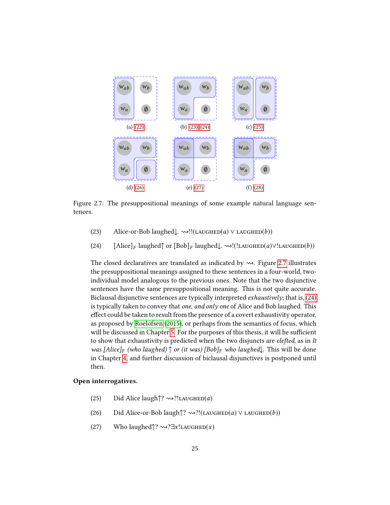

<span id="page-28-5"></span>Figure 2.7: The presuppositional meanings of some example natural language sentences.

- <span id="page-28-1"></span><span id="page-28-0"></span>(23) Alice-or-Bob laughed $\downarrow$ .  $\rightsquigarrow$ !!(LAUGHED(a)  $\vee$  LAUGHED(b))
- (24) [Alice]<sub>F</sub> laughed↑ or  $[Bob]_F$  laughed $\downarrow$ .  $\rightsquigarrow!(!LAUGHED(a) \vee !LAUGHED(b))$

The closed declaratives are translated as indicated by  $\rightsquigarrow$ . Figure [2.7](#page-28-5) illustrates the presuppositional meanings assigned to these sentences in a four-world, twoindividual model analogous to the previous ones. Note that the two disjunctive sentences have the same presuppositional meaning. This is not quite accurate. Biclausal disjunctive sentences are typically interpreted exhaustively; that is, [\(24\)](#page-28-1) is typically taken to convey that *one, and only one* of Alice and Bob laughed. This effect could be taken to result from the presence of a covert exhaustivity operator, as proposed by [Roelofsen](#page-106-0) [\(2015\)](#page-106-0), or perhaps from the semantics of focus, which will be discussed in Chapter [5.](#page-85-0) For the purposes of this thesis, it will be sufficient to show that exhaustivity is predicted when the two disjuncts are *clefted*, as in It was [Alice]<sub>F</sub> (who laughed)  $\uparrow$  or (it was) [Bob]<sub>F</sub> who laughed $\downarrow$ . This will be done in Chapter [4,](#page-62-0) and further discussion of biclausal disjunctives is postponed until then.

#### <span id="page-28-2"></span>Open interrogatives.

- <span id="page-28-3"></span>(25) Did Alice laugh $\uparrow$ ?  $\rightsquigarrow$ ?!LAUGHED(*a*)
- <span id="page-28-4"></span>(26) Did Alice-or-Bob laugh $\uparrow$ ?  $\rightsquigarrow$ ?!(LAUGHED(a)  $\vee$  LAUGHED(b))
- (27) Who laughed $\uparrow$ ?  $\rightsquigarrow$ ? $\exists x!$ LAUGHED $(x)$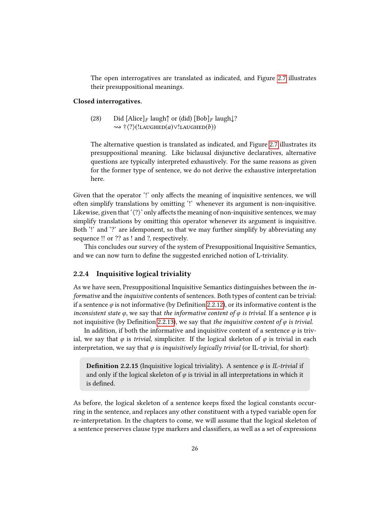The open interrogatives are translated as indicated, and Figure [2.7](#page-28-5) illustrates their presuppositional meanings.

#### <span id="page-29-1"></span>Closed interrogatives.

(28) Did  $[\text{Alice}]_F$  laugh $\uparrow$  or (did)  $[\text{Bob}]_F$  laugh $\downarrow$ ?  $\rightsquigarrow$  † $\langle ? \rangle$ (!LAUGHED $(a) \vee !$ LAUGHED $(b)$ )

The alternative question is translated as indicated, and Figure [2.7](#page-28-5) illustrates its presuppositional meaning. Like biclausal disjunctive declaratives, alternative questions are typically interpreted exhaustively. For the same reasons as given for the former type of sentence, we do not derive the exhaustive interpretation here.

Given that the operator '!' only affects the meaning of inquisitive sentences, we will often simplify translations by omitting '!' whenever its argument is non-inquisitive. Likewise, given that ' $\langle ? \rangle$ ' only affects the meaning of non-inquisitive sentences, we may simplify translations by omitting this operator whenever its argument is inquisitive. Both '!' and '?' are idemponent, so that we may further simplify by abbreviating any sequence !! or ?? as ! and ?, respectively.

This concludes our survey of the system of Presuppositional Inquisitive Semantics, and we can now turn to define the suggested enriched notion of L-triviality.

#### <span id="page-29-0"></span>2.2.4 Inquisitive logical triviality

As we have seen, Presuppositional Inquisitive Semantics distinguishes between the informative and the inquisitive contents of sentences. Both types of content can be trivial: if a sentence  $\varphi$  is not informative (by Definition [2.2.12\)](#page-22-6), or its informative content is the inconsistent state  $\varphi$ , we say that the informative content of  $\varphi$  is trivial. If a sentence  $\varphi$  is not inquisitive (by Definition [2.2.13\)](#page-23-2), we say that the inquisitive content of  $\varphi$  is trivial.

In addition, if both the informative and inquisitive content of a sentence  $\varphi$  is trivial, we say that  $\varphi$  is *trivial*, simpliciter. If the logical skeleton of  $\varphi$  is trivial in each interpretation, we say that  $\varphi$  is *inquisitively logically trivial* (or IL-trivial, for short):

**Definition 2.2.15** (Inquisitive logical triviality). A sentence  $\varphi$  is *IL-trivial* if and only if the logical skeleton of  $\varphi$  is trivial in all interpretations in which it is defined.

As before, the logical skeleton of a sentence keeps fixed the logical constants occurring in the sentence, and replaces any other constituent with a typed variable open for re-interpretation. In the chapters to come, we will assume that the logical skeleton of a sentence preserves clause type markers and classifiers, as well as a set of expressions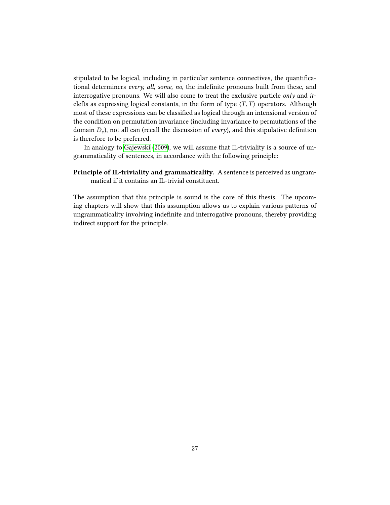stipulated to be logical, including in particular sentence connectives, the quanticational determiners every, all, some, no, the indefinite pronouns built from these, and interrogative pronouns. We will also come to treat the exclusive particle *only* and *it*clefts as expressing logical constants, in the form of type  $\langle T,T \rangle$  operators. Although most of these expressions can be classified as logical through an intensional version of the condition on permutation invariance (including invariance to permutations of the domain  $D_s$ ), not all can (recall the discussion of *every*), and this stipulative definition<br>is therefore to be unformed is therefore to be preferred.

In analogy to [Gajewski](#page-104-2) [\(2009\)](#page-104-2), we will assume that IL-triviality is a source of ungrammaticality of sentences, in accordance with the following principle:

### Principle of IL-triviality and grammaticality. A sentence is perceived as ungrammatical if it contains an IL-trivial constituent.

The assumption that this principle is sound is the core of this thesis. The upcoming chapters will show that this assumption allows us to explain various patterns of ungrammaticality involving indefinite and interrogative pronouns, thereby providing indirect support for the principle.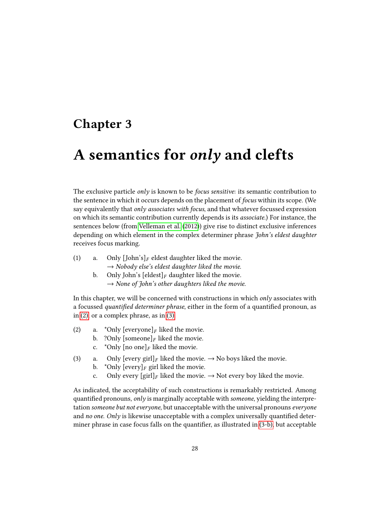## <span id="page-31-0"></span>Chapter 3

## A semantics for only and clefts

The exclusive particle *only* is known to be *focus sensitive*: its semantic contribution to the sentence in which it occurs depends on the placement of focus within its scope. (We say equivalently that  $only$  associates with focus, and that whatever focussed expression on which its semantic contribution currently depends is its associate.) For instance, the sentences below (from [Velleman et al.](#page-107-0) [\(2012\)](#page-107-0)) give rise to distinct exclusive inferences depending on which element in the complex determiner phrase John's eldest daughter receives focus marking.

- (1) a. Only [John's]<sub>F</sub> eldest daughter liked the movie.  $\rightarrow$  Nobody else's eldest daughter liked the movie.
	- b. Only John's  $\left[\text{eldest}\right]_F$  daughter liked the movie.  $\rightarrow$  None of John's other daughters liked the movie.

In this chapter, we will be concerned with constructions in which  $only$  associates with a focussed *quantified determiner phrase*, either in the form of a quantified pronoun, as in [\(2\),](#page-31-1) or a complex phrase, as in [\(3\).](#page-31-2)

- <span id="page-31-6"></span><span id="page-31-1"></span>(2) a. \*Only  $[everyone]_F$  liked the movie.<br>b. ?Only  $[someone]_F$  liked the movie.
	- b. ?Only  $[\text{some}]_F$  liked the movie.<br>c. \*Only  $[\text{no one}]_F$  liked the movie.
	- \*Only [no one]<sub>F</sub> liked the movie.
- <span id="page-31-4"></span><span id="page-31-3"></span><span id="page-31-2"></span>(3) a. Only  $[every\, girl]_F$  liked the movie.  $\rightarrow$  No boys liked the movie.<br>b. \*Only  $[every\, I]_F$  girl liked the movie.
	- b. \*Only  $[every]_F$  girl liked the movie.<br>c. Only every  $[gin]_F$  liked the movie.
	- Only every  $\left[\text{girl}\right]_F$  liked the movie.  $\rightarrow$  Not every boy liked the movie.

<span id="page-31-5"></span>As indicated, the acceptability of such constructions is remarkably restricted. Among quantified pronouns, only is marginally acceptable with someone, yielding the interpretation someone but not everyone, but unacceptable with the universal pronouns everyone and no one. Only is likewise unacceptable with a complex universally quantified determiner phrase in case focus falls on the quantifier, as illustrated in  $(3-b)$ , but acceptable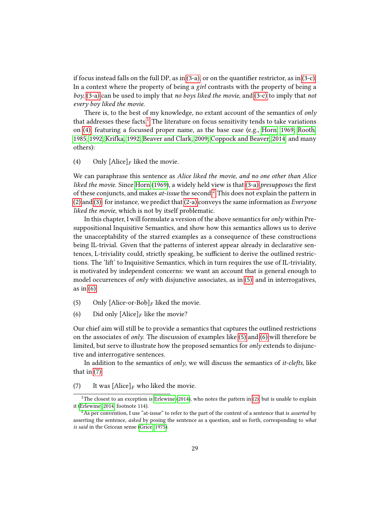if focus instead falls on the full DP, as in  $(3-a)$ , or on the quantifier restrictor, as in  $(3-c)$ . In a context where the property of being a girl contrasts with the property of being a boy, [\(3-a\)](#page-31-4) can be used to imply that no boys liked the movie, and [\(3-c\)](#page-31-5) to imply that not every boy liked the movie.

There is, to the best of my knowledge, no extant account of the semantics of only that addresses these facts.<sup>[1](#page-32-0)</sup> The literature on focus sensitivity tends to take variations on [\(4\),](#page-32-1) featuring a focussed proper name, as the base case (e.g., [Horn, 1969;](#page-105-10) [Rooth,](#page-106-6) [1985,](#page-106-6) [1992;](#page-106-7) [Krifka, 1992;](#page-106-8) [Beaver and Clark, 2009;](#page-103-6) [Coppock and Beaver, 2014,](#page-104-0) and many others):

<span id="page-32-1"></span>(4) Only  $[ \text{Alice} ]_F$  liked the movie.

We can paraphrase this sentence as Alice liked the movie, and no one other than Alice liked the movie. Since [Horn](#page-105-10)  $(1969)$ , a widely held view is that  $(3-a)$  presupposes the first of these conjuncts, and makes  $at$ -issue the second.<sup>[2](#page-32-2)</sup> This does not explain the pattern in [\(2\)](#page-31-1) and [\(3\):](#page-31-2) for instance, we predict that  $(2-a)$  conveys the same information as *Everyone* liked the movie, which is not by itself problematic.

In this chapter, I will formulate a version of the above semantics for  $only$  within Presuppositional Inquisitive Semantics, and show how this semantics allows us to derive the unacceptability of the starred examples as a consequence of these constructions being IL-trivial. Given that the patterns of interest appear already in declarative sentences, L-triviality could, strictly speaking, be sufficient to derive the outlined restrictions. The 'lift' to Inquisitive Semantics, which in turn requires the use of IL-triviality, is motivated by independent concerns: we want an account that is general enough to model occurrences of *only* with disjunctive associates, as in  $(5)$ , and in interrogatives, as in [\(6\).](#page-32-4)

- <span id="page-32-4"></span><span id="page-32-3"></span>(5) Only [Alice-or-Bob]<sub>F</sub> liked the movie.<br>(6) Did only [Alice]<sub>F</sub> like the movie?
- Did only  $[\text{Alice}]_F$  like the movie?

Our chief aim will still be to provide a semantics that captures the outlined restrictions on the associates of only. The discussion of examples like  $(5)$  and  $(6)$  will therefore be limited, but serve to illustrate how the proposed semantics for only extends to disjunctive and interrogative sentences.

In addition to the semantics of *only*, we will discuss the semantics of *it-clefts*, like that in [\(7\).](#page-32-5)

<span id="page-32-5"></span>(7) It was  $[Alice]_F$  who liked the movie.

<span id="page-32-0"></span><sup>&</sup>lt;sup>1</sup>The closest to an exception is [Erlewine](#page-104-8) [\(2014\)](#page-104-8), who notes the pattern in [\(2\),](#page-31-1) but is unable to explain it [\(Erlewine, 2014,](#page-104-8) footnote 114).

<span id="page-32-2"></span> ${}^{2}$ As per convention, I use "at-issue" to refer to the part of the content of a sentence that is *asserted* by asserting the sentence, asked by posing the sentence as a question, and so forth, corresponding to what is said in the Gricean sense [\(Grice, 1975\)](#page-105-11).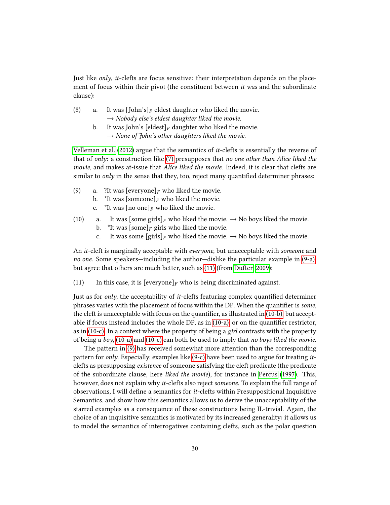Just like  $only, it-clefts are focus sensitive: their interpretation depends on the place$ ment of focus within their pivot (the constituent between *it was* and the subordinate clause):

- (8) a. It was [John's]<sub>F</sub> eldest daughter who liked the movie.  $\rightarrow$  Nobody else's eldest daughter liked the movie.
	- b. It was John's  $\lceil$ eldest $\rceil$ <sub>F</sub> daughter who liked the movie.  $\rightarrow$  None of John's other daughters liked the movie.

[Velleman et al.](#page-107-0) [\(2012\)](#page-107-0) argue that the semantics of it-clefts is essentially the reverse of that of only: a construction like  $(7)$  presupposes that no one other than Alice liked the movie, and makes at-issue that Alice liked the movie. Indeed, it is clear that clefts are similar to *only* in the sense that they, too, reject many quantified determiner phrases:

- <span id="page-33-5"></span><span id="page-33-0"></span>(9) a. ?It was  $[everyone]_F$  who liked the movie.<br>b. \*It was  $[someone]_F$  who liked the movie.
	- b. \*It was [someone]<sub>F</sub> who liked the movie.<br>c. \*It was [no one]<sub>F</sub> who liked the movie.
	- \*It was [no one]<sub>F</sub> who liked the movie.
- <span id="page-33-6"></span><span id="page-33-4"></span><span id="page-33-3"></span><span id="page-33-2"></span>(10) a. It was  $[\text{some girls}]_F$  who liked the movie.  $\rightarrow$  No boys liked the movie.<br>b. \*It was  $[\text{some}]_F$  girls who liked the movie.
	- b. \*It was  $[\text{some}]_F$  girls who liked the movie.<br>c. It was some  $[\text{girls}]_F$  who liked the movie.
		- It was some  $\lceil \text{girls} \rceil_F$  who liked the movie.  $\rightarrow$  No boys liked the movie.

An *it*-cleft is marginally acceptable with *everyone*, but unacceptable with *someone* and no one. Some speakers—including the author—dislike the particular example in [\(9-a\),](#page-33-0) but agree that others are much better, such as [\(11\)](#page-33-1) (from [Dufter, 2009\)](#page-104-9):

<span id="page-33-1"></span>(11) In this case, it is  $[everyone]_F$  who is being discriminated against.

Just as for only, the acceptability of  $it$ -clefts featuring complex quantified determiner phrases varies with the placement of focus within the DP. When the quantifier is some, the cleft is unacceptable with focus on the quantifier, as illustrated in  $(10-b)$ , but acceptable if focus instead includes the whole DP, as in  $(10-a)$ , or on the quantifier restrictor, as in [\(10-c\).](#page-33-4) In a context where the property of being a girl contrasts with the property of being a boy,  $(10-a)$  and  $(10-c)$  can both be used to imply that no boys liked the movie.

The pattern in [\(9\)](#page-33-5) has received somewhat more attention than the corresponding pattern for only. Especially, examples like [\(9-c\)](#page-33-6) have been used to argue for treating itclefts as presupposing existence of someone satisfying the cleft predicate (the predicate of the subordinate clause, here liked the movie), for instance in [Percus](#page-106-9) [\(1997\)](#page-106-9). This, however, does not explain why it-clefts also reject someone. To explain the full range of observations, I will define a semantics for *it*-clefts within Presuppositional Inquisitive Semantics, and show how this semantics allows us to derive the unacceptability of the starred examples as a consequence of these constructions being IL-trivial. Again, the choice of an inquisitive semantics is motivated by its increased generality: it allows us to model the semantics of interrogatives containing clefts, such as the polar question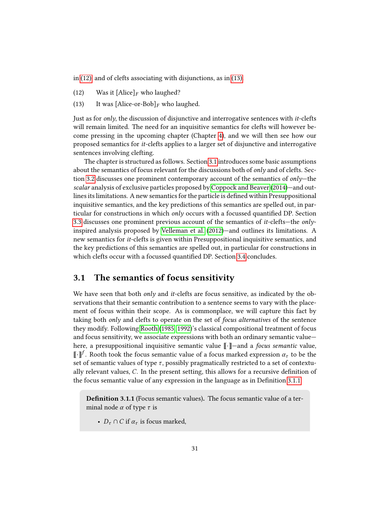<span id="page-34-1"></span>in [\(12\),](#page-34-1) and of clefts associating with disjunctions, as in [\(13\).](#page-34-2)

- <span id="page-34-2"></span>(12) Was it  $[\text{Alice}]_F$  who laughed?<br>(13) It was  $[\text{Alice-or-Bob}]_F$  who la
- It was [Alice-or-Bob] $_F$  who laughed.

Just as for only, the discussion of disjunctive and interrogative sentences with it-clefts will remain limited. The need for an inquisitive semantics for clefts will however become pressing in the upcoming chapter (Chapter [4\)](#page-62-0), and we will then see how our proposed semantics for it-clefts applies to a larger set of disjunctive and interrogative sentences involving clefting.

The chapter is structured as follows. Section [3.1](#page-34-0) introduces some basic assumptions about the semantics of focus relevant for the discussions both of *only* and of clefts. Sec-tion [3.2](#page-37-0) discusses one prominent contemporary account of the semantics of  $only$ —the scalar analysis of exclusive particles proposed by [Coppock and Beaver](#page-104-0) [\(2014\)](#page-104-0)—and outlines its limitations. A new semantics for the particle is defined within Presuppositional inquisitive semantics, and the key predictions of this semantics are spelled out, in particular for constructions in which *only* occurs with a focussed quantified DP. Section [3.3](#page-51-0) discusses one prominent previous account of the semantics of *it*-clefts—the *only*inspired analysis proposed by [Velleman et al.](#page-107-0) [\(2012\)](#page-107-0)—and outlines its limitations. A new semantics for it-clefts is given within Presuppositional inquisitive semantics, and the key predictions of this semantics are spelled out, in particular for constructions in which clefts occur with a focussed quantified DP. Section [3.4](#page-60-0) concludes.

### <span id="page-34-0"></span>3.1 The semantics of focus sensitivity

We have seen that both *only* and *it*-clefts are focus sensitive, as indicated by the observations that their semantic contribution to a sentence seems to vary with the placement of focus within their scope. As is commonplace, we will capture this fact by taking both *only* and clefts to operate on the set of *focus alternatives* of the sentence they modify. Following [Rooth](#page-106-6) [\(1985,](#page-106-6) [1992\)](#page-106-7)'s classical compositional treatment of focus and focus sensitivity, we associate expressions with both an ordinary semantic value here, a presuppositional inquisitive semantic value  $\lceil \cdot \rceil$ —and a *focus semantic* value,  $\llbracket \cdot \rrbracket^f$ . Rooth took the focus semantic value of a focus marked expression  $\alpha_t$  to be the set of semantic values of type  $\tau$ , possibly pragmatically restricted to a set of contextually relevant values, C. In the present setting, this allows for a recursive definition of the focus semantic value of any expression in the language as in Definition [3.1.1.](#page-34-3)

<span id="page-34-3"></span>**Definition 3.1.1** (Focus semantic values). The focus semantic value of a terminal node  $\alpha$  of type  $\tau$  is

•  $D_{\tau} \cap C$  if  $\alpha_{\tau}$  is focus marked,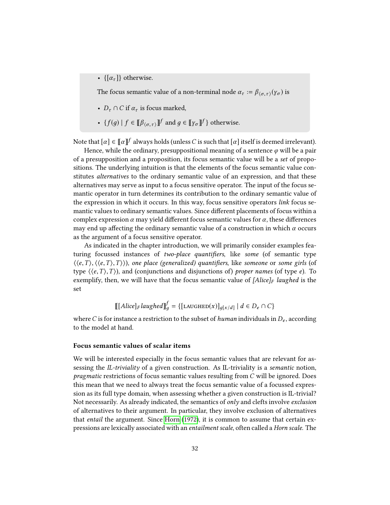•  $\{[\alpha_{\tau}]\}\$ otherwise.

The focus semantic value of a non-terminal node  $\alpha_{\tau} := \beta_{\langle \sigma, \tau \rangle}(y_{\sigma})$  is

- $D_{\tau} \cap C$  if  $\alpha_{\tau}$  is focus marked,
- $\{f(g) \mid f \in [\![\beta_{\langle \sigma, \tau \rangle}]\!]^f$  and  $g \in [\![\gamma_{\sigma}]\!]^f$  otherwise.

Note that  $[\alpha]\in [\![\alpha]\!]^f$  always holds (unless  $C$  is such that  $[\alpha]$  itself is deemed irrelevant).

Hence, while the ordinary, presuppositional meaning of a sentence  $\varphi$  will be a pair of a presupposition and a proposition, its focus semantic value will be a set of propositions. The underlying intuition is that the elements of the focus semantic value constitutes alternatives to the ordinary semantic value of an expression, and that these alternatives may serve as input to a focus sensitive operator. The input of the focus semantic operator in turn determines its contribution to the ordinary semantic value of the expression in which it occurs. In this way, focus sensitive operators link focus semantic values to ordinary semantic values. Since different placements of focus within a complex expression  $\alpha$  may yield different focus semantic values for  $\alpha$ , these differences may end up affecting the ordinary semantic value of a construction in which  $\alpha$  occurs as the argument of a focus sensitive operator.

As indicated in the chapter introduction, we will primarily consider examples featuring focussed instances of two-place quantifiers, like some (of semantic type  $\langle\langle e,T\rangle,\langle\langle e,T\rangle,T\rangle\rangle$ , one place (generalized) quantifiers, like someone or some girls (of type  $\langle \langle e,T \rangle,T \rangle$ , and (conjunctions and disjunctions of) proper names (of type e). To exemplify, then, we will have that the focus semantic value of  $[Alice]_F$  laughed is the set

$$
\left[ [\text{Alice}]_F \text{laughed} \right]_g^f = \{ [\text{LAUGHED}(x)]_{g[x/d]} \mid d \in D_e \cap C \}
$$

where C is for instance a restriction to the subset of human individuals in  $D_e$ , according to the model at hand.

#### Focus semantic values of scalar items

We will be interested especially in the focus semantic values that are relevant for assessing the IL-triviality of a given construction. As IL-triviality is a semantic notion, pragmatic restrictions of focus semantic values resulting from C will be ignored. Does this mean that we need to always treat the focus semantic value of a focussed expression as its full type domain, when assessing whether a given construction is IL-trivial? Not necessarily. As already indicated, the semantics of  $only$  and clefts involve exclusion of alternatives to their argument. In particular, they involve exclusion of alternatives that entail the argument. Since [Horn](#page-105-12) [\(1972\)](#page-105-12), it is common to assume that certain expressions are lexically associated with an entailment scale, often called a Horn scale. The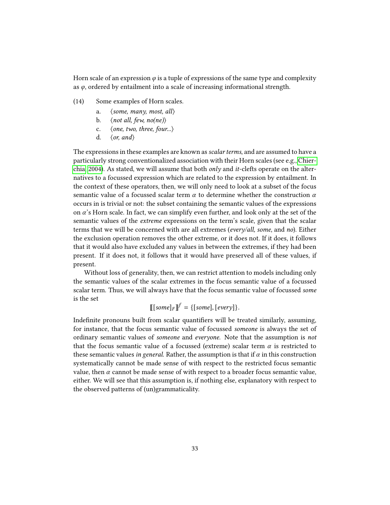Horn scale of an expression  $\varphi$  is a tuple of expressions of the same type and complexity as φ, ordered by entailment into a scale of increasing informational strength.

- (14) Some examples of Horn scales.
	- a.  $\langle$  some, many, most, all $\rangle$
	- b.  $\langle$  not all, few, no(ne))
	- c.  $\langle$  one, two, three, four... $\rangle$
	- d.  $\langle or, and \rangle$

The expressions in these examples are known as *scalar terms*, and are assumed to have a particularly strong conventionalized association with their Horn scales (see e.g., [Chier](#page-103-0)[chia, 2004\)](#page-103-0). As stated, we will assume that both  $only$  and *it*-clefts operate on the alternatives to a focussed expression which are related to the expression by entailment. In the context of these operators, then, we will only need to look at a subset of the focus semantic value of a focussed scalar term  $\alpha$  to determine whether the construction  $\alpha$ occurs in is trivial or not: the subset containing the semantic values of the expressions on α's Horn scale. In fact, we can simplify even further, and look only at the set of the semantic values of the extreme expressions on the term's scale, given that the scalar terms that we will be concerned with are all extremes (every/all, some, and no). Either the exclusion operation removes the other extreme, or it does not. If it does, it follows that it would also have excluded any values in between the extremes, if they had been present. If it does not, it follows that it would have preserved all of these values, if present.

Without loss of generality, then, we can restrict attention to models including only the semantic values of the scalar extremes in the focus semantic value of a focussed scalar term. Thus, we will always have that the focus semantic value of focussed some is the set

$$
[[some]_F]^{f} = \{[some], [every]\}.
$$

Indefinite pronouns built from scalar quantifiers will be treated similarly, assuming, for instance, that the focus semantic value of focussed someone is always the set of ordinary semantic values of someone and everyone. Note that the assumption is not that the focus semantic value of a focussed (extreme) scalar term  $\alpha$  is restricted to these semantic values in general. Rather, the assumption is that if  $\alpha$  in this construction systematically cannot be made sense of with respect to the restricted focus semantic value, then  $\alpha$  cannot be made sense of with respect to a broader focus semantic value, either. We will see that this assumption is, if nothing else, explanatory with respect to the observed patterns of (un)grammaticality.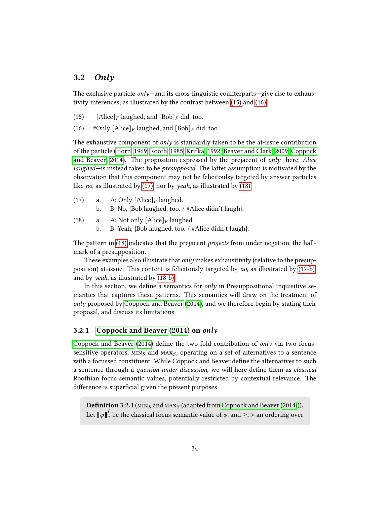# 3.2 Only

The exclusive particle  $\omega n/v$ —and its cross-linguistic counterparts—give rise to exhaustivity inferences, as illustrated by the contrast between [\(15\)](#page-37-0) and [\(16\).](#page-37-1)

- <span id="page-37-1"></span><span id="page-37-0"></span>(15) [Alice]<sub>F</sub> laughed, and  $[Bob]_F$  did, too.
- (16) #Only  $[\text{Alice}]_F$  laughed, and  $[\text{Bob}]_F$  did, too.

The exhaustive component of *only* is standardly taken to be the at-issue contribution of the particle [\(Horn, 1969;](#page-105-0) [Rooth, 1985;](#page-106-0) [Krifka, 1992;](#page-106-1) [Beaver and Clark, 2009;](#page-103-1) [Coppock](#page-104-0) [and Beaver, 2014\)](#page-104-0). The proposition expressed by the prejacent of  $only$ —here, Alice laughed—is instead taken to be presupposed. The latter assumption is motivated by the observation that this component may not be felicitoulsy targeted by answer particles like no, as illustrated by [\(17\),](#page-37-2) nor by yeah, as illustrated by [\(18\).](#page-37-3)

- <span id="page-37-4"></span><span id="page-37-2"></span>(17) a. A: Only  $[\text{Alice}]_F$  laughed.<br>b. B: No. {Bob laughed. too. b. B: No, {Bob laughed, too. / #Alice didn't laugh}.
- <span id="page-37-5"></span><span id="page-37-3"></span>(18) a. A: Not only  $[\text{Alice}]_F$  laughed.<br>b. B: Yeah. {Bob laughed. too. / # b. B: Yeah, {Bob laughed, too. / #Alice didn't laugh}.

The pattern in [\(18\)](#page-37-3) indicates that the prejacent projects from under negation, the hallmark of a presupposition.

These examples also illustrate that  $only$  makes exhausitivity (relative to the presupposition) at-issue. This content is felicitously targeted by no, as illustrated by [\(17-b\),](#page-37-4) and by yeah, as illustrated by [\(18-b\).](#page-37-5)

In this section, we define a semantics for *only* in Presuppositional inquisitive semantics that captures these patterns. This semantics will draw on the treatment of only proposed by [Coppock and Beaver](#page-104-0) [\(2014\)](#page-104-0), and we therefore begin by stating their proposal, and discuss its limitations.

# 3.2.1 [Coppock and Beaver](#page-104-0) [\(2014\)](#page-104-0) on only

[Coppock and Beaver](#page-104-0) [\(2014\)](#page-104-0) define the two-fold contribution of only via two focussensitive operators,  $MIN_S$  and  $MAX_S$ , operating on a set of alternatives to a sentence with a focussed constituent. While Coppock and Beaver define the alternatives to such a sentence through a question under discussion, we will here define them as classical Roothian focus semantic values, potentially restricted by contextual relevance. The difference is superficial given the present purposes.

**Definition 3.2.1** ( $MIN_S$  and  $MAX_S$  (adapted from [Coppock and Beaver](#page-104-0) [\(2014\)](#page-104-0))). Let  $\llbracket \varphi \rrbracket_c^f$  be the classical focus semantic value of  $\varphi$ , and  $\geq$ ,  $>$  an ordering over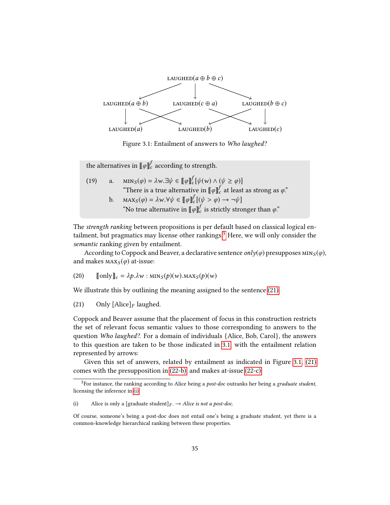

<span id="page-38-2"></span>Figure 3.1: Entailment of answers to Who laughed?

the alternatives in  $\llbracket \varphi \rrbracket_{c}^{f}$  according to strength.

(19) a. 
$$
\text{MIN}_S(\varphi) = \lambda w. \exists \psi \in [\![\varphi]\!]_c^f [\psi(w) \land (\psi \ge \varphi)]
$$
  
\n"There is a true alternative in  $[\![\varphi]\!]_c^f$  at least as strong as  $\varphi$ ." b. 
$$
\text{MAX}_S(\varphi) = \lambda w. \forall \psi \in [\![\varphi]\!]_c^f [(\psi > \varphi) \rightarrow \neg \psi]
$$
  
\n"No true alternative in  $[\![\varphi]\!]_c^f$  is strictly stronger than  $\varphi$ ."

The strength ranking between propositions is per default based on classical logical entailment, but pragmatics may license other rankings.[3](#page-38-0) Here, we will only consider the semantic ranking given by entailment.

According to Coppock and Beaver, a declarative sentence  $\text{only}(\varphi)$  presupposes  $\text{MIN}_S(\varphi)$ , and makes  $\text{MAX}_{S}(\varphi)$  at-issue:

(20) 
$$
[\![\text{only}]\!]_c = \lambda p \cdot \lambda w : \min_S(p)(w) . \max_S(p)(w)
$$

<span id="page-38-1"></span>We illustrate this by outlining the meaning assigned to the sentence [\(21\).](#page-38-1)

(21) Only  $[\text{Alice}]_F$  laughed.

Coppock and Beaver assume that the placement of focus in this construction restricts the set of relevant focus semantic values to those corresponding to answers to the question Who laughed?. For a domain of individuals {Alice, Bob, Carol}, the answers to this question are taken to be those indicated in [3.1,](#page-38-2) with the entailment relation represented by arrows:

Given this set of answers, related by entailment as indicated in Figure [3.1,](#page-38-2) [\(21\)](#page-38-1) comes with the presupposition in [\(22-b\),](#page-39-0) and makes at-issue [\(22-c\):](#page-39-1)

<span id="page-38-0"></span> $3$ For instance, the ranking according to Alice being a *post-doc* outranks her being a graduate student, licensing the inference in [\(i\):](#page-38-3)

<span id="page-38-3"></span><sup>(</sup>i) Alice is only a [graduate student] $_F$ .  $\rightarrow$  Alice is not a post-doc.

Of course, someone's being a post-doc does not entail one's being a graduate student, yet there is a common-knowledge hierarchical ranking between these properties.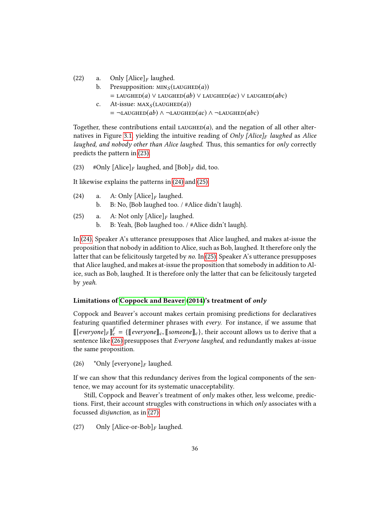<span id="page-39-0"></span>(22) a. Only  $[\text{Alice}]_F$  laughed.

- b. Presupposition:  $MIN_S (LAUGHED(a))$ = LAUGHED(a) ∨ LAUGHED(ab) ∨ LAUGHED(ac) ∨ LAUGHED(abc)
- <span id="page-39-1"></span>c. At-issue:  $\text{MAX}_{S}(\text{LAUGHED}(a))$  $= \neg$ LAUGHED(ab) ∧  $\neg$ LAUGHED(ac) ∧  $\neg$ LAUGHED(abc)

Together, these contributions entail  $Lauchen(a)$ , and the negation of all other alter-natives in Figure [3.1,](#page-38-2) yielding the intuitive reading of Only [Alice]<sub>F</sub> laughed as Alice laughed, and nobody other than Alice laughed. Thus, this semantics for only correctly predicts the pattern in [\(23\).](#page-39-2)

<span id="page-39-2"></span>(23) #Only  $[\text{Alice}]_F$  laughed, and  $[\text{Bob}]_F$  did, too.

<span id="page-39-3"></span>It likewise explains the patterns in [\(24\)](#page-39-3) and [\(25\).](#page-39-4)

- (24) a. A: Only  $[\text{Alice}]_F$  laughed.<br>b. B: No,  $[\text{Bob}$  laughed too.
	- b. B: No, {Bob laughed too. / #Alice didn't laugh}.
- <span id="page-39-4"></span>(25) a. A: Not only  $[\text{Alice}]_F$  laughed.<br>b. B: Yeah,  $[\text{Bob}$  laughed too. / #
	- b. B: Yeah, {Bob laughed too. / #Alice didn't laugh}.

In [\(24\),](#page-39-3) Speaker A's utterance presupposes that Alice laughed, and makes at-issue the proposition that nobody in addition to Alice, such as Bob, laughed. It therefore only the latter that can be felicitously targeted by no. In [\(25\),](#page-39-4) Speaker A's utterance presupposes that Alice laughed, and makes at-issue the proposition that somebody in addition to Alice, such as Bob, laughed. It is therefore only the latter that can be felicitously targeted by yeah.

#### Limitations of [Coppock and Beaver](#page-104-0) [\(2014\)](#page-104-0)'s treatment of only

Coppock and Beaver's account makes certain promising predictions for declaratives featuring quantified determiner phrases with every. For instance, if we assume that  $[[[everyone]_F]^f_c = \{[[everyone]_c, [[some]_c],$  their account allows us to derive that a sentence like (26) presupposes that Everyone layshed and redundantly makes at issue sentence like [\(26\)](#page-39-5) presupposes that Everyone laughed, and redundantly makes at-issue the same proposition.

<span id="page-39-5"></span>(26)  $\text{For example } |F|$  aughed.

If we can show that this redundancy derives from the logical components of the sentence, we may account for its systematic unacceptability.

Still, Coppock and Beaver's treatment of *only* makes other, less welcome, predictions. First, their account struggles with constructions in which only associates with a focussed disjunction, as in [\(27\):](#page-39-6)

<span id="page-39-6"></span>(27) Only [Alice-or-Bob]<sub>F</sub> laughed.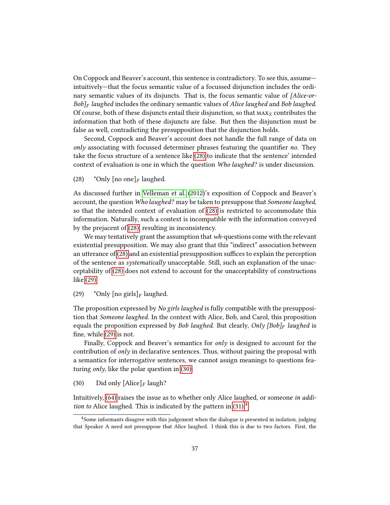On Coppock and Beaver's account, this sentence is contradictory. To see this, assume intuitively—that the focus semantic value of a focussed disjunction includes the ordinary semantic values of its disjuncts. That is, the focus semantic value of [Alice-or- $Bob\vert_F$  laughed includes the ordinary semantic values of Alice laughed and Bob laughed. Of course, both of these disjuncts entail their disjunction, so that  $\text{MAX}_S$  contributes the information that both of these disjuncts are false. But then the disjunction must be false as well, contradicting the presupposition that the disjunction holds.

Second, Coppock and Beaver's account does not handle the full range of data on only associating with focussed determiner phrases featuring the quantifier no. They take the focus structure of a sentence like [\(28\)](#page-40-0) to indicate that the sentence' intended context of evaluation is one in which the question Who laughed? is under discussion.

<span id="page-40-0"></span>(28) \*Only  $[no one]_F$  laughed.

As discussed further in [Velleman et al.](#page-107-0) [\(2012\)](#page-107-0)'s exposition of Coppock and Beaver's account, the question Who laughed? may be taken to presuppose that Someone laughed, so that the intended context of evaluation of [\(28\)](#page-40-0) is restricted to accommodate this information. Naturally, such a context is incompatible with the information conveyed by the prejacent of [\(28\),](#page-40-0) resulting in inconsistency.

We may tentatively grant the assumption that  $wh$ -questions come with the relevant existential presupposition. We may also grant that this "indirect" association between an utterance of  $(28)$  and an existential presupposition suffices to explain the perception of the sentence as systematically unacceptable. Still, such an explanation of the unacceptability of [\(28\)](#page-40-0) does not extend to account for the unacceptability of constructions like [\(29\):](#page-40-1)

<span id="page-40-1"></span>(29) \*Only  $\lceil \text{no girls} \rceil_F$  laughed.

The proposition expressed by *No girls laughed* is fully compatible with the presupposition that Someone laughed. In the context with Alice, Bob, and Carol, this proposition equals the proposition expressed by Bob laughed. But clearly, Only [Bob] $_F$  laughed is fine, while  $(29)$  is not.

Finally, Coppock and Beaver's semantics for only is designed to account for the contribution of *only* in declarative sentences. Thus, without pairing the proposal with a semantics for interrogative sentences, we cannot assign meanings to questions featuring *only*, like the polar question in  $(30)$ :

<span id="page-40-2"></span>(30) Did only  $[\text{Alice}]_F$  laugh?

Intuitively, [\(64\)](#page-53-0) raises the issue as to whether only Alice laughed, or someone in addition to Alice laughed. This is indicated by the pattern in  $(31)^4$  $(31)^4$ 

<span id="page-40-4"></span><span id="page-40-3"></span><sup>4</sup>Some informants disagree with this judgement when the dialogue is presented in isolation, judging that Speaker A need not presuppose that Alice laughed. I think this is due to two factors. First, the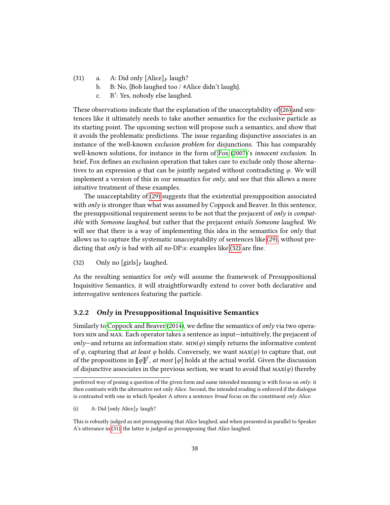- (31) a. A: Did only  $[\text{Alice}]_F$  laugh?<br>b. B: No. {Bob laughed too / #/
	- b. B: No, {Bob laughed too / #Alice didn't laugh}.
	- c. B': Yes, nobody else laughed.

These observations indicate that the explanation of the unacceptability of [\(26\)](#page-39-5) and sentences like it ultimately needs to take another semantics for the exclusive particle as its starting point. The upcoming section will propose such a semantics, and show that it avoids the problematic predictions. The issue regarding disjunctive associates is an instance of the well-known exclusion problem for disjunctions. This has comparably well-known solutions, for instance in the form of [Fox](#page-104-1) [\(2007\)](#page-104-1)'s *innocent exclusion*. In brief, Fox defines an exclusion operation that takes care to exclude only those alternatives to an expression  $\varphi$  that can be jointly negated without contradicting  $\varphi$ . We will implement a version of this in our semantics for  $\frac{only}{,}$  and see that this allows a more intuitive treatment of these examples.

The unacceptability of [\(29\)](#page-40-1) suggests that the existential presupposition associated with  $\partial_l v$  is stronger than what was assumed by Coppock and Beaver. In this sentence, the presuppositional requirement seems to be not that the prejacent of *only* is *compat*ible with Someone laughed, but rather that the prejacent entails Someone laughed. We will see that there is a way of implementing this idea in the semantics for *only* that allows us to capture the systematic unacceptability of sentences like [\(29\),](#page-40-1) without predicting that only is bad with all no-DP:s: examples like  $(32)$  are fine.

<span id="page-41-0"></span>(32) Only no  $\left[\text{girls}\right]_F$  laughed.

As the resulting semantics for only will assume the framework of Presuppositional Inquisitive Semantics, it will straightforwardly extend to cover both declarative and interrogative sentences featuring the particle.

## <span id="page-41-1"></span>3.2.2 Only in Presuppositional Inquisitive Semantics

Similarly to [Coppock and Beaver](#page-104-0)  $(2014)$ , we define the semantics of *only* via two operators min and max. Each operator takes a sentence as input—intuitively, the prejacent of only—and returns an information state.  $MIN(\varphi)$  simply returns the informative content of  $\varphi$ , capturing that *at least*  $\varphi$  holds. Conversely, we want  $\text{MAX}(\varphi)$  to capture that, out of the propositions in  $\llbracket \varphi \rrbracket^f$  , *at most*  $\llbracket \varphi \rrbracket$  holds at the actual world. Given the discussion of disjunctive associates in the previous section, we want to avoid that  $\text{max}(\varphi)$  thereby

preferred way of posing a question of the given form and same intended meaning is with focus on only: it then contrasts with the alternative not only Alice. Second, the intended reading is enforced if the dialogue is contrasted with one in which Speaker A utters a sentence broad focus on the constituent only Alice:

<sup>(</sup>i) A: Did [only Alice]  $\llbracket F \rceil$  laugh?

This is robustly judged as not presupposing that Alice laughed, and when presented in parallel to Speaker A's utterance in [\(31\),](#page-40-3) the latter is judged as presupposing that Alice laughed.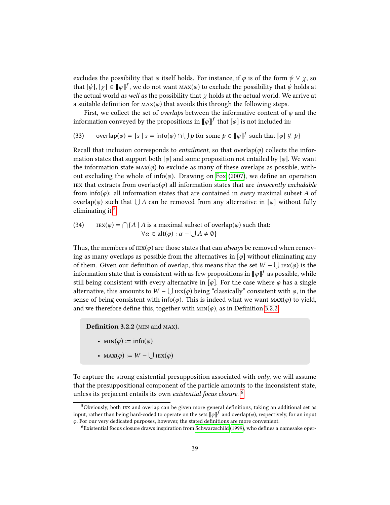excludes the possibility that  $\varphi$  itself holds. For instance, if  $\varphi$  is of the form  $\psi \lor \chi$ , so that  $[\psi], [\chi] \in [\![\varphi]\!]^f$ , we do not want  $\max(\varphi)$  to exclude the possibility that  $\psi$  holds at the actual world. We arrive at the actual world as well as the possibility that  $\gamma$  holds at the actual world. We arrive at a suitable definition for  $\text{max}(\varphi)$  that avoids this through the following steps.

First, we collect the set of *overlaps* between the informative content of  $\varphi$  and the information conveyed by the propositions in  $\llbracket \varphi \rrbracket^{f}$  that  $[\varphi]$  is not included in:

(33) overlap(
$$
\varphi
$$
) = {s | s = info( $\varphi$ )  $\cap \bigcup p$  for some  $p \in [\![\varphi]\!]^f$  such that [ $\varphi$ ]  $\nsubseteq p$ }

Recall that inclusion corresponds to *entailment*, so that overlap $(\varphi)$  collects the information states that support both  $\lbrack \varphi \rbrack$  and some proposition not entailed by  $\lbrack \varphi \rbrack$ . We want the information state  $\text{MAX}(\varphi)$  to exclude as many of these overlaps as possible, without excluding the whole of info( $\varphi$ ). Drawing on [Fox](#page-104-1) [\(2007\)](#page-104-1), we define an operation iex that extracts from overlap( $\varphi$ ) all information states that are *innocently excludable* from info( $\varphi$ ): all information states that are contained in *every* maximal subset A of overlap( $\varphi$ ) such that  $\bigcup A$  can be removed from any alternative in [ $\varphi$ ] without fully eliminating it. $5$ 

(34)  $\qquad \text{LEX}(\varphi) = \bigcap \{A \mid A \text{ is a maximal subset of overlap}(\varphi) \text{ such that:}$  $\forall \alpha \in \text{alt}(\varphi) : \alpha - \bigcup A \neq \emptyset$ 

Thus, the members of  $\text{lex}(\varphi)$  are those states that can *always* be removed when removing as many overlaps as possible from the alternatives in  $[\varphi]$  without eliminating any of them. Given our definition of overlap, this means that the set  $W - \bigcup \text{rex}(\varphi)$  is the information state that is consistent with as few propositions in  $\llbracket \varphi \rrbracket^{f}$  as possible, while still being consistent with every alternative in [ $\varphi$ ]. For the case where  $\varphi$  has a single alternative, this amounts to  $W - ∪$  ι $\text{EX}(\varphi)$  being "classically" consistent with  $\varphi$ , in the sense of being consistent with info( $\varphi$ ). This is indeed what we want  $\text{MAX}(\varphi)$  to yield, and we therefore define this, together with  $MIN(\varphi)$ , as in Definition [3.2.2.](#page-42-1)

<span id="page-42-1"></span>Definition 3.2.2 ( $MIN$  and  $MAX$ ).

- $MIN(\varphi) := \text{info}(\varphi)$
- MAX $(\varphi) := W \bigcup \text{LEX}(\varphi)$

To capture the strong existential presupposition associated with *only*, we will assume that the presuppositional component of the particle amounts to the inconsistent state, unless its prejacent entails its own *existential focus closure.*  $^6$  $^6$ 

<span id="page-42-0"></span><sup>&</sup>lt;sup>5</sup>Obviously, both IEX and overlap can be given more general definitions, taking an additional set as input, rather than being hard-coded to operate on the sets  $\llbracket \varphi \rrbracket^f$  and overlap( $\varphi$ ), respectively, for an input  $\varphi$ . For our very dedicated purposes, however, the stated definitions are more convenient.

<span id="page-42-2"></span><sup>&</sup>lt;sup>6</sup>Existential focus closure draws inspiration from [Schwarzschild](#page-106-2) [\(1999\)](#page-106-2), who defines a namesake oper-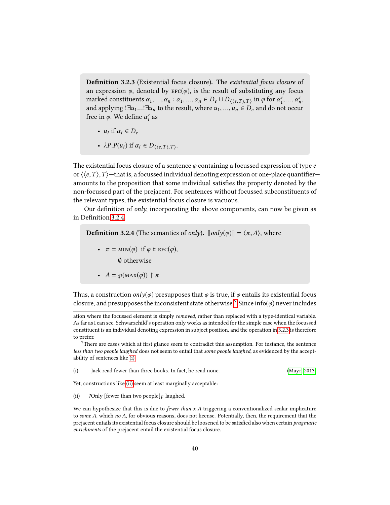<span id="page-43-2"></span>**Definition 3.2.3** (Existential focus closure). The existential focus closure of an expression  $\varphi$ , denoted by  $\text{EFC}(\varphi)$ , is the result of substituting any focus marked constituents  $\alpha_1, ..., \alpha_n : \alpha_1, ..., \alpha_n \in D_e \cup D_{\langle e, T \rangle, T}$  in  $\varphi$  for  $\alpha'_1, ..., \alpha'_n$ ,<br>and applying  $\Box u$ ,  $\Box u$  to the result where  $u$ ,  $\vdots$   $\vdots$   $\Box$  and do not occur and applying ! $\exists u_1...!\exists u_n$  to the result, where  $u_1,...,u_n \in D_e$  and do not occur<br>free in  $\emptyset$ . We define  $\alpha'$  as free in  $\varphi$ . We define  $\alpha'_i$  as

- $u_i$  if  $\alpha_i \in D_e$
- $\lambda P.P(u_i)$  if  $\alpha_i \in D_{\langle \langle e, T \rangle, T \rangle}$ .

The existential focus closure of a sentence  $\varphi$  containing a focussed expression of type  $e$ or  $\langle\langle e,T\rangle,T\rangle$ —that is, a focussed individual denoting expression or one-place quantifier amounts to the proposition that some individual satisfies the property denoted by the non-focussed part of the prejacent. For sentences without focussed subconstituents of the relevant types, the existential focus closure is vacuous.

Our definition of only, incorporating the above components, can now be given as in Definition [3.2.4.](#page-43-0)

<span id="page-43-0"></span>**Definition 3.2.4** (The semantics of *only*).  $\llbracket \text{only}(\varphi) \rrbracket = \langle \pi, A \rangle$ , where

• 
$$
\pi = \min(\varphi)
$$
 if  $\varphi \models \text{EFC}(\varphi)$ ,

∅ otherwise

• 
$$
A = \wp(\max(\varphi)) \upharpoonright \pi
$$

Thus, a construction  $\text{only}(\varphi)$  presupposes that  $\varphi$  is true, if  $\varphi$  entails its existential focus closure, and presupposes the inconsistent state otherwise.<sup>[7](#page-43-1)</sup> Since info( $\varphi$ ) never includes

<span id="page-43-1"></span> $7$ There are cases which at first glance seem to contradict this assumption. For instance, the sentence less than two people laughed does not seem to entail that some people laughed, as evidenced by the acceptability of sentences like [\(i\).](#page-43-3)

<span id="page-43-3"></span>

| (i) | Jack read fewer than three books. In fact, he read none. | (Mayr. 2013) |
|-----|----------------------------------------------------------|--------------|
|-----|----------------------------------------------------------|--------------|

<span id="page-43-4"></span>Yet, constructions like [\(ii\)](#page-43-4) seem at least marginally acceptable:

(ii) ? Only [fewer than two people] $_F$  laughed.

We can hypothesize that this is due to *fewer than x A* triggering a conventionalized scalar implicature to some A, which no A, for obvious reasons, does not license. Potentially, then, the requirement that the prejacent entails its existential focus closure should be loosened to be satisfied also when certain *pragmatic* enrichments of the prejacent entail the existential focus closure.

ation where the focussed element is simply removed, rather than replaced with a type-identical variable. As far as I can see, Schwarzchild's operation only works as intended for the simple case when the focussed constituent is an individual denoting expression in subject position, and the operation in [3.2.3](#page-43-2) is therefore to prefer.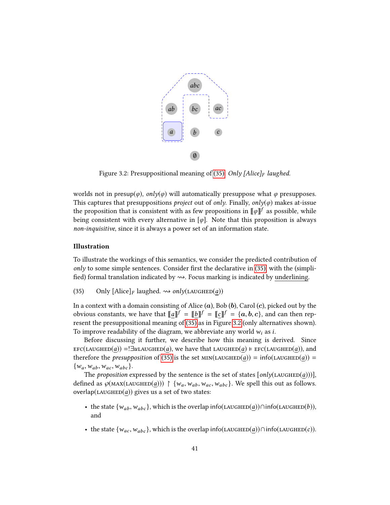

<span id="page-44-1"></span>Figure 3.2: Presuppositional meaning of [\(35\):](#page-44-0) Only [Alice]<sub>F</sub> laughed.

worlds not in presup $(\varphi)$ , only $(\varphi)$  will automatically presuppose what  $\varphi$  presupposes. This captures that presuppositions *project* out of *only*. Finally, *only(* $\varphi$ *)* makes at-issue the proposition that is consistent with as few propositions in  $\llbracket \varphi \rrbracket^{f}$  as possible, while being consistent with every alternative in  $[\varphi]$ . Note that this proposition is always non-inquisitive, since it is always a power set of an information state.

## Illustration

To illustrate the workings of this semantics, we consider the predicted contribution of  $only$  to some simple sentences. Consider first the declarative in [\(35\),](#page-44-0) with the (simplified) formal translation indicated by  $\rightsquigarrow$ . Focus marking is indicated by underlining.

<span id="page-44-0"></span>(35) Only  $[\text{Alice}]_F$  laughed.  $\rightsquigarrow only(\text{LAUCHED}(a))$ 

In a context with a domain consisting of Alice  $(a)$ , Bob  $(b)$ , Carol  $(c)$ , picked out by the obvious constants, we have that  $\llbracket a \rrbracket^f = \llbracket b \rrbracket^f = \llbracket c \rrbracket^f = \{a, b, c\}$ , and can then rep-<br>recent the presuppositional meaning of (35) as in Figure 3.2 (only alternatives shown). resent the presuppositional meaning of [\(35\)](#page-44-0) as in Figure [3.2](#page-44-1) (only alternatives shown). To improve readability of the diagram, we abbreviate any world  $w_i$  as i.

Before discussing it further, we describe how this meaning is derived. Since  $\text{EFC}(\text{LAUCHED}(a)) = \exists u \text{LAUCHED}(a)$ , we have that LAUGHED(a)  $\models \text{EFC}(\text{LAUCHED}(a))$ , and therefore the *presupposition* of [\(35\)](#page-44-0) is the set  $MIN(LAUGHED(a)) = info(LAUGHED(a)) =$  $\{w_a, w_{ab}, w_{ac}, w_{abc}\}.$ 

The proposition expressed by the sentence is the set of states  $[only(LAUGHED(a)))]$ , defined as  $\wp(\text{MAX}(\text{LAUCHED}(a))) \upharpoonright \{w_a, w_{ab}, w_{ac}, w_{abc}\}.$  We spell this out as follows. overlap(LAUGHED $(a)$ ) gives us a set of two states:

- the state  $\{w_{ab}, w_{abc}\}$ , which is the overlap info(LAUGHED(a))∩info(LAUGHED(b)), and
- the state  $\{w_{ac}, w_{abc}\}$ , which is the overlap info(LAUGHED(a))∩info(LAUGHED(c)).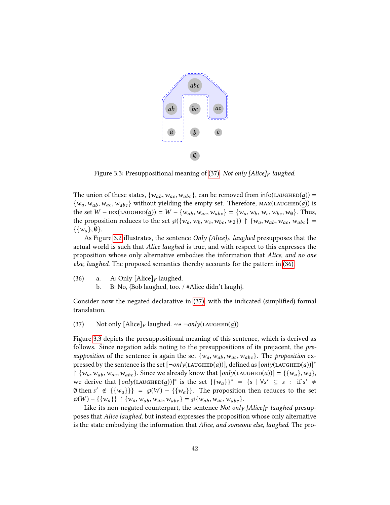

<span id="page-45-2"></span>Figure 3.3: Presuppositional meaning of [\(37\):](#page-45-0) Not only [Alice]<sub>F</sub> laughed.

The union of these states,  $\{w_{ab}, w_{ac}, w_{abc}\}$ , can be removed from info(LAUGHED(*a*)) =  $\{w_a, w_{ab}, w_{ac}, w_{abc}\}$  without yielding the empty set. Therefore,  $\text{MAX}(\text{LAUCHED}(a))$  is the set  $W - \text{LEX}(\text{LAUGHED}(a)) = W - \{w_{ab}, w_{ac}, w_{abc}\} = \{w_a, w_b, w_c, w_{bc}, w_{\emptyset}\}.$  Thus, the proposition reduces to the set  $\wp({w_a, w_b, w_c, w_{bc}, w_{\emptyset}}) \upharpoonright {w_a, w_{ab}, w_{ac}, w_{abc}}$  $\{\{w_a\}, \emptyset\}.$ 

As Figure [3.2](#page-44-1) illustrates, the sentence *Only [Alice]<sub>F</sub>* laughed presupposes that the actual world is such that Alice laughed is true, and with respect to this expresses the proposition whose only alternative embodies the information that Alice, and no one else, laughed. The proposed semantics thereby accounts for the pattern in [\(36\).](#page-45-1)

- <span id="page-45-1"></span>(36) a. A: Only  $[\text{Alice}]_F$  laughed.<br>b. B: No,  $[\text{Bob}$  laughed, too.
	- b. B: No, {Bob laughed, too. / #Alice didn't laugh}.

Consider now the negated declarative in [\(37\),](#page-45-0) with the indicated (simplied) formal translation.

<span id="page-45-0"></span>(37) Not only  $[\text{Alice}]_F$  laughed.  $\leadsto \neg \text{only}(\text{LAUGHED}(a))$ 

Figure [3.3](#page-45-2) depicts the presuppositional meaning of this sentence, which is derived as follows. Since negation adds noting to the presuppositions of its prejacent, the presupposition of the sentence is again the set  $\{w_a, w_{ab}, w_{ac}, w_{abc}\}$ . The proposition expressed by the sentence is the set  $[\neg only(\text{LAUGHED}(a))]$ , defined as  $[only(\text{LAUGHED}(a))]^*$  $\upharpoonright \{w_a, w_{ab}, w_{ac}, w_{abc}\}.$  Since we already know that  $[only(\text{LAUGHED}(a))] = \{\{w_a\}, w_{\emptyset}\},\$ we derive that  $[only(LAUGHED(a))]^*$  is the set  $\{(w_a)\}^* = \{s \mid \forall s' \subseteq s : \text{if } s' \neq 0\}$  $\emptyset$  then s'  $\notin$  {{w<sub>a</sub>}}} =  $\emptyset$ (W) – {{w<sub>a</sub>}}. The proposition then reduces to the set  $\wp(W) - \{\{w_a\}\}\upharpoonright \{w_a, w_{ab}, w_{ac}, w_{abc}\} = \wp\{w_{ab}, w_{ac}, w_{abc}\}.$ 

Like its non-negated counterpart, the sentence Not only  $[Alice]_F$  laughed presupposes that Alice laughed, but instead expresses the proposition whose only alternative is the state embodying the information that Alice, and someone else, laughed. The pro-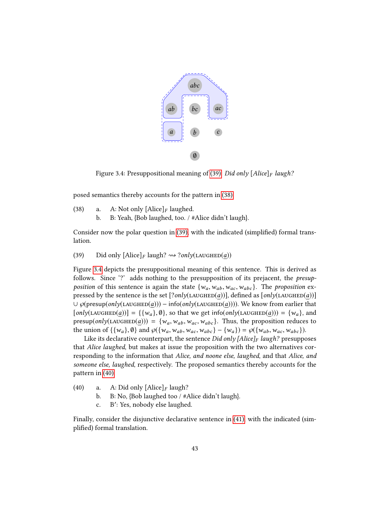

<span id="page-46-2"></span>Figure 3.4: Presuppositional meaning of [\(39\):](#page-46-0) Did only  $[Alice]_F$  laugh?

<span id="page-46-1"></span>posed semantics thereby accounts for the pattern in [\(38\).](#page-46-1)

(38) a. A: Not only  $[\text{Alice}]_F$  laughed.<br>b. B: Yeah,  $[\text{Bob} \text{ language}]$ , too. / # b. B: Yeah, {Bob laughed, too. / #Alice didn't laugh}.

Consider now the polar question in [\(39\),](#page-46-0) with the indicated (simplified) formal translation.

<span id="page-46-0"></span>(39) Did only  $[\text{Alice}]_F$  laugh?  $\rightsquigarrow ?only(\text{LAUGHED}(a))$ 

Figure [3.4](#page-46-2) depicts the presuppositional meaning of this sentence. This is derived as follows. Since '?' adds nothing to the presupposition of its prejacent, the presupposition of this sentence is again the state  $\{w_a, w_{ab}, w_{ac}, w_{abc}\}$ . The proposition expressed by the sentence is the set  $[?only(LAUGHED(a))]$ , defined as  $[only(LAUGHED(a))]$  $∪$   $\varphi$ (presup(only(LAUGHED(a))) – info(only(LAUGHED(a)))). We know from earlier that  $[only(LAUGHED(a))] = {\{w_a\}, \emptyset}$ , so that we get info(only(LAUGHED(a))) =  $\{w_a\}$ , and presup(only(LAUGHED(a))) = { $w_a, w_{ab}, w_{ac}, w_{abc}$ }. Thus, the proposition reduces to the union of  $\{\{w_a\}, \emptyset\}$  and  $\wp(\{w_a, w_{ab}, w_{ac}, w_{abc}\} - \{w_a\}) = \wp(\{w_{ab}, w_{ac}, w_{abc}\}).$ 

Like its declarative counterpart, the sentence Did only [Alice] $_F$  laugh? presupposes that Alice laughed, but makes at issue the proposition with the two alternatives corresponding to the information that Alice, and noone else, laughed, and that Alice, and someone else, laughed, respectively. The proposed semantics thereby accounts for the pattern in [\(40\).](#page-46-3)

- <span id="page-46-3"></span>(40) a. A: Did only  $[\text{Alice}]_F$  laugh?<br>b. B: No. {Bob laughed too / #/
	- b. B: No, {Bob laughed too / #Alice didn't laugh}.
	- c. B': Yes, nobody else laughed.

<span id="page-46-4"></span>Finally, consider the disjunctive declarative sentence in [\(41\),](#page-46-4) with the indicated (simplified) formal translation.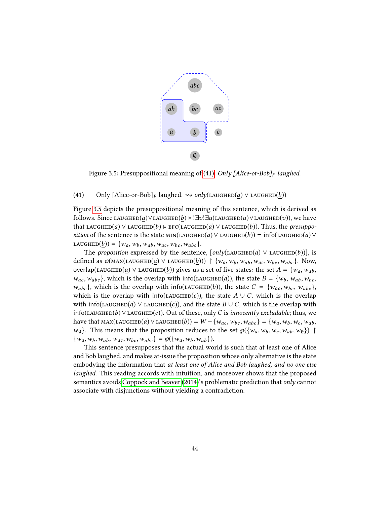

<span id="page-47-0"></span>Figure 3.5: Presuppositional meaning of [\(41\):](#page-46-4) Only [Alice-or-Bob] $_F$  laughed.

#### (41) Only  $[\text{Alice-or-Bob}]_F$  laughed.  $\rightsquigarrow only(\text{LAUGHED}(a) \vee \text{LAUGHED}(b))$

Figure [3.5](#page-47-0) depicts the presuppositional meaning of this sentence, which is derived as follows. Since LAUGHED(a)∨LAUGHED(b) = !∃v!∃u(LAUGHED(u)∨LAUGHED(v)), we have that LAUGHED(a) ∨ LAUGHED(b)  $\models$  EFC(LAUGHED(a) ∨ LAUGHED(b)). Thus, the presupposition of the sentence is the state  $MIN(LAUGHED(a) \vee LAUGHED(b)) = info(LAUGHED(a) \vee$ LAUGHED $(\underline{b})$ ) = { $w_a, w_b, w_{ab}, w_{ac}, w_{bc}, w_{abc}$  }.

The proposition expressed by the sentence,  $[only(LAUGHED(a) \vee LAUGHED(b))]$ , is defined as  $\wp(\text{MAX}(\text{LAUGHED}(\underline{a}) \vee \text{LAUGHED}(\underline{b}))) \upharpoonright {\{w_a, w_b, w_{ab}, w_{ac}, w_{bc}, w_{abc}\}}$ . Now, overlap(LAUGHED(a) ∨ LAUGHED(b)) gives us a set of five states: the set  $A = \{w_a, w_{ab},\}$  $w_{ac}$ ,  $w_{abc}$ , which is the overlap with info(LAUGHED(*a*)), the state  $B = \{w_b, w_{ab}, w_{bc},$  $w_{abc}$ , which is the overlap with info(LAUGHED(b)), the state  $C = \{w_{ac}, w_{bc}, w_{abc}\},$ which is the overlap with info(LAUGHED(c)), the state  $A \cup C$ , which is the overlap with info(LAUGHED(a) ∨ LAUGHED(c)), and the state  $B \cup C$ , which is the overlap with info(LAUGHED(b) ∨LAUGHED(c)). Out of these, only C is innocently excludable; thus, we have that  $\text{MAX}(\text{LAUGHED}(a) \vee \text{LAUGHED}(b)) = W - \{w_{ac}, w_{bc}, w_{abc}\} = \{w_a, w_b, w_c, w_{ab},$  $w_{\emptyset}$ . This means that the proposition reduces to the set  $\wp({w_a, w_b, w_c, w_{ab}, w_{\emptyset}})$  $\{w_a, w_b, w_{ab}, w_{ac}, w_{bc}, w_{abc}\} = \wp(\{w_a, w_b, w_{ab}\}).$ 

This sentence presupposes that the actual world is such that at least one of Alice and Bob laughed, and makes at-issue the proposition whose only alternative is the state embodying the information that at least one of Alice and Bob laughed, and no one else laughed. This reading accords with intuition, and moreover shows that the proposed semantics avoids [Coppock and Beaver](#page-104-0) [\(2014\)](#page-104-0)'s problematic prediction that only cannot associate with disjunctions without yielding a contradiction.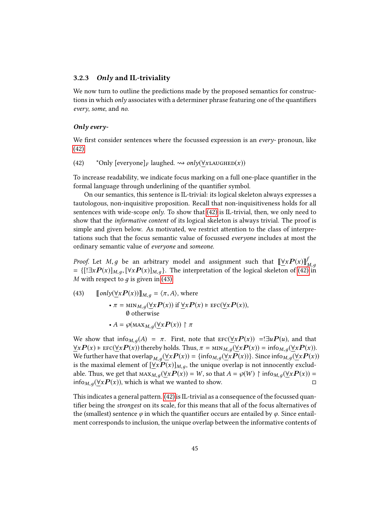## 3.2.3 Only and IL-triviality

We now turn to outline the predictions made by the proposed semantics for constructions in which *only* associates with a determiner phrase featuring one of the quantifiers every, some, and no.

#### Only every-

We first consider sentences where the focussed expression is an *every*- pronoun, like [\(42\).](#page-48-0)

<span id="page-48-0"></span>(42) \*Only  $[everyone]_F$  laughed.  $\rightsquigarrow$  only( $\forall$ xLAUGHED(x))

To increase readability, we indicate focus marking on a full one-place quantifier in the formal language through underlining of the quantifier symbol.

On our semantics, this sentence is IL-trivial: its logical skeleton always expresses a tautologous, non-inquisitive proposition. Recall that non-inquisitiveness holds for all sentences with wide-scope *only*. To show that  $(42)$  is IL-trivial, then, we only need to show that the informative content of its logical skeleton is always trivial. The proof is simple and given below. As motivated, we restrict attention to the class of interpretations such that the focus semantic value of focussed everyone includes at most the ordinary semantic value of everyone and someone.

*Proof.* Let *M*, *g* be an arbitrary model and assignment such that  $\left[\frac{\forall x P(x)}{n}\right]$ <br>=  $\left[\frac{1}{2}R P(x)\right]$ ,  $\left[\frac{1}{2}R P(x)\right]$ ,  $\left[\frac{1}{2}R P(x)\right]$ , The interpretation of the logical skeleton of (42) =  $\{[\exists x P(x)]_{M,g}, [\forall x P(x)]_{M,g}\}$ . The interpretation of the logical skeleton of [\(42\)](#page-48-0) in *M* with respect to a is given in (43) M with respect to  $q$  is given in [\(43\).](#page-48-1)

<span id="page-48-1"></span>(43) 
$$
[\![only(\underline{\forall}xP(x))]]\!]_{M,g} = \langle \pi, A \rangle, \text{ where}
$$

$$
\cdot \pi = \min_{M,g} (\underline{\forall}xP(x)) \text{ if } \underline{\forall}xP(x) \models \text{EFC}(\underline{\forall}xP(x)),
$$

$$
\emptyset \text{ otherwise}
$$

$$
\cdot A = \wp(\text{MAX}_{M,g}(\underline{\forall}xP(x)) \upharpoonright \pi
$$

We show that info $_{M,q}(A) = \pi$ . First, note that  $\text{EFC}(\forall x P(x)) = \exists u P(u)$ , and that  $\forall x P(x) \models \text{EFC}(\forall x P(x))$  thereby holds. Thus,  $\pi = \min_{M,q}(\forall x P(x)) = \text{info}_{M,q}(\forall x P(x)).$ We further have that overlap  $M, g(\forall x P(x)) = {\text{info}}_{M,g}(\forall x P(x))$ . Since  $\text{info}}_{M,g}(\forall x P(x))$ is the maximal element of  $[\forall x P(x)]_{M,g}$ , the unique overlap is not innocently exclud-<br>able Thus we get that  $\mathcal{U}(x, P(x)) = W$  as that  $A = \mathcal{Q}(W)$ , birsts  $(\forall x P(x)) =$ able. Thus, we get that  $\max_{M,g}(\forall x P(x)) = W$ , so that  $A = \wp(W) \upharpoonright \inf_{M,g}(\forall x P(x)) = \inf_{M,g}(\forall x P(x))$ , which is what we wanted to show. info<sub>M,  $q(\forall x P(x))$ </sub>, which is what we wanted to show.

This indicates a general pattern. [\(42\)](#page-48-0) is IL-trivial as a consequence of the focussed quantifier being the *strongest* on its scale, for this means that all of the focus alternatives of the (smallest) sentence  $\varphi$  in which the quantifier occurs are entailed by  $\varphi$ . Since entailment corresponds to inclusion, the unique overlap between the informative contents of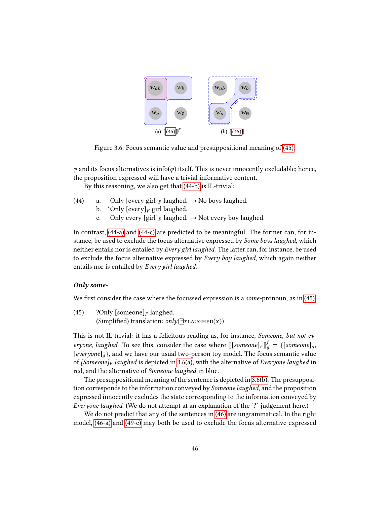<span id="page-49-5"></span><span id="page-49-4"></span>

Figure 3.6: Focus semantic value and presuppositional meaning of [\(45\).](#page-49-0)

 $\varphi$  and its focus alternatives is info( $\varphi$ ) itself. This is never innocently excludable; hence, the proposition expressed will have a trivial informative content.

By this reasoning, we also get that [\(44-b\)](#page-49-1) is IL-trivial:

- <span id="page-49-3"></span><span id="page-49-2"></span><span id="page-49-1"></span>(44) a. Only  $[every\, girl]_F$  laughed.  $\rightarrow$  No boys laughed.<br>b. \*Only  $[every]_F$  girl laughed.
	- b. \*Only  $[every]_F$  girl laughed.<br>c. Only every  $[girl]_F$  laughed.
	- Only every  $\left[\text{girl}\right]_F$  laughed.  $\rightarrow$  Not every boy laughed.

In contrast, [\(44-a\)](#page-49-2) and [\(44-c\)](#page-49-3) are predicted to be meaningful. The former can, for instance, be used to exclude the focus alternative expressed by Some boys laughed, which neither entails nor is entailed by Every girl laughed. The latter can, for instance, be used to exclude the focus alternative expressed by Every boy laughed, which again neither entails nor is entailed by Every girl laughed.

# Only some-

<span id="page-49-0"></span>We first consider the case where the focussed expression is a *some*-pronoun, as in  $(45)$ .

(45) ? Only [someone]<sub>F</sub> laughed. (Simplified) translation:  $\text{only}(\exists x \text{LA} \cup \text{GHED}(x))$ 

This is not IL-trivial: it has a felicitous reading as, for instance, Someone, but not everyone, laughed. To see this, consider the case where  $\llbracket$ [someone] $_F$ ] $\rrbracket_g^f = \{\llbracket$ someone] $g$ ,  $\llbracket g$  and we have our usual two-person toy model. The focus semantic value [everyone]<sub>a</sub>}, and we have our usual two-person toy model. The focus semantic value of  $[Someone]_F$  laughed is depicted in [3.6\(a\),](#page-49-4) with the alternative of Everyone laughed in red, and the alternative of Someone laughed in blue.

The presuppositional meaning of the sentence is depicted in [3.6\(b\).](#page-49-5) The presupposition corresponds to the information conveyed by Someone laughed, and the proposition expressed innocently excludes the state corresponding to the information conveyed by Everyone laughed. (We do not attempt at an explanation of the '?'-judgement here.)

We do not predict that any of the sentences in [\(46\)](#page-50-0) are ungrammatical. In the right model, [\(46-a\)](#page-50-1) and [\(49-c\)](#page-50-2) may both be used to exclude the focus alternative expressed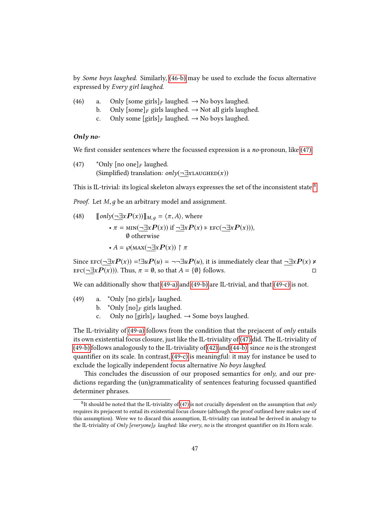by Some boys laughed. Similarly, [\(46-b\)](#page-50-3) may be used to exclude the focus alternative expressed by Every girl laughed.

- <span id="page-50-3"></span><span id="page-50-1"></span><span id="page-50-0"></span>(46) a. Only  $[\text{some girls}]_F$  laughed.  $\rightarrow$  No boys laughed.<br>b. Only  $[\text{some}]_F$  girls laughed.  $\rightarrow$  Not all girls laugh
	- b. Only  $[\text{some}]_F$  girls laughed.  $\rightarrow$  Not all girls laughed.<br>c. Only some  $[\text{girls}]_F$  laughed.  $\rightarrow$  No boys laughed.
	- Only some  $[girls]_F$  laughed.  $\rightarrow$  No boys laughed.

## Only no-

<span id="page-50-4"></span>We first consider sentences where the focussed expression is a no-pronoun, like  $(47)$ .

(47) \*Only [no one]<sub>F</sub> laughed. (Simplified) translation:  $\text{only}(\neg \exists x \text{LAUGHED}(x))$ 

This is IL-trivial: its logical skeleton always expresses the set of the inconsistent state.<sup>[8](#page-50-5)</sup>

*Proof.* Let *M*, *g* be an arbitrary model and assignment.

(48) 
$$
[\![only(\underline{\neg \exists x} P(x))] \!]_{M,g} = \langle \pi, A \rangle, \text{ where}
$$

$$
\cdot \pi = \min(\underline{\neg \exists x} P(x)) \text{ if } \underline{\neg \exists x} P(x) \models \text{EFC}(\underline{\neg \exists x} P(x))),
$$

$$
\emptyset \text{ otherwise}
$$

$$
\cdot A = \wp(\text{max}(\underline{\neg \exists x} P(x)) \upharpoonright \pi
$$

Since  $\text{EFC}(\neg \exists x P(x)) = \exists u P(u) = \neg \exists u P(u)$ , it is immediately clear that  $\neg \exists x P(x) \neq \exists x P(x)$  $\text{EFC}(\neg \exists x \mathbf{P}(x))$ . Thus,  $\pi = \emptyset$ , so that  $A = \{\emptyset\}$  follows.

We can additionally show that [\(49-a\)](#page-50-6) and [\(49-b\)](#page-50-7) are IL-trivial, and that [\(49-c\)](#page-50-2) is not.

- <span id="page-50-7"></span><span id="page-50-6"></span><span id="page-50-2"></span>(49) a. \*Only  $\lceil n \cdot \text{or} \cdot \text{or} \cdot \text{or} \cdot \text{or} \cdot \text{or} \cdot \text{or} \cdot \text{or} \cdot \text{or} \cdot \text{or} \cdot \text{or} \cdot \text{or} \cdot \text{or} \cdot \text{or} \cdot \text{or} \cdot \text{or} \cdot \text{or} \cdot \text{or} \cdot \text{or} \cdot \text{or} \cdot \text{or} \cdot \text{or} \cdot \text{or} \cdot \text{or} \cdot \text{or} \cdot \text{or} \cdot \text{or} \cdot \text{or} \cdot \text{or} \cdot \text{or$ 
	- b. \*Only  $[no]_F$  girls laughed.<br>c. Only no  $[girls]_F$  laughed.
	- Only no  $\lceil \text{girls} \rceil_F$  laughed.  $\rightarrow$  Some boys laughed.

The IL-triviality of [\(49-a\)](#page-50-6) follows from the condition that the prejacent of *only* entails its own existential focus closure, just like the IL-triviality of [\(47\)](#page-50-4) did. The IL-triviality of [\(49-b\)](#page-50-7) follows analogously to the IL-triviality of [\(42\)](#page-48-0) and [\(44-b\),](#page-49-1) since no is the strongest quantifier on its scale. In contrast,  $(49-c)$  is meaningful: it may for instance be used to exclude the logically independent focus alternative No boys laughed.

This concludes the discussion of our proposed semantics for *only*, and our predictions regarding the (un)grammaticality of sentences featuring focussed quantified determiner phrases.

<span id="page-50-5"></span> ${}^{8}$ It should be noted that the IL-triviality of [\(47\)](#page-50-4) is not crucially dependent on the assumption that only requires its prejacent to entail its existential focus closure (although the proof outlined here makes use of this assumption). Were we to discard this assumption, IL-triviality can instead be derived in analogy to the IL-triviality of Only [everyone] $_F$  laughed: like every, no is the strongest quantifier on its Horn scale.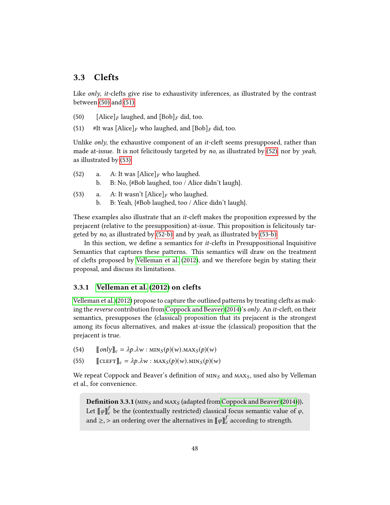# 3.3 Clefts

Like only, it-clefts give rise to exhaustivity inferences, as illustrated by the contrast between [\(50\)](#page-51-0) and [\(51\).](#page-51-1)

- <span id="page-51-1"></span><span id="page-51-0"></span>(50) [Alice]<sub>F</sub> laughed, and  $[Bob]_F$  did, too.
- (51) #It was  $[\text{Alice}]_F$  who laughed, and  $[\text{Bob}]_F$  did, too.

Unlike *only*, the exhaustive component of an *it*-cleft seems presupposed, rather than made at-issue. It is not felicitously targeted by no, as illustrated by  $(52)$ , nor by *yeah*, as illustrated by [\(53\).](#page-51-3)

- <span id="page-51-4"></span><span id="page-51-2"></span>(52) a. A: It was  $[\text{Alice}]_F$  who laughed.<br>b. B: No,  $\{\text{\#Bob} \text{ laughed, too / Alice}\}$ b. B: No, {#Bob laughed, too / Alice didn't laugh}.
- <span id="page-51-5"></span><span id="page-51-3"></span>(53) a. A: It wasn't  $[\text{Alice}]_F$  who laughed.<br>b. B: Yeah,  $\{\text{\#Bob\ laughed, too / Alice}}$ 
	- b. B: Yeah, {#Bob laughed, too / Alice didn't laugh}.

These examples also illustrate that an it-cleft makes the proposition expressed by the prejacent (relative to the presupposition) at-issue. This proposition is felicitously targeted by no, as illustrated by [\(52-b\),](#page-51-4) and by yeah, as illustrated by [\(53-b\).](#page-51-5)

In this section, we define a semantics for  $it$ -clefts in Presuppositional Inquisitive Semantics that captures these patterns. This semantics will draw on the treatment of clefts proposed by [Velleman et al.](#page-107-0) [\(2012\)](#page-107-0), and we therefore begin by stating their proposal, and discuss its limitations.

# 3.3.1 [Velleman et al.](#page-107-0) [\(2012\)](#page-107-0) on clefts

[Velleman et al.](#page-107-0) [\(2012\)](#page-107-0) propose to capture the outlined patterns by treating clefts as making the reverse contribution from [Coppock and Beaver](#page-104-0) [\(2014\)](#page-104-0)'s only. An it-cleft, on their semantics, presupposes the (classical) proposition that its prejacent is the strongest among its focus alternatives, and makes at-issue the (classical) proposition that the prejacent is true.

- (54)  $\text{[only]}_c = \lambda p \cdot \lambda w : \text{MIN}_S(p)(w) \cdot \text{MAX}_S(p)(w)$ <br>(55)  $\text{[CLEFT]}_c = \lambda p \cdot \lambda w : \text{MAX}_S(p)(w) \cdot \text{MIN}_S(p)(w)$
- $\llbracket \text{CLEFT} \rrbracket_c = \lambda p \cdot \lambda w : \text{MAX}_S(p)(w) \cdot \text{MIN}_S(p)(w)$

We repeat Coppock and Beaver's definition of  $M N_S$  and  $M A X_S$ , used also by Velleman et al., for convenience.

**Definition 3.3.1** ( $MIN_S$  and  $MAX_S$  (adapted from [Coppock and Beaver](#page-104-0) [\(2014\)](#page-104-0))). Let  $[\![\varphi]\!]_c^f$  be the (contextually restricted) classical focus semantic value of  $\varphi$ , and  $\geq$ ,  $>$  an ordering over the alternatives in  $\llbracket \varphi \rrbracket_c^f$  according to strength.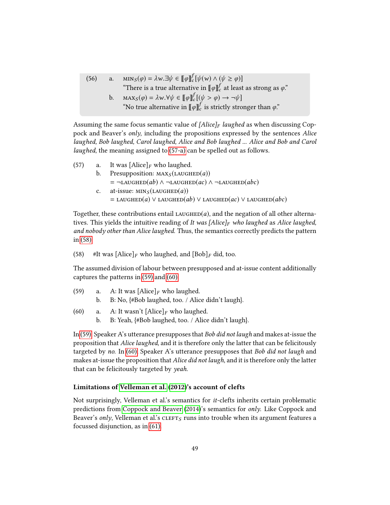(56) a.  $\text{MIN}_S(\varphi) = \lambda w \cdot \exists \psi \in [\![\varphi]\!]_c^f [\psi(w) \wedge (\psi \ge \varphi)]$ <br>"There is a two alternative in  $[\![x]\!]_c^f$  at least "There is a true alternative in  $[\![\varphi]\!]_c^f$  at least as strong as  $\varphi$ ." b.  $\max_S(\varphi) = \lambda w. \forall \psi \in [\![\varphi]\!]_c^f[(\psi > \varphi) \rightarrow \neg \psi]$ <br>"No ture alternative in  $[\![x]\!]^f$  is strictly stre "No true alternative in  $[\![\varphi]\!]_c^f$  is strictly stronger than  $\varphi$ ."

Assuming the same focus semantic value of  $[Alice]_F$  laughed as when discussing Coppock and Beaver's only, including the propositions expressed by the sentences Alice laughed, Bob laughed, Carol laughed, Alice and Bob laughed ... Alice and Bob and Carol laughed, the meaning assigned to [\(57-a\)](#page-52-0) can be spelled out as follows.

- <span id="page-52-0"></span>(57) a. It was  $[\text{Alice}]_F$  who laughed.<br>b. Presupposition:  $\text{MAX}_S(\text{LAUGH})$ Presupposition:  $\text{MAX}_S(\text{LAUGHED}(a))$  $= \neg$ LAUGHED(ab) ∧  $\neg$ LAUGHED(ac) ∧  $\neg$ LAUGHED(abc) c. at-issue:  $MIN_S(LAUGHED(a))$ 
	- = LAUGHED(a)  $\vee$  LAUGHED(ab)  $\vee$  LAUGHED(ac)  $\vee$  LAUGHED(abc)

Together, these contributions entail  $\text{LAUGHED}(a)$ , and the negation of all other alternatives. This yields the intuitive reading of It was [Alice]<sub>F</sub> who laughed as Alice laughed, and nobody other than Alice laughed. Thus, the semantics correctly predicts the pattern in [\(58\):](#page-52-1)

<span id="page-52-1"></span>(58) #It was  $[\text{Alice}]_F$  who laughed, and  $[\text{Bob}]_F$  did, too.

The assumed division of labour between presupposed and at-issue content additionally captures the patterns in [\(59\)](#page-52-2) and [\(60\).](#page-52-3)

- <span id="page-52-2"></span>(59) a. A: It was  $[\text{Alice}]_F$  who laughed.<br>b. B: No.  $\{\text{\#Bob} \text{ laughed, too. / Alice}\}$ 
	- b. B: No, {#Bob laughed, too. / Alice didn't laugh}.
- <span id="page-52-3"></span>(60) a. A: It wasn't  $[\text{Alice}]_F$  who laughed.<br>b. B: Yeah.  $\{\text{\#Bob\ lauehed. too. / Alice}\}$ 
	- b. B: Yeah, {#Bob laughed, too. / Alice didn't laugh}.

In [\(59\),](#page-52-2) Speaker A's utterance presupposes that Bob did not laugh and makes at-issue the proposition that Alice laughed, and it is therefore only the latter that can be felicitously targeted by no. In [\(60\),](#page-52-3) Speaker A's utterance presupposes that Bob did not laugh and makes at-issue the proposition that *Alice did not laugh*, and it is therefore only the latter that can be felicitously targeted by yeah.

#### Limitations of [Velleman et al.](#page-107-0) [\(2012\)](#page-107-0)'s account of clefts

<span id="page-52-4"></span>Not surprisingly, Velleman et al.'s semantics for it-clefts inherits certain problematic predictions from [Coppock and Beaver](#page-104-0) [\(2014\)](#page-104-0)'s semantics for only. Like Coppock and Beaver's only, Velleman et al.'s  $CLEFT_S$  runs into trouble when its argument features a focussed disjunction, as in [\(61\).](#page-52-4)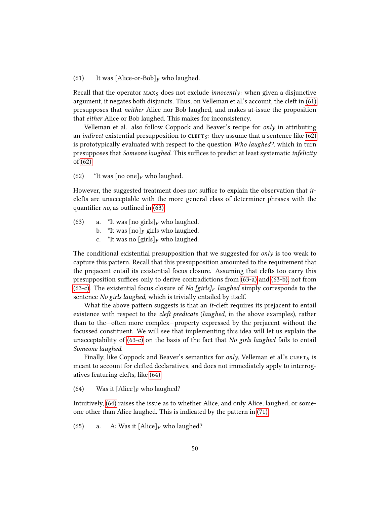(61) It was [Alice-or-Bob]<sub>F</sub> who laughed.

Recall that the operator  $\text{MAX}_S$  does not exclude *innocently*: when given a disjunctive argument, it negates both disjuncts. Thus, on Velleman et al.'s account, the cleft in [\(61\)](#page-52-4) presupposes that neither Alice nor Bob laughed, and makes at-issue the proposition that either Alice or Bob laughed. This makes for inconsistency.

Velleman et al. also follow Coppock and Beaver's recipe for only in attributing an *indirect* existential presupposition to  $CLETS$ : they assume that a sentence like [\(62\)](#page-53-1) is prototypically evaluated with respect to the question Who laughed?, which in turn presupposes that Someone laughed. This suffices to predict at least systematic infelicity of [\(62\):](#page-53-1)

<span id="page-53-1"></span>(62) \*It was  $\lceil \text{no one} \rceil_F$  who laughed.

However, the suggested treatment does not suffice to explain the observation that *it*clefts are unacceptable with the more general class of determiner phrases with the quantifier *no*, as outlined in  $(63)$ .

- <span id="page-53-5"></span><span id="page-53-4"></span><span id="page-53-3"></span><span id="page-53-2"></span>(63) a. \*It was  $[\text{no girls}]_F$  who laughed.
	- b. \*It was  $[no]_F$  girls who laughed.<br>c. \*It was no  $[girls]_F$  who laughed.
	- \*It was no  $\left[\text{girls}\right]_F$  who laughed.

The conditional existential presupposition that we suggested for *only* is too weak to capture this pattern. Recall that this presupposition amounted to the requirement that the prejacent entail its existential focus closure. Assuming that clefts too carry this presupposition suffices only to derive contradictions from  $(63-a)$  and  $(63-b)$ , not from [\(63-c\).](#page-53-5) The existential focus closure of No [girls]<sub>F</sub> laughed simply corresponds to the sentence No girls laughed, which is trivially entailed by itself.

What the above pattern suggests is that an *it*-cleft requires its prejacent to entail existence with respect to the *cleft predicate* (*laughed*, in the above examples), rather than to the—often more complex—property expressed by the prejacent without the focussed constituent. We will see that implementing this idea will let us explain the unacceptability of [\(63-c\)](#page-53-5) on the basis of the fact that No girls laughed fails to entail Someone laughed.

Finally, like Coppock and Beaver's semantics for only, Velleman et al.'s  $CLEFT_S$  is meant to account for clefted declaratives, and does not immediately apply to interrogatives featuring clefts, like [\(64\):](#page-53-0)

<span id="page-53-0"></span>(64) Was it  $[\text{Alice}]_F$  who laughed?

Intuitively, [\(64\)](#page-53-0) raises the issue as to whether Alice, and only Alice, laughed, or someone other than Alice laughed. This is indicated by the pattern in [\(71\).](#page-56-0)

(65) a. A: Was it  $[\text{Alice}]_F$  who laughed?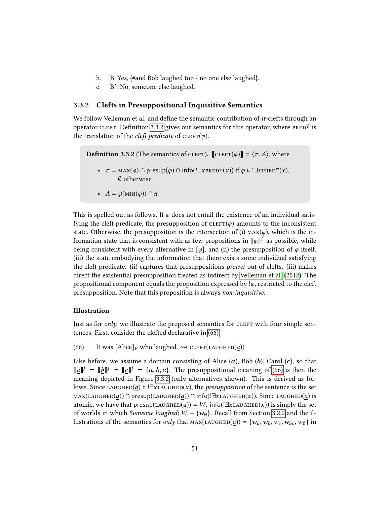- b. B: Yes, {#and Bob laughed too / no one else laughed}.
- c. B': No, someone else laughed.

# 3.3.2 Clefts in Presuppositional Inquisitive Semantics

We follow Velleman et al. and define the semantic contribution of *it*-clefts through an operator cleft. Definition [3.3.2](#page-54-0) gives our semantics for this operator, where  $\tt PRED^{\varphi}$  is the translation of the *cleft predicate* of  $CLEFT(\varphi)$ .

<span id="page-54-0"></span>**Definition 3.3.2** (The semantics of CLEFT).  $\Vert$ CLEFT $(\varphi) \Vert = \langle \pi, A \rangle$ , where

- $\pi = \max(\varphi) \cap \text{presup}(\varphi) \cap \text{info}(!\exists x \text{pRED}^{\varphi}(x)) \text{ if } \varphi \models !\exists x \text{pRED}^{\varphi}(x),$ ∅ otherwise
- $A = \wp(\min(\varphi)) \upharpoonright \pi$

This is spelled out as follows. If  $\varphi$  does not entail the existence of an individual satisfying the cleft predicate, the presupposition of  $CLEFT(\varphi)$  amounts to the inconsistent state. Otherwise, the presupposition is the intersection of (i)  $\text{MAX}(\varphi)$ , which is the information state that is consistent with as few propositions in  $\llbracket \varphi \rrbracket^f$  as possible, while being consistent with every alternative in  $[\varphi]$ , and (ii) the presupposition of  $\varphi$  itself, (iii) the state embodying the information that there exists some individual satisfying the cleft predicate. (ii) captures that presuppositions project out of clefts. (iii) makes direct the existential presupposition treated as indirect by [Velleman et al.](#page-107-0) [\(2012\)](#page-107-0). The propositional component equals the proposition expressed by  $\phi$ , restricted to the cleft presupposition. Note that this proposition is always non-inquisitive.

#### <span id="page-54-2"></span>Illustration

Just as for  $only$ , we illustrate the proposed semantics for CLEFT with four simple sentences. First, consider the clefted declarative in [\(66\).](#page-54-1)

<span id="page-54-1"></span>(66) It was  $[\text{Alice}]_F$  who laughed.  $\rightsquigarrow$  CLEFT(LAUGHED(*a*))

Like before, we assume a domain consisting of Alice  $(a)$ , Bob  $(b)$ , Carol  $(c)$ , so that  $\llbracket a \rrbracket^f = \llbracket b \rrbracket^f = \llbracket c \rrbracket^f = \{a, b, c\}.$  The presuppositional meaning of [\(66\)](#page-54-1) is then the meaning depicted in Figure 3.3.2 (only alternatives shown). This is derived as folmeaning depicted in Figure [3.3.2](#page-54-2) (only alternatives shown). This is derived as follows. Since LAUGHED(a)  $\models$  ! $\exists$ xLAUGHED(x), the *presupposition* of the sentence is the set  $\text{MAX}(\text{LAUCHED}(a)) \cap \text{presup}(\text{LAUCHED}(a)) \cap \text{info}(\exists \text{XLAUGHED}(x))$ . Since LAUGHED(a) is atomic, we have that  $presup(LAUGHED(a)) = W$ . info(! $\exists x$ LAUGHED(x)) is simply the set of worlds in which Someone laughed;  $W - \{w_0\}$ . Recall from Section [3.2.2](#page-41-1) and the illustrations of the semantics for only that  $\text{MAX}(\text{LAUGHED}(a)) = \{w_a, w_b, w_c, w_{bc}, w_{0}\}$  in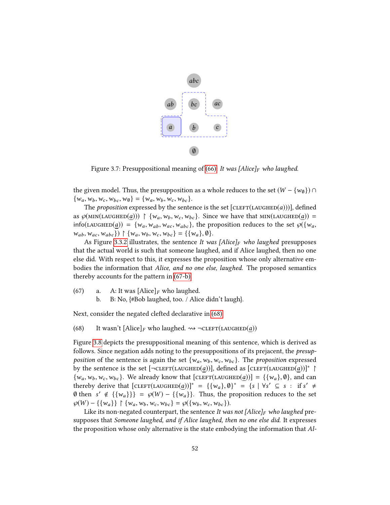

Figure 3.7: Presuppositional meaning of [\(66\):](#page-54-1) It was [Alice]<sub>F</sub> who laughed.

the given model. Thus, the presupposition as a whole reduces to the set  $(W - \{w_0\}) \cap$  $\{w_a, w_b, w_c, w_{bc}, w_{0}\} = \{w_a, w_b, w_c, w_{bc}\}.$ 

The proposition expressed by the sentence is the set  $[\text{cleft}(\text{Laugheo}(a))]$ , defined as  $\wp(\text{MIN}(\text{LAUGHED}(a))) \restriction \{w_a, w_b, w_c, w_{bc}\}.$  Since we have that  $\text{MIN}(\text{LAUGHED}(a)) =$ info(LAUGHED(a)) = { $w_a, w_{ab}, w_{ac}, w_{abc}$ }, the proposition reduces to the set  $\wp({w_a, w_{ab}, w_{ac}, w_{abc}})$  $w_{ab}, w_{ac}, w_{abc}$  }  $\upharpoonright$  { $w_a, w_b, w_c, w_{bc}$ } = {{ $w_a$ },  $\emptyset$  }.

As Figure [3.3.2](#page-54-2) illustrates, the sentence It was [Alice] $_F$  who laughed presupposes that the actual world is such that someone laughed, and if Alice laughed, then no one else did. With respect to this, it expresses the proposition whose only alternative embodies the information that Alice, and no one else, laughed. The proposed semantics thereby accounts for the pattern in [\(67-b\).](#page-55-0)

- <span id="page-55-0"></span>(67) a. A: It was  $[\text{Alice}]_F$  who laughed.<br>b. B: No.  $\{\text{\#Bob} \text{ laughed. too. / Alice}\}$ 
	- b. B: No, {#Bob laughed, too. / Alice didn't laugh}.

<span id="page-55-1"></span>Next, consider the negated clefted declarative in [\(68\).](#page-55-1)

(68) It wasn't  $[\text{Alice}]_F$  who laughed.  $\rightsquigarrow \neg \text{CLEFT}(\text{LAUGHED}(a))$ 

Figure [3.8](#page-56-1) depicts the presuppositional meaning of this sentence, which is derived as follows. Since negation adds noting to the presuppositions of its prejacent, the presupposition of the sentence is again the set  $\{w_a, w_b, w_c, w_{bc}\}$ . The proposition expressed by the sentence is the set  $[\neg {\texttt{CLEFT}}(\texttt{LAUGHED}(a))]$ , defined as  $[{\texttt{CLEFT}}(\texttt{LAUGHED}(a))]^*$  $\{w_a, w_b, w_c, w_{bc}\}.$  We already know that  $[c{\rm LEFT}(\text{LAUGHED}(a))] = \{\{w_a\}, \emptyset\}$ , and can thereby derive that  $[\text{CLEFT}(\text{LAUGHED}(a))]^* = {\{w_a\}, \emptyset\}^* = {s | \forall s' \subseteq s : \text{if } s' \neq \emptyset \text{ then } s' \notin \mathcal{L}\}_{\mathcal{W}} \cup \bigcup_{s \in \mathcal{S}} \mathcal{L}\left\{\mathcal{L}w \cup \bigcup_{s \in \mathcal{S}} \mathcal{L}w \cup \bigcup_{s \in \mathcal{S}} \mathcal{L}w \cup \bigcup_{s \in \mathcal{S}} \mathcal{L}w \cup \bigcup_{s \in \mathcal{S}} \mathcal{L}w \cup$  $\emptyset$  then  $s' \notin \{\{w_a\}\}\ = \emptyset(W) - \{\{w_a\}\}\$ . Thus, the proposition reduces to the set  $\emptyset(W) - \{f_{W} \}$  by  $W = W_1 + \{w_a\}$  by  $W_2 + \{w_a\}$  by  $W_3 + \{w_a\}$  $\wp(W) - \{\{w_a\}\}\upharpoonright \{w_a, w_b, w_c, w_{bc}\} = \wp(\{w_b, w_c, w_{bc}\}).$ 

Like its non-negated counterpart, the sentence It was not [Alice]<sub>F</sub> who laughed presupposes that Someone laughed, and if Alice laughed, then no one else did. It expresses the proposition whose only alternative is the state embodying the information that Al-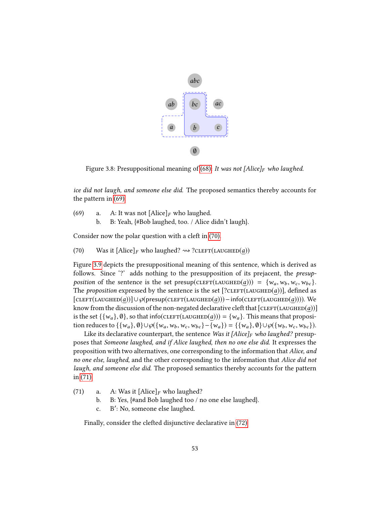

<span id="page-56-1"></span>Figure 3.8: Presuppositional meaning of [\(68\):](#page-55-1) It was not [Alice]<sub>F</sub> who laughed.

ice did not laugh, and someone else did. The proposed semantics thereby accounts for the pattern in [\(69\).](#page-56-2)

<span id="page-56-2"></span>(69) a. A: It was not  $[\text{Alice}]_F$  who laughed.<br>b. B: Yeah,  $\{\text{\#Bob} \}$  laughed, too. / Alice b. B: Yeah, {#Bob laughed, too. / Alice didn't laugh}.

<span id="page-56-3"></span>Consider now the polar question with a cleft in [\(70\).](#page-56-3)

(70) Was it  $[\text{Alice}]_F$  who laughed?  $\rightsquigarrow$  ? $\text{CLEFT}(\text{LAUGHED}(a))$ 

Figure [3.9](#page-57-0) depicts the presuppositional meaning of this sentence, which is derived as follows. Since '?' adds nothing to the presupposition of its prejacent, the presupposition of the sentence is the set presup(CLEFT(LAUGHED(a))) =  $\{w_a, w_b, w_c, w_{bc}\}.$ The *proposition* expressed by the sentence is the set  $[?CLEFT(LAUGHED(a))]$ , defined as  $[\text{CLEFT}(\text{LAUGHED}(a))] \cup \mathcal{O}(\text{presup}(\text{CLEFT}(\text{LAUGHED}(a)))-\text{info}(\text{CLEFT}(\text{LAUGHED}(a))))$ . We know from the discussion of the non-negated declarative cleft that  $[\text{cleft}(\text{Laughe}(a))]$ is the set  $\{\{w_a\}, \emptyset\}$ , so that info(CLEFT(LAUGHED(a))) =  $\{w_a\}$ . This means that proposition reduces to  $\{\{w_a\}, \emptyset\} \cup \wp(\{w_a, w_b, w_c, w_{bc}\} - \{w_a\}) = \{\{w_a\}, \emptyset\} \cup \wp(\{w_b, w_c, w_{bc}\}).$ 

Like its declarative counterpart, the sentence Was it [Alice]<sub>F</sub> who laughed? presupposes that Someone laughed, and if Alice laughed, then no one else did. It expresses the proposition with two alternatives, one corresponding to the information that Alice, and no one else, laughed, and the other corresponding to the information that Alice did not laugh, and someone else did. The proposed semantics thereby accounts for the pattern in [\(71\).](#page-56-0)

<span id="page-56-0"></span>(71) a. A: Was it  $[Alice]_F$  who laughed?<br>b. B: Yes, {#and Bob laughed too / n

- b. B: Yes, {#and Bob laughed too / no one else laughed}.
- c. B': No, someone else laughed.

<span id="page-56-4"></span>Finally, consider the clefted disjunctive declarative in [\(72\).](#page-56-4)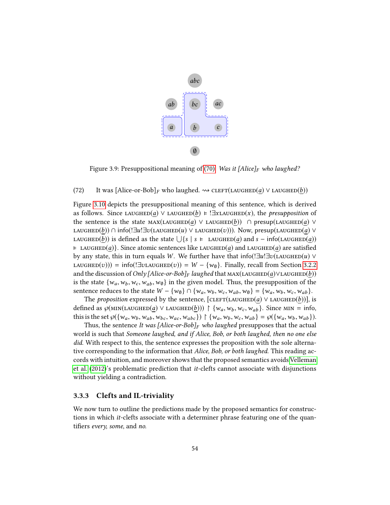

<span id="page-57-0"></span>Figure 3.9: Presuppositional meaning of [\(70\):](#page-56-3) Was it [Alice]<sub>F</sub> who laughed?

#### (72) It was  $[\text{Alice-or-Bob}]_F$  who laughed.  $\rightsquigarrow$  CLEFT(LAUGHED(a)  $\vee$  LAUGHED(b))

Figure [3.10](#page-58-0) depicts the presuppositional meaning of this sentence, which is derived as follows. Since LAUGHED(a)  $\vee$  LAUGHED(b)  $\models$  !∃xLAUGHED(x), the presupposition of the sentence is the state  $\text{MAX}(\text{LAUGHED}(a) \vee \text{LAUGHED}(b)) \cap \text{presup}(\text{LAUGHED}(a) \vee \text{LAUGHED}(b))$ LAUGHED(b)) ∩ info(! $\exists u! \exists v$ (LAUGHED(u)  $\vee$  LAUGHED(v))). Now, presup(LAUGHED(a)  $\vee$ LAUGHED(*b*)) is defined as the state  $\bigcup \{ s \mid s \models \text{ LAUGHED}(a) \text{ and } s - \text{info}(\text{LAUGHED}(a))$  $\vdash$  LAUGHED(a). Since atomic sentences like LAUGHED(a) and LAUGHED(a) are satisfied by any state, this in turn equals W. We further have that info(! $\exists u$ ! $\exists v$ (LAUGHED(u) ∨ LAUGHED(v)) = info(!∃vLAUGHED(v)) = W – {w<sub>0</sub>}. Finally, recall from Section [3.2.2](#page-41-1) and the discussion of Only [Alice-or-Bob]<sub>F</sub> laughed that  $\text{MAX}(\text{LAUGHED}(a) \lor \text{LAUGHED}(b))$ is the state  $\{w_a, w_b, w_c, w_{ab}, w_{\emptyset}\}\$  in the given model. Thus, the presupposition of the sentence reduces to the state  $W - \{w_0\} \cap \{w_a, w_b, w_c, w_{ab}, w_0\} = \{w_a, w_b, w_c, w_{ab}\}.$ 

The *proposition* expressed by the sentence,  $[CLEFT(LAUGHED(a) \vee LAUGHED(b))]$ , is defined as  $\wp(\text{MIN}(\text{LAUGHED}(a) \lor \text{LAUGHED}(b))) \upharpoonright {\{w_a, w_b, w_c, w_{ab}\}}$ . Since MIN = info, this is the set  $\mathcal{G}(\{w_a, w_b, w_{ab}, w_{bc}, w_{ac}, w_{abc}\}) \upharpoonright \{w_a, w_b, w_c, w_{ab}\} = \mathcal{G}(\{w_a, w_b, w_{ab}\}).$ 

Thus, the sentence It was [Alice-or-Bob] $_F$  who laughed presupposes that the actual world is such that Someone laughed, and if Alice, Bob, or both laughed, then no one else did. With respect to this, the sentence expresses the proposition with the sole alternative corresponding to the information that *Alice, Bob, or both laughed*. This reading accords with intuition, and moreover shows that the proposed semantics avoids [Velleman](#page-107-0) [et al.](#page-107-0) [\(2012\)](#page-107-0)'s problematic prediction that it-clefts cannot associate with disjunctions without yielding a contradiction.

#### 3.3.3 Clefts and IL-triviality

We now turn to outline the predictions made by the proposed semantics for constructions in which it-clefts associate with a determiner phrase featuring one of the quantifiers every, some, and no.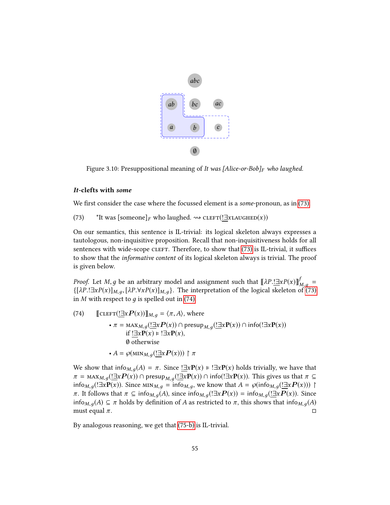

<span id="page-58-0"></span>Figure 3.10: Presuppositional meaning of It was [Alice-or-Bob] $_F$  who laughed.

#### It-clefts with some

<span id="page-58-1"></span>We first consider the case where the focussed element is a *some-pronoun*, as in  $(73)$ .

(73) \*It was [someone]<sub>F</sub> who laughed.  $\rightsquigarrow$  CLEFT(!∃xLAUGHED(x))

On our semantics, this sentence is IL-trivial: its logical skeleton always expresses a tautologous, non-inquisitive proposition. Recall that non-inquisitiveness holds for all sentences with wide-scope CLEFT. Therefore, to show that [\(73\)](#page-58-1) is IL-trivial, it suffices to show that the informative content of its logical skeleton always is trivial. The proof is given below.

*Proof.* Let *M*, *g* be an arbitrary model and assignment such that  $[\![\lambda P \cdot \exists x P(x)]\!]_{M,g}^f =$ <br> $\{[\lambda P \mid \exists x P(x)]\}$ ,  $[\lambda P \nexists x P(x)]$ ,  $[\lambda P \mid \exists x P(x)]$ ,  $[\lambda P \mid \exists x P(x)]$ ,  $[\lambda P \mid \exists x P(x)]$  $\{[\lambda P.]\exists x P(x)]_{M,g}, [\lambda P. \forall x P(x)]_{M,g}\}.$  The interpretation of the logical skeleton of [\(73\)](#page-58-1)<br>in M with respect to a is spelled out in (74) in M with respect to  $q$  is spelled out in [\(74\).](#page-58-2)

<span id="page-58-2"></span>(74) 
$$
\begin{aligned}\n\llbracket \text{CLEFT}(\underline{\exists x} P(x)) \rrbracket_{M,g} &= \langle \pi, A \rangle, \text{ where} \\
&\bullet \pi = \max_{M,g} (\underline{\exists x} P(x)) \cap \text{presup}_{M,g}(\underline{\exists x} P(x)) \cap \text{info}(\exists x P(x)) \\
&\text{if } \underline{\exists x} P(x) \models \exists x P(x), \\
&\emptyset \text{ otherwise} \\
&\bullet A = \wp(\text{MIN}_{M,g}(\underline{\exists x} P(x))) \uparrow \pi\n\end{aligned}
$$

We show that info<sub>M,q</sub>(A) =  $\pi$ . Since  $\exists x \mathbf{P}(x) \models \exists x \mathbf{P}(x)$  holds trivially, we have that  $\pi = \max_{M,g}(\underbrace{! \exists x P(x)} ) \cap \text{presup}_{M,g}(\underbrace{! \exists x P(x)} ) \cap \text{info}(!\exists x P(x))$ . This gives us that  $\pi \subseteq \text{info}_{M,g}(\underbrace{! \exists x P(x)} )$ . Since MN<sub>14</sub> = info using know that  $A = \text{phi}_{M,g}(\underbrace{! \exists x P(x)} )$ . info<sub>M,g</sub>(!∃x**P**(x)). Since  $\text{MIN}_{M,g}$  = info<sub>M,g</sub>, we know that  $A = \wp(\text{info}_{M,g}(\underline{\exists x}P(x)))$  |  $\pi$ . It follows that  $\pi \subseteq \text{info}_{M,g}(A)$ , since  $\text{info}_{M,g}(\exists x P(x)) = \text{info}_{M,g}(\exists x P(x))$ . Since info<sub>*M*, *g*(*A*) ⊆ *π* holds by definition of *A* as restricted to *π*, this shows that info<sub>*M*, *g*(*A*) must equal *π*.</sub></sub> must equal  $\pi$ .

By analogous reasoning, we get that [\(75-b\)](#page-59-0) is IL-trivial.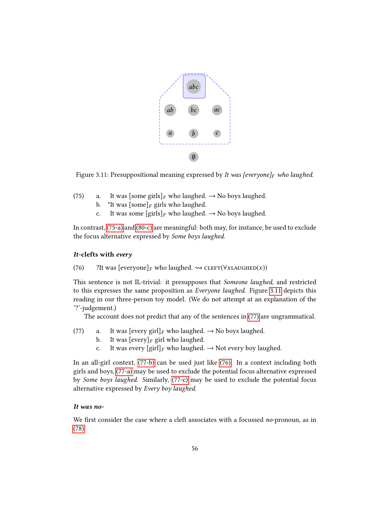

<span id="page-59-2"></span>Figure 3.11: Presuppositional meaning expressed by It was [everyone] $_F$  who laughed.

- <span id="page-59-1"></span><span id="page-59-0"></span>(75) a. It was [some girls]<sub>F</sub> who laughed.  $\rightarrow$  No boys laughed.<br>b. \*It was [some]<sub>F</sub> girls who laughed.
	- b. \*It was [some]<sub>F</sub> girls who laughed.<br>c. It was some [girls]<sub>F</sub> who laughed.
	- It was some  $[girls]_F$  who laughed.  $\rightarrow$  No boys laughed.

In contrast, [\(75-a\)](#page-59-1) and [\(80-c\)](#page-60-0) are meaningful: both may, for instance, be used to exclude the focus alternative expressed by Some boys laughed.

#### It-clefts with every

<span id="page-59-5"></span>(76) ?It was  $[everyone]_F$  who laughed.  $\rightsquigarrow$  CLEFT( $\forall$ xLAUGHED $(x)$ )

This sentence is not IL-trivial: it presupposes that Someone laughed, and restricted to this expresses the same proposition as Everyone laughed. Figure [3.11](#page-59-2) depicts this reading in our three-person toy model. (We do not attempt at an explanation of the '?'-judgement.)

The account does not predict that any of the sentences in [\(77\)](#page-59-3) are ungrammatical.

- <span id="page-59-7"></span><span id="page-59-6"></span><span id="page-59-4"></span><span id="page-59-3"></span>(77) a. It was [every girl]<sub>F</sub> who laughed.  $\rightarrow$  No boys laughed.<br>b. It was [every]<sub>F</sub> girl who laughed.
	- b. It was  $[every]_F$  girl who laughed.<br>c. It was every  $[oir]_F$  who laughed.
	- It was every  $\left[\text{girl}\right]_F$  who laughed.  $\rightarrow$  Not every boy laughed.

In an all-girl context, [\(77-b\)](#page-59-4) can be used just like [\(76\).](#page-59-5) In a context including both girls and boys, [\(77-a\)](#page-59-6) may be used to exclude the potential focus alternative expressed by Some boys laughed. Similarly, [\(77-c\)](#page-59-7) may be used to exclude the potential focus alternative expressed by Every boy laughed.

## It was no-

<span id="page-59-8"></span>We first consider the case where a cleft associates with a focussed no-pronoun, as in [\(78\).](#page-59-8)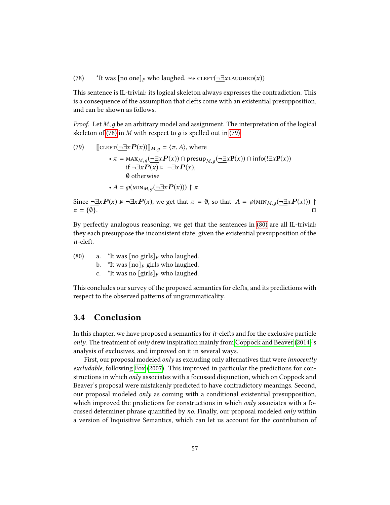(78) \*It was  $[no one]_F$  who laughed.  $\rightsquigarrow$  CLEFT(¬ $\exists$ xLAUGHED(x))

This sentence is IL-trivial: its logical skeleton always expresses the contradiction. This is a consequence of the assumption that clefts come with an existential presupposition, and can be shown as follows.

*Proof.* Let  $M$ , q be an arbitrary model and assignment. The interpretation of the logical skeleton of [\(78\)](#page-59-8) in M with respect to  $q$  is spelled out in [\(79\).](#page-60-1)

<span id="page-60-1"></span>(79) 
$$
\begin{aligned}\n\llbracket \text{CLEFT}(\neg \exists x P(x)) \rrbracket_{M,g} &= \langle \pi, A \rangle, \text{ where} \\
&\bullet \pi = \max_{M,g} (\neg \exists x P(x)) \cap \text{presup}_{M,g}(\neg \exists x P(x)) \cap \text{info}(\exists x P(x)) \\
&\text{if } \neg \exists x P(x) \models \neg \exists x P(x), \\
&\emptyset \text{ otherwise} \\
&\bullet A = \wp(\text{MIN}_{M,g}(\neg \exists x P(x))) \upharpoonright \pi\n\end{aligned}
$$

Since  $\neg \exists x P(x) \nvDash \neg \exists x P(x)$ , we get that  $\pi = \emptyset$ , so that  $A = \wp(\min_{M,g} (\neg \exists x P(x))) \uparrow \pi = \{\emptyset\}$ .  $\pi = \{0\}.$ 

By perfectly analogous reasoning, we get that the sentences in [\(80\)](#page-60-2) are all IL-trivial: they each presuppose the inconsistent state, given the existential presupposition of the it-cleft.

- <span id="page-60-2"></span><span id="page-60-0"></span>(80) a. \*It was  $[\text{no girls}]_F$  who laughed.<br>b. \*It was  $[\text{no}]_F$  girls who laughed.
	- b. \*It was  $[no]_F$  girls who laughed.<br>c. \*It was no  $[q\text{irls}]_F$  who laughed.
	- \*It was no  $\left[\text{girls}\right]_F$  who laughed.

This concludes our survey of the proposed semantics for clefts, and its predictions with respect to the observed patterns of ungrammaticality.

# 3.4 Conclusion

In this chapter, we have proposed a semantics for it-clefts and for the exclusive particle only. The treatment of only drew inspiration mainly from [Coppock and Beaver](#page-104-0) [\(2014\)](#page-104-0)'s analysis of exclusives, and improved on it in several ways.

First, our proposal modeled *only* as excluding only alternatives that were *innocently* excludable, following [Fox](#page-104-1) [\(2007\)](#page-104-1). This improved in particular the predictions for constructions in which only associates with a focussed disjunction, which on Coppock and Beaver's proposal were mistakenly predicted to have contradictory meanings. Second, our proposal modeled *only* as coming with a conditional existential presupposition, which improved the predictions for constructions in which *only* associates with a focussed determiner phrase quantified by no. Finally, our proposal modeled only within a version of Inquisitive Semantics, which can let us account for the contribution of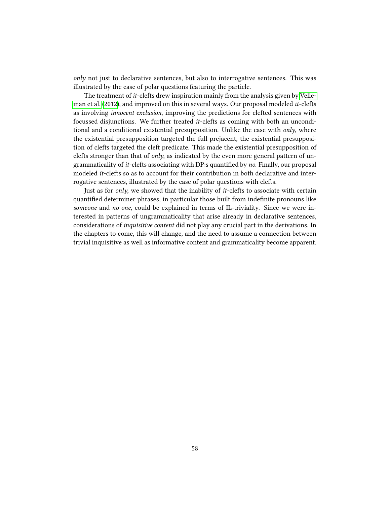$only$  not just to declarative sentences, but also to interrogative sentences. This was illustrated by the case of polar questions featuring the particle.

The treatment of it-clefts drew inspiration mainly from the analysis given by [Velle](#page-107-0)[man et al.](#page-107-0) [\(2012\)](#page-107-0), and improved on this in several ways. Our proposal modeled it-clefts as involving innocent exclusion, improving the predictions for clefted sentences with focussed disjunctions. We further treated it-clefts as coming with both an unconditional and a conditional existential presupposition. Unlike the case with  $only, where$ the existential presupposition targeted the full prejacent, the existential presupposition of clefts targeted the cleft predicate. This made the existential presupposition of clefts stronger than that of *only*, as indicated by the even more general pattern of ungrammaticality of *it*-clefts associating with DP:s quantified by no. Finally, our proposal modeled it-clefts so as to account for their contribution in both declarative and interrogative sentences, illustrated by the case of polar questions with clefts.

Just as for only, we showed that the inability of it-clefts to associate with certain quantified determiner phrases, in particular those built from indefinite pronouns like someone and no one, could be explained in terms of IL-triviality. Since we were interested in patterns of ungrammaticality that arise already in declarative sentences, considerations of inquisitive content did not play any crucial part in the derivations. In the chapters to come, this will change, and the need to assume a connection between trivial inquisitive as well as informative content and grammaticality become apparent.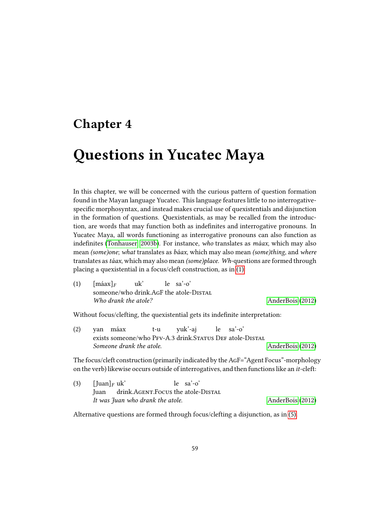# Chapter 4

# Questions in Yucatec Maya

In this chapter, we will be concerned with the curious pattern of question formation found in the Mayan language Yucatec. This language features little to no interrogativespecific morphosyntax, and instead makes crucial use of quexistentials and disjunction in the formation of questions. Quexistentials, as may be recalled from the introduction, are words that may function both as indefinites and interrogative pronouns. In Yucatec Maya, all words functioning as interrogative pronouns can also function as indefinites [\(Tonhauser, 2003b\)](#page-107-1). For instance, who translates as  $m\acute{a}ax$ , which may also mean (some)one; what translates as báax, which may also mean (some)thing, and where translates astáax, which may also mean (some)place. Wh-questions are formed through placing a quexistential in a focus/cleft construction, as in [\(1\):](#page-62-0)

<span id="page-62-0"></span>(1)  $[\text{m\'aax}]_F$ someone/who drink.AgF the atole-Distal uk' le sa'-o' Who drank the atole? [AnderBois](#page-103-2) [\(2012\)](#page-103-2)

Without focus/clefting, the quexistential gets its indefinite interpretation:

(2) yan máax exists someone/who PFv-A.3 drink.Status DEF atole-DIstal t-u yuk'-aj le sa'-o' Someone drank the atole. [AnderBois](#page-103-2) [\(2012\)](#page-103-2)

The focus/cleft construction (primarily indicated by theAgF="Agent Focus"-morphology on the verb) likewise occurs outside of interrogatives, and then functions like an it-cleft:

| (3) | [Juan] <sub><i>F</i></sub> uk' |                                  | $le$ sa'-o'                             |                  |  |
|-----|--------------------------------|----------------------------------|-----------------------------------------|------------------|--|
|     |                                |                                  | Juan drink.AGENT.Focus the atole-DISTAL |                  |  |
|     |                                | It was fuan who drank the atole. |                                         | AnderBois (2012) |  |

<span id="page-62-1"></span>Alternative questions are formed through focus/clefting a disjunction, as in [\(5\).](#page-63-0)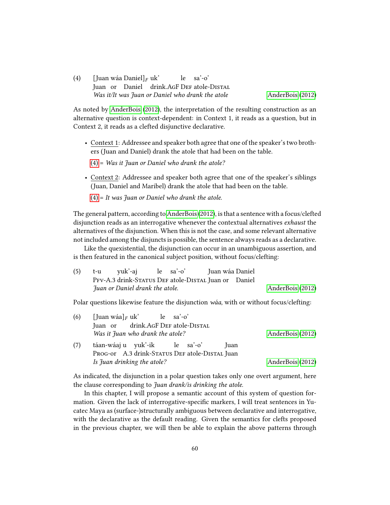(4) [Juan wáa Daniel]<sub>F</sub> uk' Juan or Daniel drink.AGF DEF atole-DISTAL le sa'-o' Was it/It was Juan or Daniel who drank the atole [AnderBois](#page-103-2) [\(2012\)](#page-103-2)

As noted by [AnderBois](#page-103-2) [\(2012\)](#page-103-2), the interpretation of the resulting construction as an alternative question is context-dependent: in Context 1, it reads as a question, but in Context 2, it reads as a clefted disjunctive declarative.

- Context 1: Addressee and speaker both agree that one of the speaker's two brothers (Juan and Daniel) drank the atole that had been on the table.
	- $(4)$  = Was it Juan or Daniel who drank the atole?
- Context 2: Addressee and speaker both agree that one of the speaker's siblings (Juan, Daniel and Maribel) drank the atole that had been on the table.

 $(4)$  = It was Juan or Daniel who drank the atole.

The general pattern, according to [AnderBois](#page-103-2) [\(2012\)](#page-103-2), is that a sentence with a focus/clefted disjunction reads as an interrogative whenever the contextual alternatives exhaust the alternatives of the disjunction. When this is not the case, and some relevant alternative not included among the disjuncts is possible, the sentence always reads as a declarative.

Like the quexistential, the disjunction can occur in an unambiguous assertion, and is then featured in the canonical subject position, without focus/clefting:

<span id="page-63-0"></span>

| (5) | t-u yuk'-aj le sa'-o'           |  | Juan wáa Daniel                                      |                  |
|-----|---------------------------------|--|------------------------------------------------------|------------------|
|     |                                 |  | PFV-A.3 drink-STATUS DEF atole-DISTAL Juan or Daniel |                  |
|     | Juan or Daniel drank the atole. |  |                                                      | AnderBois (2012) |

Polar questions likewise feature the disjunction wáa, with or without focus/clefting:

| (6) | [Juan wáa] <sub>F</sub> uk' le sa'-o'          |                  |
|-----|------------------------------------------------|------------------|
|     | Juan or drink.AGF DEF atole-DISTAL             |                  |
|     | Was it Juan who drank the atole?               | AnderBois (2012) |
| (7) | táan-wáaj u yuk'-ik le sa'-o'<br> uan          |                  |
|     | PROG-or A.3 drink-STATUS DEF atole-DISTAL Juan |                  |
|     | Is Juan drinking the atole?                    | AnderBois (2012) |

As indicated, the disjunction in a polar question takes only one overt argument, here the clause corresponding to Juan drank/is drinking the atole.

In this chapter, I will propose a semantic account of this system of question formation. Given the lack of interrogative-specific markers, I will treat sentences in Yucatec Maya as (surface-)structurally ambiguous between declarative and interrogative, with the declarative as the default reading. Given the semantics for clefts proposed in the previous chapter, we will then be able to explain the above patterns through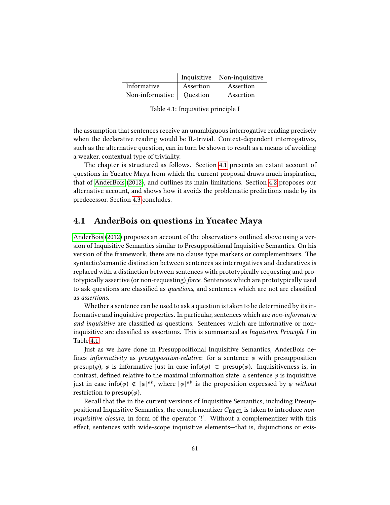|                            |           | Inquisitive Non-inquisitive |
|----------------------------|-----------|-----------------------------|
| Informative                | Assertion | Assertion                   |
| Non-informative   Question |           | Assertion                   |

<span id="page-64-1"></span>Table 4.1: Inquisitive principle I

the assumption that sentences receive an unambiguous interrogative reading precisely when the declarative reading would be IL-trivial. Context-dependent interrogatives, such as the alternative question, can in turn be shown to result as a means of avoiding a weaker, contextual type of triviality.

The chapter is structured as follows. Section [4.1](#page-64-0) presents an extant account of questions in Yucatec Maya from which the current proposal draws much inspiration, that of [AnderBois](#page-103-2) [\(2012\)](#page-103-2), and outlines its main limitations. Section [4.2](#page-71-0) proposes our alternative account, and shows how it avoids the problematic predictions made by its predecessor. Section [4.3](#page-83-0) concludes.

# <span id="page-64-0"></span>4.1 AnderBois on questions in Yucatec Maya

[AnderBois](#page-103-2) [\(2012\)](#page-103-2) proposes an account of the observations outlined above using a version of Inquisitive Semantics similar to Presuppositional Inquisitive Semantics. On his version of the framework, there are no clause type markers or complementizers. The syntactic/semantic distinction between sentences as interrogatives and declaratives is replaced with a distinction between sentences with prototypically requesting and prototypically assertive (or non-requesting) force. Sentences which are prototypically used to ask questions are classified as *questions*, and sentences which are not are classified as assertions.

Whether a sentence can be used to ask a question is taken to be determined by its informative and inquisitive properties. In particular, sentences which are non-informative and inquisitive are classified as questions. Sentences which are informative or noninquisitive are classified as assertions. This is summarized as *Inquisitive Principle I* in Table [4.1.](#page-64-1)

Just as we have done in Presuppositional Inquisitive Semantics, AnderBois de fines *informativity* as *presupposition-relative*: for a sentence  $\varphi$  with presupposition presup( $\varphi$ ),  $\varphi$  is informative just in case info( $\varphi$ ) ⊂ presup( $\varphi$ ). Inquisitiveness is, in contrast, defined relative to the maximal information state: a sentence  $\varphi$  is inquisitive just in case info $(\varphi) \notin [\varphi]^{ab}$ , where  $[\varphi]^{ab}$  is the proposition expressed by  $\varphi$  without restriction to presup $(\varphi)$ .

Recall that the in the current versions of Inquisitive Semantics, including Presuppositional Inquisitive Semantics, the complementizer  $C_{\text{DECL}}$  is taken to introduce noninquisitive closure, in form of the operator '!'. Without a complementizer with this effect, sentences with wide-scope inquisitive elements—that is, disjunctions or exis-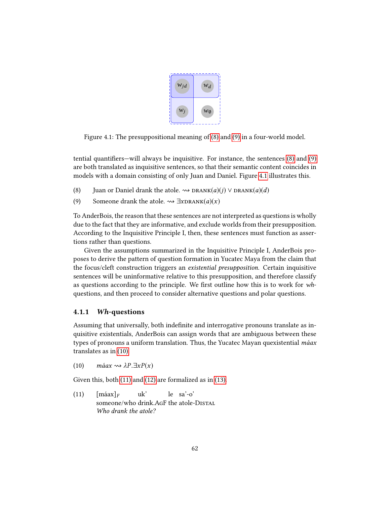

<span id="page-65-2"></span>Figure 4.1: The presuppositional meaning of [\(8\)](#page-65-0) and [\(9\)](#page-65-1) in a four-world model.

tential quantifiers—will always be inquisitive. For instance, the sentences  $(8)$  and  $(9)$ are both translated as inquisitive sentences, so that their semantic content coincides in models with a domain consisting of only Juan and Daniel. Figure [4.1](#page-65-2) illustrates this.

- <span id="page-65-1"></span><span id="page-65-0"></span>(8) Juan or Daniel drank the atole.  $\rightsquigarrow$  DRANK(a)(j)  $\vee$  DRANK(a)(d)
- (9) Someone drank the atole.  $\rightsquigarrow \exists x\text{DRAW}(a)(x)$

To AnderBois, the reason that these sentences are not interpreted as questions is wholly due to the fact that they are informative, and exclude worlds from their presupposition. According to the Inquisitive Principle I, then, these sentences must function as assertions rather than questions.

Given the assumptions summarized in the Inquisitive Principle I, AnderBois proposes to derive the pattern of question formation in Yucatec Maya from the claim that the focus/cleft construction triggers an existential presupposition. Certain inquisitive sentences will be uninformative relative to this presupposition, and therefore classify as questions according to the principle. We first outline how this is to work for  $wh$ questions, and then proceed to consider alternative questions and polar questions.

# 4.1.1 Wh-questions

Assuming that universally, both indefinite and interrogative pronouns translate as inquisitive existentials, AnderBois can assign words that are ambiguous between these types of pronouns a uniform translation. Thus, the Yucatec Mayan quexistential máax translates as in [\(10\).](#page-65-3)

<span id="page-65-3"></span>(10) máax  $\rightsquigarrow \lambda P.\exists x P(x)$ 

<span id="page-65-4"></span>Given this, both [\(11\)](#page-65-4) and [\(12\)](#page-66-0) are formalized as in [\(13\).](#page-66-1)

 $(11)$  [máax]<sub>F</sub> someone/who drink.AgF the atole-Distal uk' le sa'-o' Who drank the atole?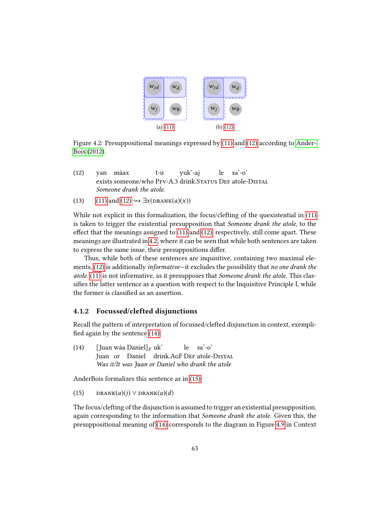

<span id="page-66-2"></span>Figure 4.2: Presuppositional meanings expressed by [\(11\)](#page-65-4) and [\(12\)](#page-66-0) according to [Ander-](#page-103-2)[Bois](#page-103-2) [\(2012\)](#page-103-2).

- <span id="page-66-0"></span>(12) yan máax exists someone/who PFv-A.3 drink.Status DEF atole-DIstal t-u yuk'-aj le sa'-o' Someone drank the atole.
- <span id="page-66-1"></span>(13) [\(11\)](#page-65-4) and [\(12\)](#page-66-0)  $\rightsquigarrow \exists x(\text{DRANK}(a)(x))$

While not explicit in this formalization, the focus/clefting of the quexistential in [\(11\)](#page-65-4) is taken to trigger the existential presupposition that Someone drank the atole, to the effect that the meanings assigned to  $(11)$  and  $(12)$ , respectively, still come apart. These meanings are illustrated in [4.2,](#page-66-2) where it can be seen that while both sentences are taken to express the same issue, their presuppositions differ.

Thus, while both of these sentences are inquisitive, containing two maximal ele-ments, [\(12\)](#page-66-0) is additionally *informative*—it excludes the possibility that no one drank the atole. [\(11\)](#page-65-4) is not informative, as it presupposes that Someone drank the atole. This classifies the latter sentence as a question with respect to the Inquisitive Principle I, while the former is classified as an assertion.

## 4.1.2 Focussed/clefted disjunctions

Recall the pattern of interpretation of focussed/clefted disjunction in context, exempli fied again by the sentence  $(14)$ :

<span id="page-66-3"></span>(14) [Juan wáa Daniel]<sub>F</sub> uk' Juan or Daniel drink.AgF DeF atole-Distal le sa'-o' Was it/It was Juan or Daniel who drank the atole

<span id="page-66-4"></span>AnderBois formalizes this sentence as in [\(15\):](#page-66-4)

(15) DRANK $(a)(j)$  V DRANK $(a)(d)$ 

The focus/clefting of the disjunction is assumed to trigger an existential presupposition, again corresponding to the information that Someone drank the atole. Given this, the presuppositional meaning of [\(14\)](#page-66-3) corresponds to the diagram in Figure [4.9](#page-80-0) in Context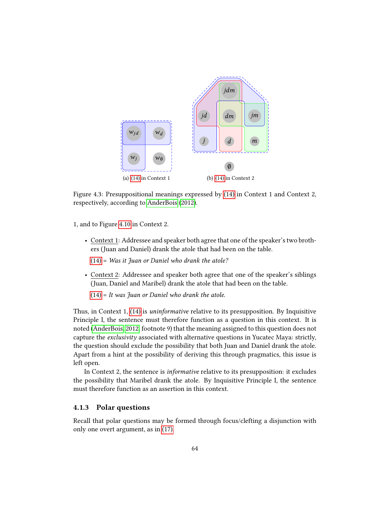

Figure 4.3: Presuppositional meanings expressed by [\(14\)](#page-66-3) in Context 1 and Context 2, respectively, according to [AnderBois](#page-103-2) [\(2012\)](#page-103-2).

1, and to Figure [4.10](#page-81-0) in Context 2.

• Context 1: Addressee and speaker both agree that one of the speaker's two brothers (Juan and Daniel) drank the atole that had been on the table.

 $(14)$  = Was it Juan or Daniel who drank the atole?

• Context 2: Addressee and speaker both agree that one of the speaker's siblings (Juan, Daniel and Maribel) drank the atole that had been on the table.

 $(14)$  = It was Juan or Daniel who drank the atole.

Thus, in Context 1, [\(14\)](#page-66-3) is uninformative relative to its presupposition. By Inquisitive Principle I, the sentence must therefore function as a question in this context. It is noted [\(AnderBois, 2012,](#page-103-2) footnote 9) that the meaning assigned to this question does not capture the exclusivity associated with alternative questions in Yucatec Maya: strictly, the question should exclude the possibility that both Juan and Daniel drank the atole. Apart from a hint at the possibility of deriving this through pragmatics, this issue is left open.

In Context 2, the sentence is informative relative to its presupposition: it excludes the possibility that Maribel drank the atole. By Inquisitive Principle I, the sentence must therefore function as an assertion in this context.

## 4.1.3 Polar questions

Recall that polar questions may be formed through focus/clefting a disjunction with only one overt argument, as in [\(17\).](#page-68-0)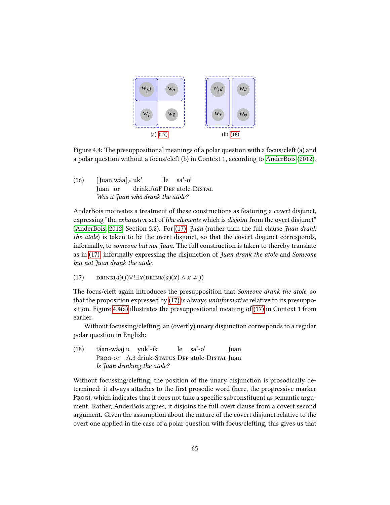<span id="page-68-3"></span><span id="page-68-2"></span>

Figure 4.4: The presuppositional meanings of a polar question with a focus/cleft (a) and a polar question without a focus/cleft (b) in Context 1, according to [AnderBois](#page-103-2) [\(2012\)](#page-103-2).

(16)  $[\text{ Juan wáa}]_F$  uk'<br>Iver en duis Juan or drink. AGF DEF atole-DISTAL le sa'-o' Was it Juan who drank the atole?

AnderBois motivates a treatment of these constructions as featuring a covert disjunct, expressing "the exhaustive set of like elements which is disjoint from the overt disjunct" [\(AnderBois, 2012,](#page-103-2) Section 5.2). For [\(17\),](#page-68-0) *Juan* (rather than the full clause *Juan drank* the atole) is taken to be the overt disjunct, so that the covert disjunct corresponds, informally, to *someone but not Juan*. The full construction is taken to thereby translate as in [\(17\),](#page-68-0) informally expressing the disjunction of Juan drank the atole and Someone but not Juan drank the atole.

<span id="page-68-0"></span>(17) 
$$
DRINK(a)(j) \vee !\exists x(DRINK(a)(x) \wedge x \neq j)
$$

The focus/cleft again introduces the presupposition that Someone drank the atole, so that the proposition expressed by [\(17\)](#page-68-0) is always uninformative relative to its presupposition. Figure [4.4\(a\)](#page-68-2) illustrates the presuppositional meaning of [\(17\)](#page-68-0) in Context 1 from earlier.

Without focussing/clefting, an (overtly) unary disjunction corresponds to a regular polar question in English:

<span id="page-68-1"></span>(18) táan-wáaj u yuk'-ik Prog-or A.3 drink-Status Def atole-Distal Juan le sa'-o' Juan Is Juan drinking the atole?

Without focussing/clefting, the position of the unary disjunction is prosodically determined: it always attaches to the first prosodic word (here, the progressive marker Prog), which indicates that it does not take a specific subconstituent as semantic argument. Rather, AnderBois argues, it disjoins the full overt clause from a covert second argument. Given the assumption about the nature of the covert disjunct relative to the overt one applied in the case of a polar question with focus/clefting, this gives us that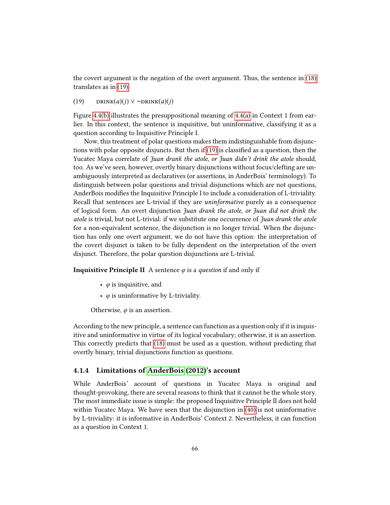the covert argument is the negation of the overt argument. Thus, the sentence in [\(18\)](#page-68-1) translates as in [\(19\).](#page-69-0)

<span id="page-69-0"></span>(19)  $DRINK(a)(j) \vee \neg DRINK(a)(j)$ 

Figure [4.4\(b\)](#page-68-3) illustrates the presuppositional meaning of  $4.4(a)$  in Context 1 from earlier. In this context, the sentence is inquisitive, but uninformative, classifying it as a question according to Inquisitive Principle I.

Now, this treatment of polar questions makes them indistinguishable from disjunctions with polar opposite disjuncts. But then if  $(19)$  is classified as a question, then the Yucatec Maya correlate of Juan drank the atole, or Juan didn't drink the atole should, too. As we've seen, however, overtly binary disjunctions without focus/clefting are unambiguously interpreted as declaratives (or assertions, in AnderBois' terminology). To distinguish between polar questions and trivial disjunctions which are not questions, AnderBois modifies the Inquisitive Principle I to include a consideration of L-triviality. Recall that sentences are L-trivial if they are uninformative purely as a consequence of logical form. An overt disjunction Juan drank the atole, or Juan did not drink the atole is trivial, but not L-trivial: if we substitute one occurrence of Juan drank the atole for a non-equivalent sentence, the disjunction is no longer trivial. When the disjunction has only one overt argument, we do not have this option: the interpretation of the covert disjunct is taken to be fully dependent on the interpretation of the overt disjunct. Therefore, the polar question disjunctions are L-trivial.

**Inquisitive Principle II** A sentence  $\varphi$  is a *question* if and only if

- $\varphi$  is inquisitive, and
- $\varphi$  is uninformative by L-triviality.

Otherwise,  $\varphi$  is an assertion.

According to the new principle, a sentence can function as a question only if it is inquisitive and uninformative in virtue of its logical vocabulary; otherwise, it is an assertion. This correctly predicts that [\(18\)](#page-68-1) must be used as a question, without predicting that overtly binary, trivial disjunctions function as questions.

## 4.1.4 Limitations of [AnderBois](#page-103-2) [\(2012\)](#page-103-2)'s account

While AnderBois' account of questions in Yucatec Maya is original and thought-provoking, there are several reasons to think that it cannot be the whole story. The most immediate issue is simple: the proposed Inquisitive Principle II does not hold within Yucatec Maya. We have seen that the disjunction in [\(40\)](#page-79-0) is not uninformative by L-triviality: it is informative in AnderBois' Context 2. Nevertheless, it can function as a question in Context 1.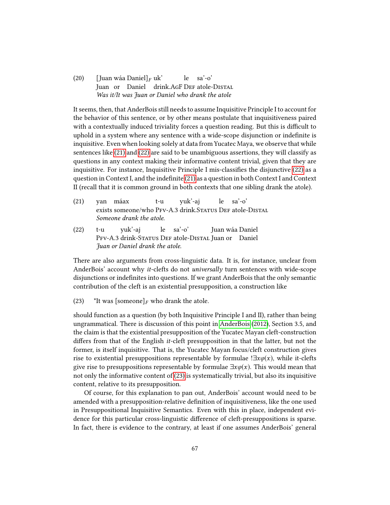(20) [Juan wáa Daniel]<sub>F</sub> uk' Juan or Daniel drink.AGF DEF atole-DISTAL le sa'-o' Was it/It was Juan or Daniel who drank the atole

It seems, then, that AnderBois still needs to assume Inquisitive Principle I to account for the behavior of this sentence, or by other means postulate that inquisitiveness paired with a contextually induced triviality forces a question reading. But this is difficult to uphold in a system where any sentence with a wide-scope disjunction or indefinite is inquisitive. Even when looking solely at data from Yucatec Maya, we observe that while sentences like [\(21\)](#page-70-0) and [\(22\)](#page-70-1) are said to be unambiguous assertions, they will classify as questions in any context making their informative content trivial, given that they are inquisitive. For instance, Inquisitive Principle I mis-classifies the disjunctive  $(22)$  as a question in Context I, and the indefinite [\(21\)](#page-70-0) as a question in both Context I and Context II (recall that it is common ground in both contexts that one sibling drank the atole).

<span id="page-70-0"></span>

|  |                          | (21) yan máax t-u yuk'-aj le sa'-o'                       |  |  |
|--|--------------------------|-----------------------------------------------------------|--|--|
|  |                          | exists someone/who PFV-A.3 drink. STATUS DEF atole-DISTAL |  |  |
|  | Someone drank the atole. |                                                           |  |  |
|  |                          |                                                           |  |  |

<span id="page-70-1"></span>(22) t-u PFv-A.3 drink-Status Def atole-Distal Juan or Daniel yuk'-aj le sa'-o' Juan wáa Daniel Juan or Daniel drank the atole.

There are also arguments from cross-linguistic data. It is, for instance, unclear from AnderBois' account why it-clefts do not universally turn sentences with wide-scope disjunctions or indefinites into questions. If we grant AnderBois that the only semantic contribution of the cleft is an existential presupposition, a construction like

<span id="page-70-2"></span>(23) \*It was [someone]<sub>F</sub> who drank the atole.

should function as a question (by both Inquisitive Principle I and II), rather than being ungrammatical. There is discussion of this point in [AnderBois](#page-103-2) [\(2012\)](#page-103-2), Section 3.5, and the claim is that the existential presupposition of the Yucatec Mayan cleft-construction differs from that of the English *it*-cleft presupposition in that the latter, but not the former, is itself inquisitive. That is, the Yucatec Mayan focus/cleft construction gives rise to existential presuppositions representable by formulae ! $\exists x \varphi(x)$ , while it-clefts give rise to presuppositions representable by formulae  $\exists x \varphi(x)$ . This would mean that not only the informative content of [\(23\)](#page-70-2) is systematically trivial, but also its inquisitive content, relative to its presupposition.

Of course, for this explanation to pan out, AnderBois' account would need to be amended with a presupposition-relative definition of inquisitiveness, like the one used in Presuppositional Inquisitive Semantics. Even with this in place, independent evidence for this particular cross-linguistic difference of cleft-presuppositions is sparse. In fact, there is evidence to the contrary, at least if one assumes AnderBois' general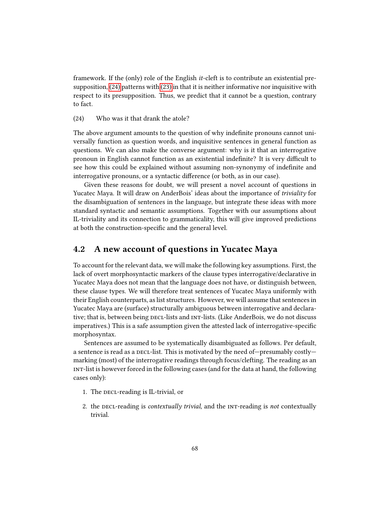framework. If the (only) role of the English it-cleft is to contribute an existential presupposition, [\(24\)](#page-71-1) patterns with [\(23\)](#page-70-2) in that it is neither informative nor inquisitive with respect to its presupposition. Thus, we predict that it cannot be a question, contrary to fact.

## <span id="page-71-1"></span>(24) Who was it that drank the atole?

The above argument amounts to the question of why indefinite pronouns cannot universally function as question words, and inquisitive sentences in general function as questions. We can also make the converse argument: why is it that an interrogative pronoun in English cannot function as an existential indefinite? It is very difficult to see how this could be explained without assuming non-synonymy of indefinite and interrogative pronouns, or a syntactic difference (or both, as in our case).

Given these reasons for doubt, we will present a novel account of questions in Yucatec Maya. It will draw on AnderBois' ideas about the importance of triviality for the disambiguation of sentences in the language, but integrate these ideas with more standard syntactic and semantic assumptions. Together with our assumptions about IL-triviality and its connection to grammaticality, this will give improved predictions at both the construction-specific and the general level.

# <span id="page-71-0"></span>4.2 A new account of questions in Yucatec Maya

To account for the relevant data, we will make the following key assumptions. First, the lack of overt morphosyntactic markers of the clause types interrogative/declarative in Yucatec Maya does not mean that the language does not have, or distinguish between, these clause types. We will therefore treat sentences of Yucatec Maya uniformly with their English counterparts, as list structures. However, we will assume that sentences in Yucatec Maya are (surface) structurally ambiguous between interrogative and declarative; that is, between being decl-lists and int-lists. (Like AnderBois, we do not discuss imperatives.) This is a safe assumption given the attested lack of interrogative-specific morphosyntax.

Sentences are assumed to be systematically disambiguated as follows. Per default, a sentence is read as a  $\text{DEC-}$ -list. This is motivated by the need of—presumably costly marking (most) of the interrogative readings through focus/clefting. The reading as an int-list is however forced in the following cases (and for the data at hand, the following cases only):

- 1. The DECL-reading is IL-trivial, or
- 2. the DECL-reading is contextually trivial, and the INT-reading is not contextually trivial.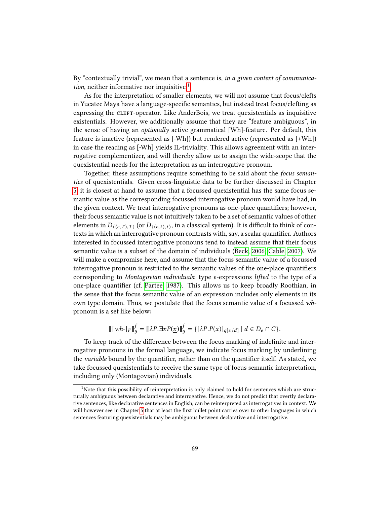By "contextually trivial", we mean that a sentence is, in a given context of communication, neither informative nor inquisitive. $<sup>1</sup>$  $<sup>1</sup>$  $<sup>1</sup>$ </sup>

As for the interpretation of smaller elements, we will not assume that focus/clefts in Yucatec Maya have a language-specific semantics, but instead treat focus/clefting as expressing the CLEFT-operator. Like AnderBois, we treat quexistentials as inquisitive existentials. However, we additionally assume that they are "feature ambiguous", in the sense of having an optionally active grammatical [Wh]-feature. Per default, this feature is inactive (represented as [-Wh]) but rendered active (represented as [+Wh]) in case the reading as [-Wh] yields IL-triviality. This allows agreement with an interrogative complementizer, and will thereby allow us to assign the wide-scope that the quexistential needs for the interpretation as an interrogative pronoun.

Together, these assumptions require something to be said about the *focus seman*tics of quexistentials. Given cross-linguistic data to be further discussed in Chapter [5,](#page-85-0) it is closest at hand to assume that a focussed quexistential has the same focus semantic value as the corresponding focussed interrogative pronoun would have had, in the given context. We treat interrogative pronouns as one-place quantifiers; however, their focus semantic value is not intuitively taken to be a set of semantic values of other elements in  $D_{(\langle e, T \rangle, T)}$  (or  $D_{(\langle e, t \rangle, t)}$ , in a classical system). It is difficult to think of con-<br>texts in which an interme setime negative antropology in the set a seelen system of the set texts in which an interrogative pronoun contrasts with, say, a scalar quantifier. Authors interested in focussed interrogative pronouns tend to instead assume that their focus semantic value is a subset of the domain of individuals [\(Beck, 2006;](#page-103-0) [Cable, 2007\)](#page-103-1). We will make a compromise here, and assume that the focus semantic value of a focussed interrogative pronoun is restricted to the semantic values of the one-place quantifiers corresponding to Montagovian individuals: type e-expressions lifted to the type of a one-place quantifier (cf. [Partee, 1987\)](#page-106-0). This allows us to keep broadly Roothian, in the sense that the focus semantic value of an expression includes only elements in its own type domain. Thus, we postulate that the focus semantic value of a focussed whpronoun is a set like below:

$$
[[[wh \text{-}]_F]]_g^f = [[\lambda P. \exists x P(\underline{x})]]_g^f = \{ [\lambda P. P(x)]_{g[x/d]} \mid d \in D_e \cap C \}.
$$

To keep track of the difference between the focus marking of indefinite and interrogative pronouns in the formal language, we indicate focus marking by underlining the *variable* bound by the quantifier, rather than on the quantifier itself. As stated, we take focussed quexistentials to receive the same type of focus semantic interpretation, including only (Montagovian) individuals.

<span id="page-72-0"></span><sup>&</sup>lt;sup>1</sup>Note that this possibility of reinterpretation is only claimed to hold for sentences which are structurally ambiguous between declarative and interrogative. Hence, we do not predict that overtly declarative sentences, like declarative sentences in English, can be reinterpreted as interrogatives in context. We will however see in Chapter [5](#page-85-0) that at least the first bullet point carries over to other languages in which sentences featuring quexistentials may be ambiguous between declarative and interrogative.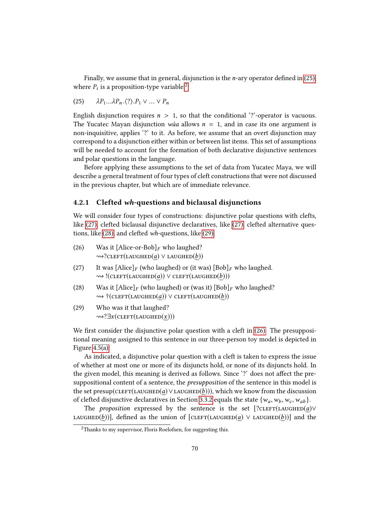Finally, we assume that in general, disjunction is the *n*-ary operator defined in  $(25)$ , where  $P_i$  is a proposition-type variable.<sup>[2](#page-73-1)</sup>

<span id="page-73-0"></span>(25) 
$$
\lambda P_1 \ldots \lambda P_n \langle ? \rangle P_1 \vee \ldots \vee P_n
$$

English disjunction requires  $n > 1$ , so that the conditional '?'-operator is vacuous. The Yucatec Mayan disjunction *wáa* allows  $n = 1$ , and in case its one argument is non-inquisitive, applies '?' to it. As before, we assume that an overt disjunction may correspond to a disjunction either within or between list items. This set of assumptions will be needed to account for the formation of both declarative disjunctive sentences and polar questions in the language.

Before applying these assumptions to the set of data from Yucatec Maya, we will describe a general treatment of four types of cleft constructions that were not discussed in the previous chapter, but which are of immediate relevance.

## 4.2.1 Clefted wh-questions and biclausal disjunctions

We will consider four types of constructions: disjunctive polar questions with clefts, like [\(27\),](#page-73-2) clefted biclausal disjunctive declaratives, like [\(27\),](#page-73-2) clefted alternative questions, like [\(28\),](#page-73-3) and clefted wh-questions, like [\(29\).](#page-73-4)

- <span id="page-73-5"></span>(26) Was it [Alice-or-Bob]<sub>F</sub> who laughed?  $\rightsquigarrow$ ?CLEFT(LAUGHED(a)  $\vee$  LAUGHED(b))
- <span id="page-73-2"></span>(27) It was  $[Alice]_F$  (who laughed) or (it was)  $[Bob]_F$  who laughed.  $\rightsquigarrow$ !(CLEFT(LAUGHED(a))  $\vee$  CLEFT(LAUGHED(b)))
- <span id="page-73-3"></span>(28) Was it  $[\text{Alice}]_F$  (who laughed) or (was it)  $[\text{Bob}]_F$  who laughed?  $\rightsquigarrow$  †(CLEFT(LAUGHED(a))  $\vee$  CLEFT(LAUGHED(b))
- <span id="page-73-4"></span>(29) Who was it that laughed?  $\rightsquigarrow$ ? $\exists x$ (CLEFT(LAUGHED $(x)$ ))

We first consider the disjunctive polar question with a cleft in  $(26)$ . The presuppositional meaning assigned to this sentence in our three-person toy model is depicted in Figure [4.5\(a\).](#page-74-0)

As indicated, a disjunctive polar question with a cleft is taken to express the issue of whether at most one or more of its disjuncts hold, or none of its disjuncts hold. In the given model, this meaning is derived as follows. Since '?' does not affect the presuppositional content of a sentence, the presupposition of the sentence in this model is the set presup(CLEFT(LAUGHED( $a$ )∨LAUGHED( $b$ ))), which we know from the discussion of clefted disjunctive declaratives in Section [3.3.2](#page-54-0) equals the state  $\{w_a, w_b, w_c, w_{ab}\}.$ 

The *proposition* expressed by the sentence is the set  $[?CLEFT(LAUGHED(a)V]$ LAUGHED(b))], defined as the union of  $[CLEFT(LAUGHED(a) \vee LAUGHED(b))]$  and the

<span id="page-73-1"></span> $2$ Thanks to my supervisor, Floris Roelofsen, for suggesting this.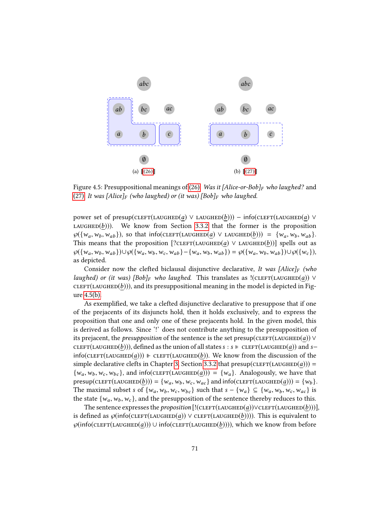<span id="page-74-0"></span>

<span id="page-74-1"></span>Figure 4.5: Presuppositional meanings of [\(26\):](#page-73-5) Was it [Alice-or-Bob]<sub>F</sub> who laughed? and [\(27\):](#page-73-2) It was  $[Alice]_F$  (who laughed) or (it was)  $[Bob]_F$  who laughed.

power set of presup(CLEFT(LAUGHED(a) ∨ LAUGHED(b))) – info(CLEFT(LAUGHED(a) ∨ LAUGHED $(b)$ )). We know from Section [3.3.2](#page-54-0) that the former is the proposition  $\wp({w_a, w_b, w_{ab}})$ , so that info(CLEFT(LAUGHED(*a*)  $\vee$  LAUGHED(*b*))) = {w<sub>a</sub>, w<sub>b</sub>, w<sub>ab</sub>}. This means that the proposition  $[?CLEFT(LAUGHED(a) \vee LAUGHED(b))]$  spells out as  $\wp({w_a, w_b, w_{ab}})\cup \wp({w_a, w_b, w_c, w_{ab}} -{w_a, w_b, w_{ab}}) = \wp({w_a, w_b, w_{ab}})\cup \wp({w_c}),$ as depicted.

Consider now the clefted biclausal disjunctive declarative, It was [Alice]<sub>F</sub> (who laughed) or (it was)  $[Bob]_F$  who laughed. This translates as  $!(\text{cLEFT}(\text{LAUGHED}(a)) \vee \text{LIGU}(a))$  $CLEFT(LAUGHED(b)))$ , and its presuppositional meaning in the model is depicted in Figure [4.5\(b\).](#page-74-1)

As exemplified, we take a clefted disjunctive declarative to presuppose that if one of the prejacents of its disjuncts hold, then it holds exclusively, and to express the proposition that one and only one of these prejacents hold. In the given model, this is derived as follows. Since '!' does not contribute anything to the presupposition of its prejacent, the *presupposition* of the sentence is the set presup( $CLEFT(LAUGHED(a)) \vee$ CLEFT(LAUGHED(b))), defined as the union of all states s : s ⊧ CLEFT(LAUGHED(a)) and s−  $info(CLEFT(LAUGHEAD(a)))$  F CLEFT(LAUGHED(b)). We know from the discussion of the simple declarative clefts in Chapter [3,](#page-31-0) Section [3.3.2](#page-54-0) that presup(CLEFT(LAUGHED(a))) =  $\{w_a, w_b, w_c, w_{bc}\}\$ , and info(CLEFT(LAUGHED(a))) =  $\{w_a\}$ . Analogously, we have that presup(CLEFT(LAUGHED(b))) = { $w_a$ ,  $w_b$ ,  $w_c$ ,  $w_{ac}$ } and info(CLEFT(LAUGHED(a))) = { $w_b$  }. The maximal subset s of  $\{w_a, w_b, w_c, w_{bc}\}$  such that  $s - \{w_a\} \subseteq \{w_a, w_b, w_c, w_{ac}\}$  is the state  $\{w_a, w_b, w_c\}$ , and the presupposition of the sentence thereby reduces to this.

The sentence expresses the *proposition*  $[!(\text{cLEFT}(\text{LAUGHED}(a)) \lor \text{cLEFT}(\text{LAUGHED}(b)))]$ , is defined as  $\wp(\text{info}(\text{CLEFT}(\text{LAUGHED}(a))) \vee \text{CLEFT}(\text{LAUGHED}(b))))$ . This is equivalent to  $\wp(\text{info}(\text{CLEFT}(\text{LAUGHED}(a))) \cup \text{info}(\text{CLEFT}(\text{LAUGHED}(b))))$ , which we know from before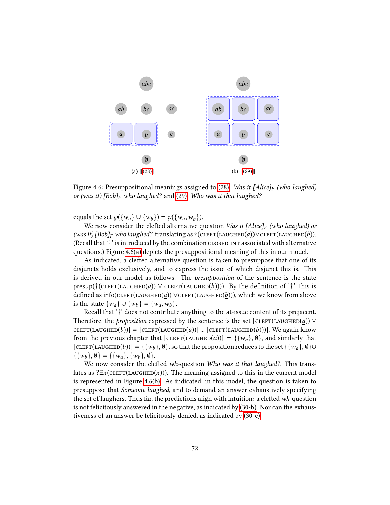<span id="page-75-1"></span><span id="page-75-0"></span>

Figure 4.6: Presuppositional meanings assigned to [\(28\):](#page-73-3) Was it [Alice]<sub>F</sub> (who laughed) or (was it)  $[Bob]_F$  who laughed? and [\(29\):](#page-73-4) Who was it that laughed?

equals the set  $\wp({w_a} \cup {w_b}) = \wp({w_a, w_b}).$ 

We now consider the clefted alternative question Was it  $[Alice]_F$  (who laughed) or (was it)  $[Bob]_F$  who laughed?, translating as  $\dagger$ (CLEFT(LAUGHED(a))∨CLEFT(LAUGHED(b)). (Recall that  $'$ †' is introduced by the combination closed interassociated with alternative questions.) Figure [4.6\(a\)](#page-75-0) depicts the presuppositional meaning of this in our model.

As indicated, a clefted alternative question is taken to presuppose that one of its disjuncts holds exclusively, and to express the issue of which disjunct this is. This is derived in our model as follows. The presupposition of the sentence is the state presup(†(CLEFT(LAUGHED(a)) ∨ CLEFT(LAUGHED(b)))). By the definition of '†', this is defined as info(CLEFT(LAUGHED(a)) ∨CLEFT(LAUGHED(b))), which we know from above is the state  $\{w_a\}$  ∪  $\{w_b\} = \{w_a, w_b\}.$ 

Recall that '†' does not contribute anything to the at-issue content of its prejacent. Therefore, the *proposition* expressed by the sentence is the set  $[CLEFT(LAUGHED(a))$  ∨  $CLEFT(LAUGHED(b))] = [CLEFT(LAUGHED(a))] \cup [CLEFT(LAUGHED(b)))]$ . We again know from the previous chapter that  $[\text{CLEFT}(\text{LAUGHED}(a))] = \{\{w_a\}, \emptyset\}$ , and similarly that [CLEFT(LAUGHED(b))] = {{ $w_b$ },  $\emptyset$ }, so that the proposition reduces to the set {{ $w_a$ },  $\emptyset$ }∪  $\{\{w_b\}, \emptyset\} = \{\{w_a\}, \{w_b\}, \emptyset\}.$ 

We now consider the clefted wh-question Who was it that laughed?. This translates as ? $\exists x$ (CLEFT(LAUGHED(x))). The meaning assigned to this in the current model is represented in Figure [4.6\(b\).](#page-75-1) As indicated, in this model, the question is taken to presuppose that Someone laughed, and to demand an answer exhaustively specifying the set of laughers. Thus far, the predictions align with intuition: a clefted wh-question is not felicitously answered in the negative, as indicated by [\(30-b\).](#page-76-0) Nor can the exhaustiveness of an answer be felicitously denied, as indicated by [\(30-c\).](#page-76-1)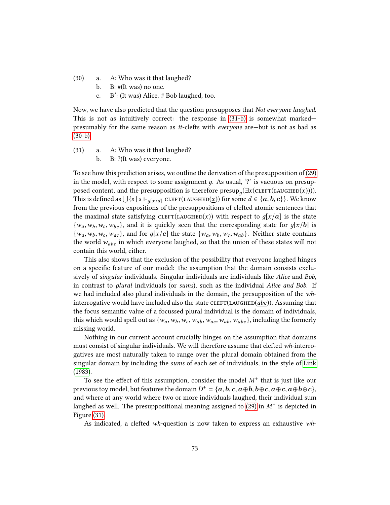- <span id="page-76-1"></span><span id="page-76-0"></span>(30) a. A: Who was it that laughed?
	- b. B: #(It was) no one.
	- c. B': (It was) Alice. # Bob laughed, too.

Now, we have also predicted that the question presupposes that Not everyone laughed. This is not as intuitively correct: the response in [\(31-b\)](#page-76-2) is somewhat marked presumably for the same reason as it-clefts with everyone are—but is not as bad as  $(30-b)$ .

- <span id="page-76-2"></span>(31) a. A: Who was it that laughed?
	- b. B: ?(It was) everyone.

To see how this prediction arises, we outline the derivation of the presupposition of [\(29\)](#page-73-4) in the model, with respect to some assignment  $g$ . As usual, '?' is vacuous on presupposed content, and the presupposition is therefore presup<sub>a</sub>( $\exists x$ (CLEFT(LAUGHED(x)))). This is defined as  $\bigcup \{s \mid s \Vdash g[x/d] \text{CLEFT(LAUGHED}(\underline{x}))\}$  for some  $d \in \{a, b, c\}$ . We know from the previous expositions of the presuppositions of clefted atomic sentences that the maximal state satisfying CLEFT(LAUGHED(x)) with respect to  $q[x/a]$  is the state  $\{w_a, w_b, w_c, w_{bc}\}\$ , and it is quickly seen that the corresponding state for  $q[x/b]$  is  $\{w_a, w_b, w_c, w_{ac}\}$ , and for  $g[x/c]$  the state  $\{w_a, w_b, w_c, w_{ab}\}$ . Neither state contains the world  $w_{abc}$  in which everyone laughed, so that the union of these states will not contain this world, either.

This also shows that the exclusion of the possibility that everyone laughed hinges on a specific feature of our model: the assumption that the domain consists exclusively of singular individuals. Singular individuals are individuals like Alice and Bob, in contrast to plural individuals (or sums), such as the individual Alice and Bob. If we had included also plural individuals in the domain, the presupposition of the whinterrogative would have included also the state  $\text{cLEFT}(\text{LAUGHED}(abc))$ . Assuming that the focus semantic value of a focussed plural individual is the domain of individuals, this which would spell out as  $\{w_a, w_b, w_c, w_{ab}, w_{ac}, w_{ab}, w_{abc}\}$ , including the formerly missing world.

Nothing in our current account crucially hinges on the assumption that domains must consist of singular individuals. We will therefore assume that clefted wh-interrogatives are most naturally taken to range over the plural domain obtained from the singular domain by including the sums of each set of individuals, in the style of [Link](#page-106-1) [\(1983\)](#page-106-1).

To see the effect of this assumption, consider the model  $M^{+}$  that is just like our previous toy model, but features the domain  $D^+ = \{a, b, c, a \oplus b, b \oplus c, a \oplus c, a \oplus b \oplus c\}$ ,<br>and where at any world where two or more individuals laughed, their individual sum and where at any world where two or more individuals laughed, their individual sum laughed as well. The presuppositional meaning assigned to [\(29\)](#page-73-4) in  $M^+$  is depicted in Figure [\(31\).](#page-76-2)

As indicated, a clefted wh-question is now taken to express an exhaustive wh-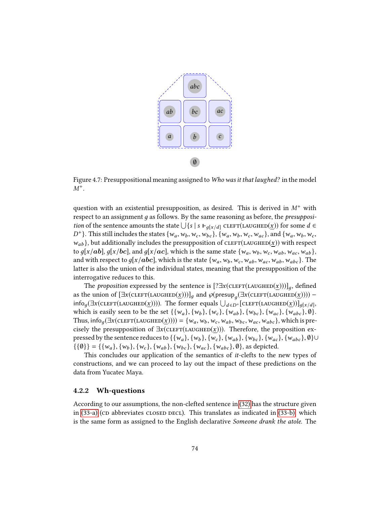

Figure 4.7: Presuppositional meaning assigned to Who was it that laughed? in the model  $M^+$ .

question with an existential presupposition, as desired. This is derived in  $M^+$  with respect to an assignment  $g$  as follows. By the same reasoning as before, the *presupposi*tion of the sentence amounts the state  $\bigcup \{s \mid s \Vdash_{g[x/d]} \text{CLEFT(LAUGHED}(\underline{x}))\}$  for some  $d \in$ <br>D<sup>+1</sup>). This still includes the states  $\{x_1, x_2, \ldots, x_{k-1}\}$  for some discussion of  $\{x_1, x_2, \ldots, x_{k-1}\}$  $D^+$ }. This still includes the states { $w_a, w_b, w_c, w_{bc}$ }, { $w_a, w_b, w_c, w_{ac}$ }, and { $w_a, w_b, w_c$ ,<br> $w_a, w_b, w_{bc}$ }, but additionally includes the presupposition of  $C(\text{EFT}(MClUTD(x)))$  with respect  $w_{ab}$ }, but additionally includes the presupposition of CLEFT(LAUGHED(x)) with respect to  $g[x/ab]$ ,  $g[x/bc]$ , and  $g[x/ac]$ , which is the same state  $\{w_a, w_b, w_c, w_{ab}, w_{ac}, w_{ab}\}$ , and with respect to  $g[x/abc]$ , which is the state  $\{w_a, w_b, w_c, w_{ab}, w_{ac}, w_{ab}, w_{abc}\}$ . The latter is also the union of the individual states, meaning that the presupposition of the interrogative reduces to this.

The *proposition* expressed by the sentence is  $[? \exists x (\text{cLEFT}(\text{LAUGHED}(\underline{x})))]_q$ , defined as the union of  $[\exists x (\text{cLEFT}(\text{LAUGHED}(x)))]_g$  and  $\wp(\text{presup}_g(\exists x (\text{cLEFT}(\text{LAUGHED}(x)))) - \text{info}(\exists x (\text{cLEFT}(\text{LAUGHED}(x))))$  $\inf_{\mathcal{O}_g} \left( \exists x (\text{CLEFT}(\text{LAUGHED}(\underline{x}))) \right)$ . The former equals  $\bigcup_{d \in D^+} \left[ \text{CLEFT}(\text{LAUGHED}(\underline{x})) \right]_{g[x/d]},$ which is easily seen to be the set  $\{\{w_a\}, \{w_b\}, \{w_c\}, \{w_{ab}\}, \{w_{ac}\}, \{w_{abc}\}, \emptyset$ . Thus, info<sub>g</sub> $(\exists x(\text{cLEFT}(\text{LAUGHED}(\underline{x})))) = \{w_a, w_b, w_c, w_{ab}, w_{bc}, w_{ac}, w_{abc}\}$ , which is precisely the presupposition of  $\exists x$ (CLEFT(LAUGHED(x))). Therefore, the proposition expressed by the sentence reduces to  $\{\{w_a\}, \{w_b\}, \{w_c\}, \{w_{ab}\}, \{w_{bc}\}, \{w_{ac}\}, \{w_{abc}\}, \emptyset\}$ ∪  $\{\{\emptyset\}\} = \{\{w_a\}, \{w_b\}, \{w_c\}, \{w_{ab}\}, \{w_{bc}\}, \{w_{ac}\}, \{w_{abc}\}, \emptyset\}$ , as depicted.

This concludes our application of the semantics of it-clefts to the new types of constructions, and we can proceed to lay out the impact of these predictions on the data from Yucatec Maya.

#### 4.2.2 Wh-questions

According to our assumptions, the non-clefted sentence in [\(32\)](#page-78-0) has the structure given in  $(33-a)$  (cp abbreviates closed decl). This translates as indicated in  $(33-b)$ , which is the same form as assigned to the English declarative Someone drank the atole. The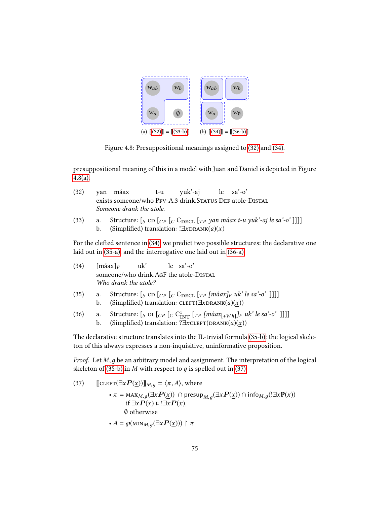<span id="page-78-10"></span><span id="page-78-5"></span>

Figure 4.8: Presuppositional meanings assigned to [\(32\)](#page-78-0) and [\(34\).](#page-78-3)

presuppositional meaning of this in a model with Juan and Daniel is depicted in Figure [4.8\(a\).](#page-78-5)

<span id="page-78-0"></span>

|                | (32) yan máax t-u yuk'-aj le sa'-o'                      |  |  |  |  |  |
|----------------|----------------------------------------------------------|--|--|--|--|--|
|                | exists someone/who PFV-A.3 drink.STATUS DEF atole-DISTAL |  |  |  |  |  |
|                | Someone drank the atole.                                 |  |  |  |  |  |
| $\lambda = -1$ |                                                          |  |  |  |  |  |

<span id="page-78-2"></span><span id="page-78-1"></span>(33) a. Structure:  $[s \text{ CD } [C \text{ P } [C \text{ CDECL } [T \text{ P } \text{ Y} \text{ an } \text{m\'aax } t-u \text{ yuk'-aj } \text{le } sa'-o']]]]$ <br>b. (Simplified) translation:  $\exists x \text{ DRANK}(a)(x)$ (Simplified) translation: ! $\exists x$ DRANK(a)(x)

For the clefted sentence in [\(34\),](#page-78-3) we predict two possible structures: the declarative one laid out in [\(35-a\),](#page-78-6) and the interrogative one laid out in [\(36-a\).](#page-78-7)

<span id="page-78-8"></span><span id="page-78-6"></span><span id="page-78-3"></span>

| (34) |          | $[\text{m\'aax}]_F$  | uk' | $\left  \begin{array}{c} e \\ h \end{array} \right.$ sa'-o'                                                                                                                                                                                                                                                                                                                                                                            |
|------|----------|----------------------|-----|----------------------------------------------------------------------------------------------------------------------------------------------------------------------------------------------------------------------------------------------------------------------------------------------------------------------------------------------------------------------------------------------------------------------------------------|
|      |          | Who drank the atole? |     | someone/who drink.AGF the atole-DISTAL                                                                                                                                                                                                                                                                                                                                                                                                 |
| (35) | a.<br>b. |                      |     | Structure: $\left[$ <sub>S</sub> CD $\left[$ <sub>C</sub> $\right]$ <sub>C</sub> C <sub>DECL</sub> $\left[$ <sub>TP</sub> $\left[$ máax $\right]$ <sub>F</sub> uk' le sa'-o' ]]]]<br>(Simplified) translation: CLEFT( $\exists x$ DRANK $(a)(x)$ )                                                                                                                                                                                     |
| (36) | a.<br>b. |                      |     | Structure: $\left[$ S OI $\left[$ $\right]$ $\left[$ $C^1_{\text{INT}}$ $\left[$ $\left[$ $T^P$ $\left[$ $\left[ \frac{m\hat{a}ax}{m} \mathbf{a}x_{n} \mathbf{b}x_{n} \right] \right]$ $\left[$ $\left[ \frac{m\hat{a}ax}{m} \mathbf{b}x_{n} \right] \right]$ $\left[ \frac{m\hat{a}ax}{m} \mathbf{b}x_{n} \right]$ $\left[ \frac{m\hat{a}ax}{m} \mathbf{b}x_{n}$<br>(Simplified) translation: $? \exists x \text{cLEFT}(DRANK(a)(x))$ |

<span id="page-78-7"></span><span id="page-78-4"></span>The declarative structure translates into the IL-trivial formula [\(35-b\):](#page-78-8) the logical skeleton of this always expresses a non-inquisitive, uninformative proposition.

*Proof.* Let  $M$ ,  $g$  be an arbitrary model and assignment. The interpretation of the logical skeleton of [\(35-b\)](#page-78-8) in M with respect to  $q$  is spelled out in [\(37\).](#page-78-9)

<span id="page-78-9"></span>(37) 
$$
\begin{aligned}\n\llbracket \text{CLEFT}(\exists x \mathbf{P}(\underline{x})) \rrbracket_{M,g} &= \langle \pi, A \rangle, \text{ where} \\
&\quad \cdot \pi = \max_{M,g} (\exists x \mathbf{P}(\underline{x})) \cap \text{presup}_{M,g}(\exists x \mathbf{P}(\underline{x})) \cap \text{info}_{M,g}(\exists x \mathbf{P}(x)) \\
&\quad \text{if } \exists x \mathbf{P}(\underline{x}) \models \exists x \mathbf{P}(\underline{x}), \\
&\quad \emptyset \text{ otherwise} \\
&\quad \cdot A = \wp(\text{MIN}_{M,g}(\exists x \mathbf{P}(\underline{x}))) \upharpoonright \pi\n\end{aligned}
$$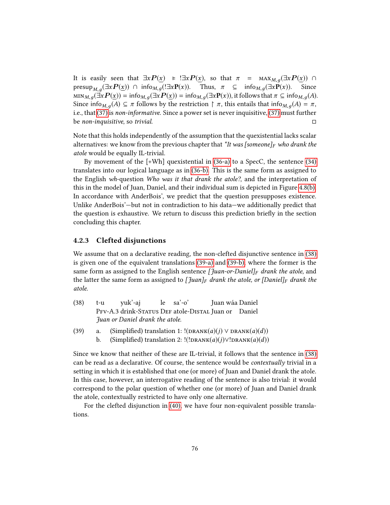It is easily seen that  $\exists x P(\underline{x}) \models \exists x P(\underline{x})$ , so that  $\pi = \max_{M,g} (\exists x P(\underline{x})) \cap \text{presup}_{M,g} (\exists x P(x)) \cap \text{info}_{M,g} (\exists x P(\underline{x}))$ . Since presup $_{M,g}(\exists x P(\underline{x})) \cap \text{info}_{M,g}(\exists x P(x))$ . Thus,  $\pi \subseteq \text{info}_{M,g}(\exists x P(x))$ . Since  $\min_{M,g} (\exists x P(\underline{x})) = \inf_{M,g} (\exists x P(\underline{x})) = \inf_{M,g} (\exists x P(x))$ , it follows that  $\pi \subseteq \inf_{M,g} (A)$ . Since info<sub>M,  $q(A) \subseteq \pi$ </sub> follows by the restriction  $\upharpoonright \pi$ , this entails that info<sub>M,  $q(A) = \pi$ ,</sub> i.e., that [\(37\)](#page-78-9) is non-informative. Since a power set is never inquisitive, [\(37\)](#page-78-9) must further be non-inquisitive, so trivial.

Note that this holds independently of the assumption that the quexistential lacks scalar alternatives: we know from the previous chapter that  $*It$  was [someone]<sub>F</sub> who drank the atole would be equally IL-trivial.

By movement of the [+Wh] quexistential in [\(36-a\)](#page-78-7) to a SpecC, the sentence [\(34\)](#page-78-3) translates into our logical language as in [\(36-b\).](#page-78-4) This is the same form as assigned to the English wh-question Who was it that drank the atole?, and the interpretation of this in the model of Juan, Daniel, and their individual sum is depicted in Figure [4.8\(b\).](#page-78-10) In accordance with AnderBois', we predict that the question presupposes existence. Unlike AnderBois'—but not in contradiction to his data—we additionally predict that the question is exhaustive. We return to discuss this prediction briefly in the section concluding this chapter.

#### 4.2.3 Clefted disjunctions

We assume that on a declarative reading, the non-clefted disjunctive sentence in [\(38\)](#page-79-0) is given one of the equivalent translations [\(39-a\)](#page-79-1) and [\(39-b\),](#page-79-2) where the former is the same form as assigned to the English sentence [*Juan-or-Daniel]<sub>F</sub>* drank the atole, and the latter the same form as assigned to [Juan]<sub>F</sub> drank the atole, or [Daniel]<sub>F</sub> drank the atole.

- <span id="page-79-0"></span>(38) t-u PFV-A.3 drink-Status DEF atole-DISTAL Juan or Daniel yuk'-aj le sa'-o' Juan wáa Daniel Juan or Daniel drank the atole.
- <span id="page-79-2"></span><span id="page-79-1"></span>(39) a. (Simplified) translation 1:  $!(DRANK(a)(j) \vee DRANK(a)(d))$ b. (Simplified) translation 2: !(!DRANK(a)(j)∨!DRANK(a)(d))

Since we know that neither of these are IL-trivial, it follows that the sentence in [\(38\)](#page-79-0) can be read as a declarative. Of course, the sentence would be contextually trivial in a setting in which it is established that one (or more) of Juan and Daniel drank the atole. In this case, however, an interrogative reading of the sentence is also trivial: it would correspond to the polar question of whether one (or more) of Juan and Daniel drank the atole, contextually restricted to have only one alternative.

<span id="page-79-3"></span>For the clefted disjunction in [\(40\),](#page-79-3) we have four non-equivalent possible translations.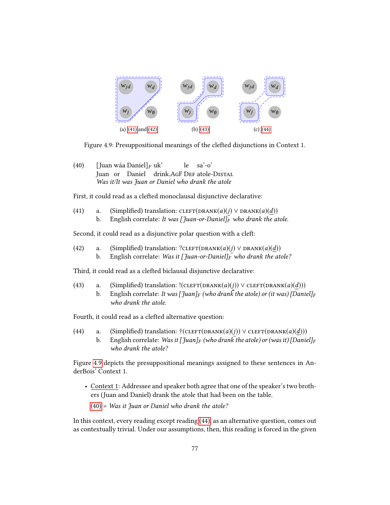

<span id="page-80-4"></span>Figure 4.9: Presuppositional meanings of the clefted disjunctions in Context 1.

(40) [Juan wáa Daniel]<sub>F</sub> uk' Juan or Daniel drink.AgF DeF atole-Distal le sa'-o' Was it/It was Juan or Daniel who drank the atole

<span id="page-80-0"></span>First, it could read as a clefted monoclausal disjunctive declarative:

(41) a. (Simplified) translation: CLEFT(DRANK(a)(j)  $\vee$  DRANK(a)(d)) b. English correlate: It was  $\left[\tilde{\theta} u_n - \sigma u_n\right]_F^T$  who drank the atole.

<span id="page-80-1"></span>Second, it could read as a disjunctive polar question with a cleft:

- (42) a. (Simplified) translation: ?CLEFT(DRANK(a)(j)  $\vee$  DRANK(a)(d))
	- b. English correlate: Was it  $\left[\int u \cdot dV\right]_F$  who drank the atole?

<span id="page-80-2"></span>Third, it could read as a clefted biclausal disjunctive declarative:

- (43) a. (Simplified) translation:  $!(\text{CIEFT}(\text{DRANK}(a)(j))) \vee \text{CIEFT}(\text{DRANK}(a)(d)))$ 
	- b. English correlate: It was  $\int \mathcal{J}u \, \mathrm{d}u \, \mathrm{d}x$  for the atole) or (it was)  $\int \mathcal{D}u \, \mathrm{d}u \, \mathrm{d}x$ who drank the atole.

<span id="page-80-3"></span>Fourth, it could read as a clefted alternative question:

- (44) a. (Simplified) translation:  $\mathcal{F}(\text{CLEFT}(\text{DRANK}(a)(i))) \vee \text{CLEFT}(\text{DRANK}(a)(d)))$ 
	- b. English correlate: Was it  $\int \frac{\mu}{F}$  (who drank the atole) or (was it) [Daniel]<sub>F</sub> who drank the atole?

Figure [4.9](#page-80-4) depicts the presuppositional meanings assigned to these sentences in AnderBois' Context 1.

- Context 1: Addressee and speaker both agree that one of the speaker's two brothers (Juan and Daniel) drank the atole that had been on the table.
	- $(40)$  = Was it Juan or Daniel who drank the atole?

In this context, every reading except reading [\(44\),](#page-80-3) as an alternative question, comes out as contextually trivial. Under our assumptions, then, this reading is forced in the given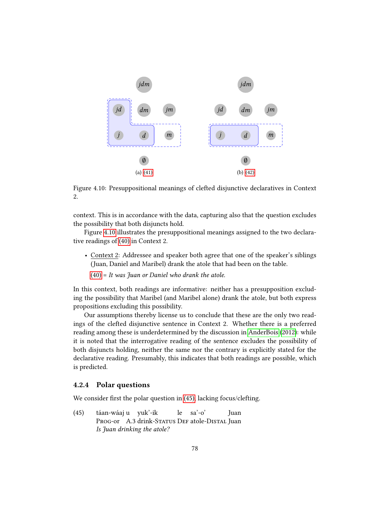

<span id="page-81-0"></span>Figure 4.10: Presuppositional meanings of clefted disjunctive declaratives in Context 2.

context. This is in accordance with the data, capturing also that the question excludes the possibility that both disjuncts hold.

Figure [4.10](#page-81-0) illustrates the presuppositional meanings assigned to the two declarative readings of [\(40\)](#page-79-3) in Context 2.

- Context 2: Addressee and speaker both agree that one of the speaker's siblings (Juan, Daniel and Maribel) drank the atole that had been on the table.
	- $(40)$  = It was fuan or Daniel who drank the atole.

In this context, both readings are informative: neither has a presupposition excluding the possibility that Maribel (and Maribel alone) drank the atole, but both express propositions excluding this possibility.

Our assumptions thereby license us to conclude that these are the only two readings of the clefted disjunctive sentence in Context 2. Whether there is a preferred reading among these is underdetermined by the discussion in [AnderBois](#page-103-2) [\(2012\)](#page-103-2): while it is noted that the interrogative reading of the sentence excludes the possibility of both disjuncts holding, neither the same nor the contrary is explicitly stated for the declarative reading. Presumably, this indicates that both readings are possible, which is predicted.

## 4.2.4 Polar questions

We consider first the polar question in  $(45)$ , lacking focus/clefting.

<span id="page-81-1"></span>(45) táan-wáaj u yuk'-ik Prog-or A.3 drink-Status Def atole-Distal Juan le sa'-o' Juan Is Juan drinking the atole?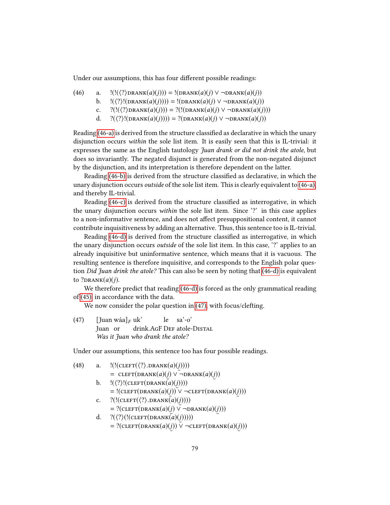Under our assumptions, this has four different possible readings:

<span id="page-82-2"></span><span id="page-82-1"></span><span id="page-82-0"></span>(46) a. 
$$
!((\langle ?\rangle \text{DRANK}(a)(j))) = !(\text{DRANK}(a)(j) \vee \neg \text{DRANK}(a)(j))
$$

- b.  $\langle\langle?\rangle!(\text{DRANK}(a)(j)))\rangle = \langle(\text{DRANK}(a)(j) \vee \neg \text{DRANK}(a)(j))\rangle$ 
	- c.  $?(((?)DRAW(a)(j))) = ?((DRAW(a)(j) \vee \neg DRANK(a)(j)))$
	- d.  $?(\langle ? \rangle!(\text{DRANK}(a)(j)))) = ?(\text{DRANK}(a)(j) \vee \neg \text{DRANK}(a)(j))$

<span id="page-82-3"></span>Reading [\(46-a\)](#page-82-0) is derived from the structure classified as declarative in which the unary disjunction occurs within the sole list item. It is easily seen that this is IL-trivial: it expresses the same as the English tautology *Juan drank or did not drink the atole*, but does so invariantly. The negated disjunct is generated from the non-negated disjunct by the disjunction, and its interpretation is therefore dependent on the latter.

Reading [\(46-b\)](#page-82-1) is derived from the structure classified as declarative, in which the unary disjunction occurs outside of the sole list item. This is clearly equivalent to [\(46-a\),](#page-82-0) and thereby IL-trivial.

Reading  $(46-c)$  is derived from the structure classified as interrogative, in which the unary disjunction occurs within the sole list item. Since '?' in this case applies to a non-informative sentence, and does not affect presuppositional content, it cannot contribute inquisitiveness by adding an alternative. Thus, this sentence too is IL-trivial.

Reading [\(46-d\)](#page-82-3) is derived from the structure classified as interrogative, in which the unary disjunction occurs outside of the sole list item. In this case, '?' applies to an already inquisitive but uninformative sentence, which means that it is vacuous. The resulting sentence is therefore inquisitive, and corresponds to the English polar ques-tion Did Juan drink the atole? This can also be seen by noting that [\(46-d\)](#page-82-3) is equivalent to  $?$ DRANK $(a)(j)$ .

We therefore predict that reading [\(46-d\)](#page-82-3) is forced as the only grammatical reading of [\(45\),](#page-81-1) in accordance with the data.

We now consider the polar question in [\(47\),](#page-82-4) with focus/clefting.

<span id="page-82-4"></span>(47)  $\left[\text{Juan wáa}\right]_F \text{uk'}$ Juan or drink.AGF DEF atole-DISTAL le sa'-o' Was it Juan who drank the atole?

Under our assumptions, this sentence too has four possible readings.

<span id="page-82-8"></span><span id="page-82-7"></span><span id="page-82-6"></span><span id="page-82-5"></span>(48) a. 
$$
!(!(\text{CLEFT}(\langle ?\rangle \text{.DRANK}(a)(j))))
$$
  
\t= CLEFT(DRANK(a)(j)  $\vee \neg \text{DRANK}(a)(j))$   
\nb. 
$$
!((?)!(\text{CLEFT}(DRANK(a)(j))))
$$
  
\t= !(CLEFT(DRANK(a)(j)))  $\vee \neg \text{CLEFT}(DRANK(a)(j)))$   
\nc. 
$$
?(!(\text{CLEFT}(\langle ?\rangle \text{.DRANK}(a)(j))))
$$
  
\t= ?(CLEFT(DRANK(a)(j)  $\vee \neg \text{DRANK}(a)(j)))$   
\nd. 
$$
?((?)!((\text{CLEFT}(DRANK(a)(j))))
$$
  
\t= ?(CLEFT(DRANK(a)(j))) $\vee \neg \text{CLEFT}(DRANK(a)(j)))$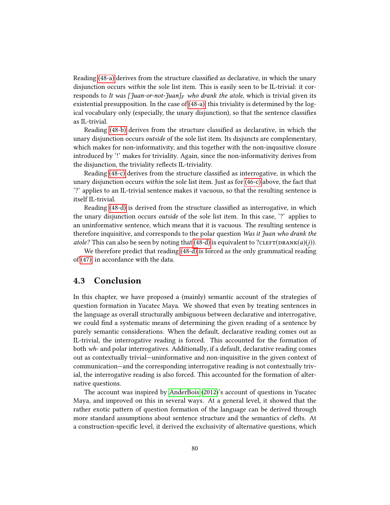Reading [\(48-a\)](#page-82-5) derives from the structure classified as declarative, in which the unary disjunction occurs within the sole list item. This is easily seen to be IL-trivial: it corresponds to It was [ $\frac{7}{1}$ uan-or-not- $\frac{7}{1}$ uan]<sub>F</sub> who drank the atole, which is trivial given its existential presupposition. In the case of [\(48-a\),](#page-82-5) this triviality is determined by the logical vocabulary only (especially, the unary disjunction), so that the sentence classifies as IL-trivial.

Reading [\(48-b\)](#page-82-6) derives from the structure classified as declarative, in which the unary disjunction occurs outside of the sole list item. Its disjuncts are complementary, which makes for non-informativity, and this together with the non-inqusitive closure introduced by '!' makes for triviality. Again, since the non-informativity derives from the disjunction, the triviality reflects IL-triviality.

Reading [\(48-c\)](#page-82-7) derives from the structure classified as interrogative, in which the unary disjunction occurs within the sole list item. Just as for [\(46-c\)](#page-82-2) above, the fact that '?' applies to an IL-trivial sentence makes it vacuous, so that the resulting sentence is itself IL-trivial.

Reading [\(48-d\)](#page-82-8) is derived from the structure classified as interrogative, in which the unary disjunction occurs outside of the sole list item. In this case, '?' applies to an uninformative sentence, which means that it is vacuous. The resulting sentence is therefore inquisitive, and corresponds to the polar question Was it Juan who drank the atole? This can also be seen by noting that [\(48-d\)](#page-82-8) is equivalent to ?CLEFT(DRANK(a)(j)).

We therefore predict that reading [\(48-d\)](#page-82-8) is forced as the only grammatical reading of [\(47\),](#page-82-4) in accordance with the data.

## 4.3 Conclusion

In this chapter, we have proposed a (mainly) semantic account of the strategies of question formation in Yucatec Maya. We showed that even by treating sentences in the language as overall structurally ambiguous between declarative and interrogative, we could find a systematic means of determining the given reading of a sentence by purely semantic considerations. When the default, declarative reading comes out as IL-trivial, the interrogative reading is forced. This accounted for the formation of both wh- and polar interrogatives. Additionally, if a default, declarative reading comes out as contextually trivial—uninformative and non-inquisitive in the given context of communication—and the corresponding interrogative reading is not contextually trivial, the interrogative reading is also forced. This accounted for the formation of alternative questions.

The account was inspired by [AnderBois](#page-103-2) [\(2012\)](#page-103-2)'s account of questions in Yucatec Maya, and improved on this in several ways. At a general level, it showed that the rather exotic pattern of question formation of the language can be derived through more standard assumptions about sentence structure and the semantics of clefts. At a construction-specific level, it derived the exclusivity of alternative questions, which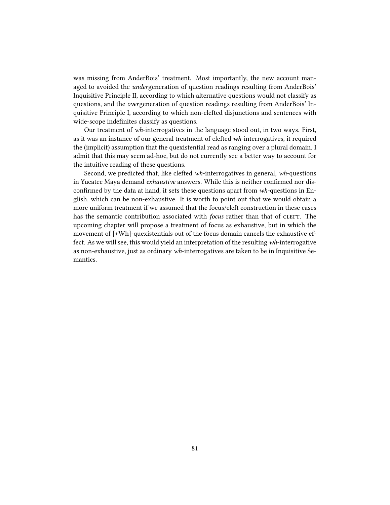was missing from AnderBois' treatment. Most importantly, the new account managed to avoided the undergeneration of question readings resulting from AnderBois' Inquisitive Principle II, according to which alternative questions would not classify as questions, and the overgeneration of question readings resulting from AnderBois' Inquisitive Principle I, according to which non-clefted disjunctions and sentences with wide-scope indefinites classify as questions.

Our treatment of wh-interrogatives in the language stood out, in two ways. First, as it was an instance of our general treatment of clefted wh-interrogatives, it required the (implicit) assumption that the quexistential read as ranging over a plural domain. I admit that this may seem ad-hoc, but do not currently see a better way to account for the intuitive reading of these questions.

Second, we predicted that, like clefted wh-interrogatives in general, wh-questions in Yucatec Maya demand exhaustive answers. While this is neither confirmed nor disconfirmed by the data at hand, it sets these questions apart from  $wh$ -questions in English, which can be non-exhaustive. It is worth to point out that we would obtain a more uniform treatment if we assumed that the focus/cleft construction in these cases has the semantic contribution associated with *focus* rather than that of CLEFT. The upcoming chapter will propose a treatment of focus as exhaustive, but in which the movement of [+Wh]-quexistentials out of the focus domain cancels the exhaustive effect. As we will see, this would yield an interpretation of the resulting wh-interrogative as non-exhaustive, just as ordinary wh-interrogatives are taken to be in Inquisitive Semantics.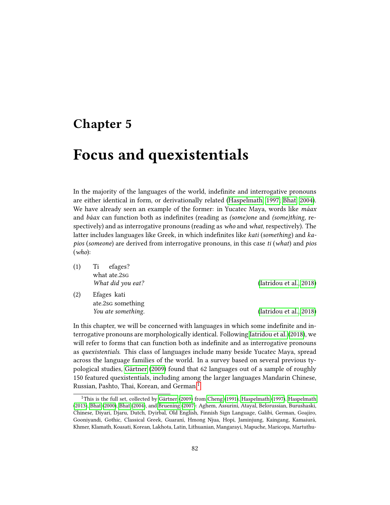## <span id="page-85-0"></span>Chapter 5

## Focus and quexistentials

In the majority of the languages of the world, indenite and interrogative pronouns are either identical in form, or derivationally related [\(Haspelmath, 1997;](#page-105-0) [Bhat, 2004\)](#page-103-3). We have already seen an example of the former: in Yucatec Maya, words like *máax* and *báax* can function both as indefinites (reading as (some)one and (some)thing, respectively) and as interrogative pronouns (reading as who and what, respectively). The latter includes languages like Greek, in which indefinites like kati (something) and kapios (someone) are derived from interrogative pronouns, in this case  $ti$  (what) and pios (who):

| (1) | Ti<br>efages?      |                         |
|-----|--------------------|-------------------------|
|     | what ate.2sG       |                         |
|     | What did you eat?  | (Iatridou et al., 2018) |
| (2) | Efages kati        |                         |
|     | ate.2sg something  |                         |
|     | You ate something. | (Iatridou et al., 2018) |

In this chapter, we will be concerned with languages in which some indefinite and interrogative pronouns are morphologically identical. Following [Iatridou et al.](#page-105-1) [\(2018\)](#page-105-1), we will refer to forms that can function both as indefinite and as interrogative pronouns as quexistentials. This class of languages include many beside Yucatec Maya, spread across the language families of the world. In a survey based on several previous typological studies, [Gärtner](#page-104-0) [\(2009\)](#page-104-0) found that 62 languages out of a sample of roughly 150 featured quexistentials, including among the larger languages Mandarin Chinese, Russian, Pashto, Thai, Korean, and German.[1](#page-85-1)

<span id="page-85-1"></span><sup>&</sup>lt;sup>1</sup>This is the full set, collected by [Gärtner](#page-104-0) [\(2009\)](#page-104-0) from [Cheng](#page-103-4) [\(1991\)](#page-103-4), [Haspelmath](#page-105-2) [\(1997\)](#page-105-0), Haspelmath [\(2013\)](#page-105-2), [Bhat](#page-103-5) [\(2000\)](#page-103-5), [Bhat](#page-103-3) [\(2004\)](#page-103-3), and [Bruening](#page-103-6) [\(2007\)](#page-103-6): Aghem, Assuriní, Atayal, Belorussian, Burushaski, Chinese, Diyari, Djaru, Dutch, Dyirbal, Old English, Finnish Sign Language, Galibi, German, Goajiro, Gooniyandi, Gothic, Classical Greek, Guaraní, Hmong Njua, Hopi, Jaminjung, Kaingang, Kamaiurá, Khmer, Klamath, Koasati, Korean, Lakhota, Latin, Lithuanian, Mangarayi, Mapuche, Maricopa, Martuthu-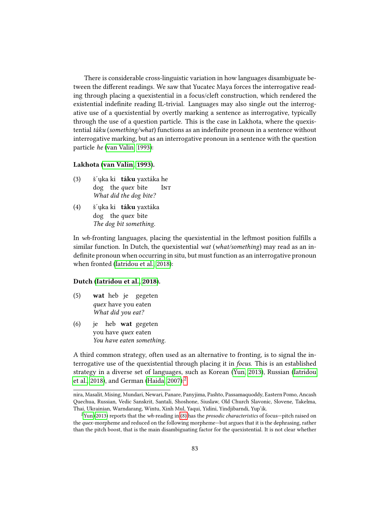There is considerable cross-linguistic variation in how languages disambiguate between the different readings. We saw that Yucatec Maya forces the interrogative reading through placing a quexistential in a focus/cleft construction, which rendered the existential indefinite reading IL-trivial. Languages may also single out the interrogative use of a quexistential by overtly marking a sentence as interrogative, typically through the use of a question particle. This is the case in Lakhota, where the quexistential  $t$ áku (something/what) functions as an indefinite pronoun in a sentence without interrogative marking, but as an interrogative pronoun in a sentence with the question particle he [\(van Valin, 1993\)](#page-107-0):

#### Lakhota [\(van Valin, 1993\)](#page-107-0).

- (3) š´ųka ki **táku** yaxtáka he dog the quex bite **INT** What did the dog bite?
- (4) š´ųka ki **táku** yaxtáka dog the quex bite The dog bit something.

In wh-fronting languages, placing the quexistential in the leftmost position fullls a similar function. In Dutch, the quexistential wat (what/something) may read as an indefinite pronoun when occurring in situ, but must function as an interrogative pronoun when fronted [\(Iatridou et al., 2018\)](#page-105-1):

#### Dutch [\(Iatridou et al., 2018\)](#page-105-1).

- (5) wat heb je gegeten quex have you eaten What did you eat?
- $(6)$ you have *quex* eaten heb wat gegeten You have eaten something.

A third common strategy, often used as an alternative to fronting, is to signal the interrogative use of the quexistential through placing it in focus. This is an established strategy in a diverse set of languages, such as Korean [\(Yun, 2013\)](#page-107-1), Russian [\(Iatridou](#page-105-1) [et al., 2018\)](#page-105-1), and German [\(Haida, 2007\)](#page-105-3): $^2$  $^2$ 

nira, Masalit, Mising, Mundari, Newari, Panare, Panyjima, Pashto, Passamaquoddy, Eastern Pomo, Ancash Quechua, Russian, Vedic Sanskrit, Santali, Shoshone, Siuslaw, Old Church Slavonic, Slovene, Takelma, Thai, Ukrainian, Warndarang, Wintu, Xinh Mul, Yaqui, Yidini, Yindjibarndi, Yup'ik.

<span id="page-86-0"></span><sup>&</sup>lt;sup>2</sup>[Yun](#page-107-1) [\(2013\)](#page-107-1) reports that the *wh*-reading in [\(8\)](#page-87-0) has the *prosodic characteristics* of focus—pitch raised on the quex-morpheme and reduced on the following morpheme—but argues that it is the dephrasing, rather than the pitch boost, that is the main disambiguating factor for the quexistential. It is not clear whether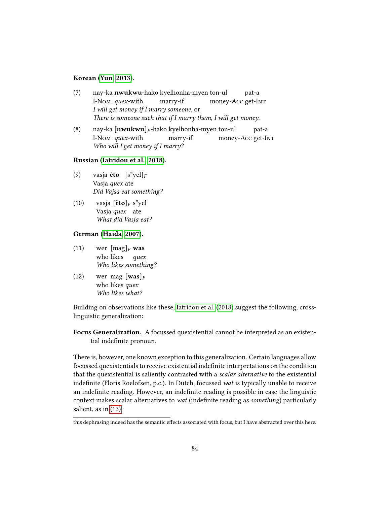## Korean [\(Yun, 2013\)](#page-107-1).

- (7) nay-ka nwukwu-hako kyelhonha-myen ton-ul I-Nom quex-with marry-if money-Acc get-In<sub>T</sub> pat-a I will get money if I marry someone, or There is someone such that if I marry them, I will get money.
- <span id="page-87-0"></span>(8) nay-ka  $[\textbf{nwukwu}]_F$ -hako kyelhonha-myen ton-ul I-Nom quex-with marry-if money-Acc get-I<mark>nt</mark> pat-a Who will I get money if I marry?

Russian [\(Iatridou et al., 2018\)](#page-105-1).

- (9) vasja **čto**  $[s^{\prime\prime}$ yel]<sub>F</sub> Vasja *quex* ate Did Vajsa eat something?
- (10) vasja  $[\text{čto}]_F$  s"yel Vasja quex ate What did Vasja eat?

## German [\(Haida, 2007\)](#page-105-3).

- $(11)$ who likes  $[\text{mag}]_F$  was quex Who likes something?
- (12) wer mag  $[\text{was}]_F$ who likes quex Who likes what?

Building on observations like these, [Iatridou et al.](#page-105-1) [\(2018\)](#page-105-1) suggest the following, crosslinguistic generalization:

Focus Generalization. A focussed quexistential cannot be interpreted as an existential indefinite pronoun.

There is, however, one known exception to this generalization. Certain languages allow focussed quexistentials to receive existential indefinite interpretations on the condition that the quexistential is saliently contrasted with a scalar alternative to the existential indefinite (Floris Roelofsen, p.c.). In Dutch, focussed wat is typically unable to receive an indefinite reading. However, an indefinite reading is possible in case the linguistic context makes scalar alternatives to *wat* (indefinite reading as *something*) particularly salient, as in [\(13\):](#page-87-1)

<span id="page-87-1"></span>this dephrasing indeed has the semantic effects associated with focus, but I have abstracted over this here.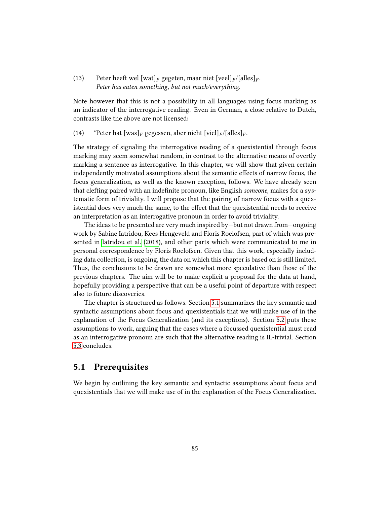## (13) Peter heeft wel [wat]<sub>F</sub> gegeten, maar niet [veel]<sub>F</sub>/[alles]<sub>F</sub>. Peter has eaten something, but not much/everything.

Note however that this is not a possibility in all languages using focus marking as an indicator of the interrogative reading. Even in German, a close relative to Dutch, contrasts like the above are not licensed:

(14) \*Peter hat  $\lceil \text{was} \rceil_F$  gegessen, aber nicht  $\lceil \text{viel} \rceil_F / \lceil \text{alles} \rceil_F$ .

The strategy of signaling the interrogative reading of a quexistential through focus marking may seem somewhat random, in contrast to the alternative means of overtly marking a sentence as interrogative. In this chapter, we will show that given certain independently motivated assumptions about the semantic effects of narrow focus, the focus generalization, as well as the known exception, follows. We have already seen that clefting paired with an indefinite pronoun, like English someone, makes for a systematic form of triviality. I will propose that the pairing of narrow focus with a quexistential does very much the same, to the effect that the quexistential needs to receive an interpretation as an interrogative pronoun in order to avoid triviality.

The ideas to be presented are very much inspired by—but not drawn from—ongoing work by Sabine Iatridou, Kees Hengeveld and Floris Roelofsen, part of which was presented in [Iatridou et al.](#page-105-1) [\(2018\)](#page-105-1), and other parts which were communicated to me in personal correspondence by Floris Roelofsen. Given that this work, especially including data collection, is ongoing, the data on which this chapter is based on is still limited. Thus, the conclusions to be drawn are somewhat more speculative than those of the previous chapters. The aim will be to make explicit a proposal for the data at hand, hopefully providing a perspective that can be a useful point of departure with respect also to future discoveries.

The chapter is structured as follows. Section [5.1](#page-88-0) summarizes the key semantic and syntactic assumptions about focus and quexistentials that we will make use of in the explanation of the Focus Generalization (and its exceptions). Section [5.2](#page-92-0) puts these assumptions to work, arguing that the cases where a focussed quexistential must read as an interrogative pronoun are such that the alternative reading is IL-trivial. Section [5.3](#page-99-0) concludes.

## <span id="page-88-0"></span>5.1 Prerequisites

We begin by outlining the key semantic and syntactic assumptions about focus and quexistentials that we will make use of in the explanation of the Focus Generalization.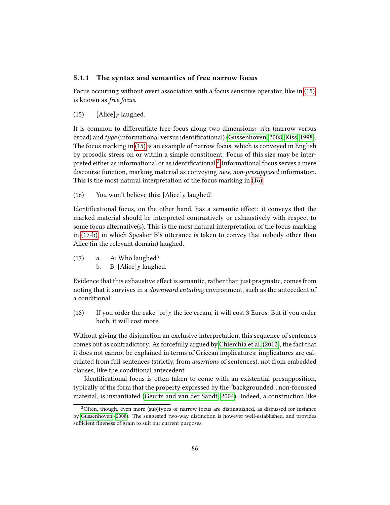## 5.1.1 The syntax and semantics of free narrow focus

Focus occurring without overt association with a focus sensitive operator, like in [\(15\),](#page-89-0) is known as free focus.

<span id="page-89-0"></span>(15)  $[\text{Alice}]_F$  laughed.

It is common to differentiate free focus along two dimensions: size (narrow versus broad) and type (informational versus identificational) [\(Gussenhoven, 2008;](#page-105-4) [Kiss, 1998\)](#page-106-2). The focus marking in [\(15\)](#page-89-0) is an example of narrow focus, which is conveyed in English by prosodic stress on or within a simple constituent. Focus of this size may be interpreted either as informational or as identificational. $^3$  $^3$  Informational focus serves a mere discourse function, marking material as conveying new, non-presupposed information. This is the most natural interpretation of the focus marking in [\(16\):](#page-89-2)

<span id="page-89-2"></span>(16) You won't believe this:  $[\text{Alice}]_F$  laughed!

Identificational focus, on the other hand, has a semantic effect: it conveys that the marked material should be interpreted contrastively or exhaustively with respect to some focus alternative(s). This is the most natural interpretation of the focus marking in [\(17-b\),](#page-89-3) in which Speaker B's utterance is taken to convey that nobody other than Alice (in the relevant domain) laughed.

- <span id="page-89-3"></span>(17) a. A: Who laughed?
	- b. B:  $[Alice]_F$  laughed.

Evidence that this exhaustive effect is semantic, rather than just pragmatic, comes from noting that it survives in a downward entailing environment, such as the antecedent of a conditional:

(18) If you order the cake  $\lceil \text{or} \rceil_F$  the ice cream, it will cost 3 Euros. But if you order both, it will cost more.

Without giving the disjunction an exclusive interpretation, this sequence of sentences comes out as contradictory. As forcefully argued by [Chierchia et al.](#page-104-1) [\(2012\)](#page-104-1), the fact that it does not cannot be explained in terms of Gricean implicatures: implicatures are calculated from full sentences (strictly, from assertions of sentences), not from embedded clauses, like the conditional antecedent.

Identificational focus is often taken to come with an existential presupposition, typically of the form that the property expressed by the "backgrounded", non-focussed material, is instantiated [\(Geurts and van der Sandt, 2004\)](#page-104-2). Indeed, a construction like

<span id="page-89-1"></span> $3$ Often, though, even more (sub)types of narrow focus are distinguished, as discussed for instance by [Gussenhoven](#page-105-4) [\(2008\)](#page-105-4). The suggested two-way distinction is however well-established, and provides sufficient fineness of grain to suit our current purposes.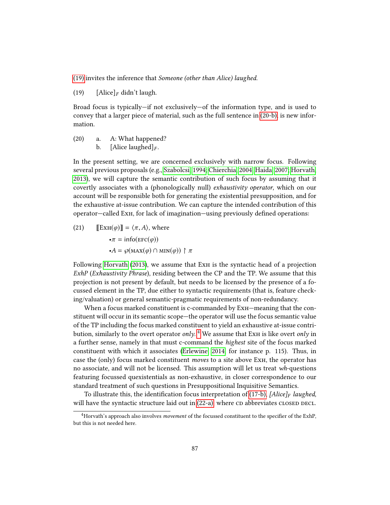<span id="page-90-0"></span>[\(19\)](#page-90-0) invites the inference that Someone (other than Alice) laughed.

(19)  $[\text{Alice}]_F$  didn't laugh.

Broad focus is typically—if not exclusively—of the information type, and is used to convey that a larger piece of material, such as the full sentence in [\(20-b\),](#page-90-1) is new information.

<span id="page-90-1"></span>(20) a. A: What happened? b. [Alice laughed] $_F$ .

In the present setting, we are concerned exclusively with narrow focus. Following several previous proposals (e.g., [Szabolcsi, 1994;](#page-107-2) [Chierchia, 2004;](#page-103-7) [Haida, 2007;](#page-105-3) [Horvath,](#page-105-5) [2013\)](#page-105-5), we will capture the semantic contribution of such focus by assuming that it covertly associates with a (phonologically null) exhaustivity operator, which on our account will be responsible both for generating the existential presupposition, and for the exhaustive at-issue contribution. We can capture the intended contribution of this operator—called ExH, for lack of imagination—using previously defined operations:

(21) 
$$
\llbracket \text{ExH}(\varphi) \rrbracket = \langle \pi, A \rangle, \text{ where}
$$

$$
\bullet \pi = \text{info}(\text{EFC}(\varphi))
$$

$$
\bullet A = \varphi(\text{MAX}(\varphi) \cap \text{MIN}(\varphi)) \uparrow \pi
$$

Following [Horvath](#page-105-5) [\(2013\)](#page-105-5), we assume that ExH is the syntactic head of a projection ExhP (Exhaustivity Phrase), residing between the CP and the TP. We assume that this projection is not present by default, but needs to be licensed by the presence of a focussed element in the TP, due either to syntactic requirements (that is, feature checking/valuation) or general semantic-pragmatic requirements of non-redundancy.

When a focus marked constituent is c-commanded by  $Ex_{H}$ —meaning that the constituent will occur in its semantic scope—the operator will use the focus semantic value of the TP including the focus marked constituent to yield an exhaustive at-issue contribution, similarly to the overt operator  $\mathit{only}$ .  $^4$  $^4$  We assume that ExH is like overt  $\mathit{only}$  in a further sense, namely in that must c-command the highest site of the focus marked constituent with which it associates [\(Erlewine, 2014,](#page-104-3) for instance p. 115). Thus, in case the (only) focus marked constituent moves to a site above Exh, the operator has no associate, and will not be licensed. This assumption will let us treat wh-questions featuring focussed quexistentials as non-exhaustive, in closer correspondence to our standard treatment of such questions in Presuppositional Inquisitive Semantics.

To illustrate this, the identification focus interpretation of [\(17-b\),](#page-89-3) [Alice]<sub>F</sub> laughed, will have the syntactic structure laid out in  $(22-a)$ , where  $CD$  abbreviates  $CD$  out  $D$ .

<span id="page-90-2"></span> $4$ Horvath's approach also involves *movement* of the focussed constituent to the specifier of the ExhP, but this is not needed here.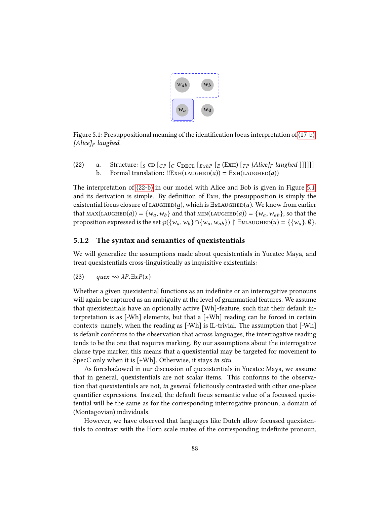

<span id="page-91-2"></span>Figure 5.1: Presuppositional meaning of the identification focus interpretation of  $(17-b)$ : [Alice] $_F$  laughed.

<span id="page-91-1"></span><span id="page-91-0"></span>(22) a. Structure:  $\begin{bmatrix} S \text{ CD} \begin{bmatrix} C \end{bmatrix} \begin{bmatrix} C \text{ DECL} \begin{bmatrix} E \text{ x} h P \end{bmatrix} \begin{bmatrix} E \end{bmatrix} \begin{bmatrix} T P \end{bmatrix} \begin{bmatrix} A \text{lice}} \end{bmatrix} \begin{bmatrix} H \end{bmatrix} \begin{bmatrix} H \end{bmatrix} \end{bmatrix} \end{bmatrix}$ <br>b. Formal translation: !!EXH(LAUGHED(*a*)) = EXH(LAUGHED( Formal translation:  $!E X H(LA U G H E D(a)) = E X H(LA U G H E D(a))$ 

The interpretation of [\(22-b\)](#page-91-1) in our model with Alice and Bob is given in Figure [5.1,](#page-91-2) and its derivation is simple. By definition of ExH, the presupposition is simply the existential focus closure of LAUGHED(a), which is  $\exists u$ LAUGHED(u). We know from earlier that  $\text{MAX}(\text{LAUGHED}(\underline{a})) = \{w_a, w_b\}$  and that  $\text{MIN}(\text{LAUGHED}(\underline{a})) = \{w_a, w_{ab}\}$ , so that the proposition expressed is the set  $\wp({w_a, w_b} \cap {w_a, w_{ab}}) \upharpoonright \exists u$ LAUGHED $(u) = {\{w_a\}, \emptyset\}}.$ 

## 5.1.2 The syntax and semantics of quexistentials

We will generalize the assumptions made about quexistentials in Yucatec Maya, and treat quexistentials cross-linguistically as inquisitive existentials:

(23) quex  $\rightsquigarrow \lambda P.\exists x P(x)$ 

Whether a given quexistential functions as an indefinite or an interrogative pronouns will again be captured as an ambiguity at the level of grammatical features. We assume that quexistentials have an optionally active [Wh]-feature, such that their default interpretation is as  $[-Wh]$  elements, but that a  $[-Wh]$  reading can be forced in certain contexts: namely, when the reading as [-Wh] is IL-trivial. The assumption that [-Wh] is default conforms to the observation that across languages, the interrogative reading tends to be the one that requires marking. By our assumptions about the interrogative clause type marker, this means that a quexistential may be targeted for movement to SpecC only when it is [+Wh]. Otherwise, it stays in situ.

As foreshadowed in our discussion of quexistentials in Yucatec Maya, we assume that in general, quexistentials are not scalar items. This conforms to the observation that quexistentials are not, in general, felicitously contrasted with other one-place quantifier expressions. Instead, the default focus semantic value of a focussed quxistential will be the same as for the corresponding interrogative pronoun; a domain of (Montagovian) individuals.

However, we have observed that languages like Dutch allow focussed quexistentials to contrast with the Horn scale mates of the corresponding indefinite pronoun,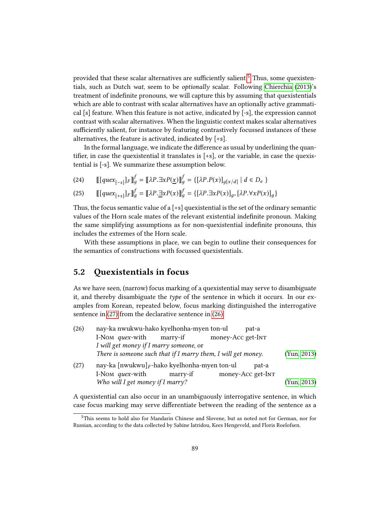provided that these scalar alternatives are sufficiently salient.<sup>[5](#page-92-1)</sup> Thus, some quexistentials, such as Dutch wat, seem to be optionally scalar. Following [Chierchia](#page-104-4) [\(2013\)](#page-104-4)'s treatment of indefinite pronouns, we will capture this by assuming that quexistentials which are able to contrast with scalar alternatives have an optionally active grammatical [s] feature. When this feature is not active, indicated by [-s], the expression cannot contrast with scalar alternatives. When the linguistic context makes scalar alternatives sufficiently salient, for instance by featuring contrastively focussed instances of these alternatives, the feature is activated, indicated by [+s].

In the formal language, we indicate the difference as usual by underlining the quantifier, in case the quexistential it translates is  $[+s]$ , or the variable, in case the quexistential is [-s]. We summarize these assumption below.

(24)  $\left[ [quex_{[-s]}]_F \right]_g^f = \left[ [\lambda P \cdot \exists x P(x)] \right]_g^f = \{ [\lambda P \cdot P(x)]_{g[x/d]} \mid d \in D_e \}$ 

(25) 
$$
\llbracket [quex_{[+s]}]_F \rrbracket_g^f = [\llbracket \lambda P \cdot \exists x P(x) \rrbracket_g^f = \{ [\lambda P \cdot \exists x P(x)]_g, [\lambda P \cdot \forall x P(x)]_g \}
$$

Thus, the focus semantic value of a  $[+s]$  quexistential is the set of the ordinary semantic values of the Horn scale mates of the relevant existential indefinite pronoun. Making the same simplifying assumptions as for non-quexistential indenite pronouns, this includes the extremes of the Horn scale.

With these assumptions in place, we can begin to outline their consequences for the semantics of constructions with focussed quexistentials.

## <span id="page-92-0"></span>5.2 Quexistentials in focus

As we have seen, (narrow) focus marking of a quexistential may serve to disambiguate it, and thereby disambiguate the type of the sentence in which it occurs. In our examples from Korean, repeated below, focus marking distinguished the interrogative sentence in [\(27\)](#page-92-2) from the declarative sentence in [\(26\):](#page-92-3)

<span id="page-92-3"></span><span id="page-92-2"></span>

| (26) | nay-ka nwukwu-hako kyelhonha-myen ton-ul<br>pat-a             |             |  |  |  |
|------|---------------------------------------------------------------|-------------|--|--|--|
|      | I-Nom <i>quex</i> -with<br>money-Acc get-InT<br>marry-if      |             |  |  |  |
|      | I will get money if I marry someone, or                       |             |  |  |  |
|      | There is someone such that if I marry them, I will get money. | (Yun, 2013) |  |  |  |
| (27) | nay-ka [nwukwu] $_F$ -hako kyelhonha-myen ton-ul<br>pat-a     |             |  |  |  |
|      | money-Acc get-InT<br>I-Nom <i>quex</i> -with<br>marry-if      |             |  |  |  |
|      | Who will I get money if I marry?                              | (Yun, 2013) |  |  |  |

A quexistential can also occur in an unambiguously interrogative sentence, in which case focus marking may serve differentiate between the reading of the sentence as a

<span id="page-92-1"></span><sup>5</sup>This seems to hold also for Mandarin Chinese and Slovene, but as noted not for German, nor for Russian, according to the data collected by Sabine Iatridou, Kees Hengeveld, and Floris Roelofsen.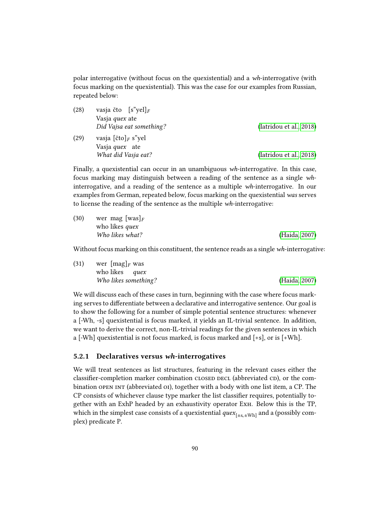polar interrogative (without focus on the quexistential) and a wh-interrogative (with focus marking on the quexistential). This was the case for our examples from Russian, repeated below:

| (28) | vasja čto $[s\text{"yel}]_F$   |                         |  |  |  |
|------|--------------------------------|-------------------------|--|--|--|
|      | Vasja <i>quex</i> ate          |                         |  |  |  |
|      | Did Vajsa eat something?       | (Iatridou et al., 2018) |  |  |  |
| (29) | vasja [čto] <sub>F</sub> s"yel |                         |  |  |  |
|      | Vasja quex ate                 |                         |  |  |  |
|      | What did Vasja eat?            | (Iatridou et al., 2018) |  |  |  |

Finally, a quexistential can occur in an unambiguous wh-interrogative. In this case, focus marking may distinguish between a reading of the sentence as a single whinterrogative, and a reading of the sentence as a multiple wh-interrogative. In our examples from German, repeated below, focus marking on the quexistential was serves to license the reading of the sentence as the multiple wh-interrogative:

| (30) | wer mag $ {\rm was} _F$ |               |
|------|-------------------------|---------------|
|      | who likes <i>quex</i>   |               |
|      | Who likes what?         | (Haida, 2007) |

Without focus marking on this constituent, the sentence reads as a single wh-interrogative:

| (31) | wer $[\text{mag}]_F$ was |               |
|------|--------------------------|---------------|
|      | who likes quex           |               |
|      | Who likes something?     | (Haida, 2007) |

We will discuss each of these cases in turn, beginning with the case where focus marking serves to differentiate between a declarative and interrogative sentence. Our goal is to show the following for a number of simple potential sentence structures: whenever a [-Wh, -s] quexistential is focus marked, it yields an IL-trivial sentence. In addition, we want to derive the correct, non-IL-trivial readings for the given sentences in which a [-Wh] quexistential is not focus marked, is focus marked and [+s], or is [+Wh].

## 5.2.1 Declaratives versus wh-interrogatives

We will treat sentences as list structures, featuring in the relevant cases either the classifier-completion marker combination closed decl (abbreviated cd), or the combination open int (abbreviated oi), together with a body with one list item, a CP. The CP consists of whichever clause type marker the list classifier requires, potentially together with an ExhP headed by an exhaustivity operator Exh. Below this is the TP, which in the simplest case consists of a quexistential  ${quex}_{[±s,±Wh]}$  and a (possibly com-<br>plex) predicate P plex) predicate P.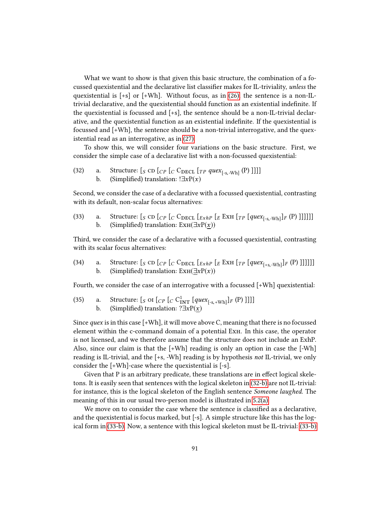What we want to show is that given this basic structure, the combination of a focussed quexistential and the declarative list classifier makes for IL-triviality, unless the quexistential is  $[+s]$  or  $[+Wh]$ . Without focus, as in [\(26\),](#page-92-3) the sentence is a non-ILtrivial declarative, and the quexistential should function as an existential indenite. If the quexistential is focussed and [+s], the sentence should be a non-IL-trivial declarative, and the quexistential function as an existential indenite. If the quexistential is focussed and [+Wh], the sentence should be a non-trivial interrogative, and the quexistential read as an interrogative, as in [\(27\).](#page-92-2)

To show this, we will consider four variations on the basic structure. First, we consider the simple case of a declarative list with a non-focussed quexistential:

<span id="page-94-0"></span>(32) a. Structure:  $\left[ S \text{ CD } [C_P \left[ C \text{ CDECL } [TP \text{ quex}_{[-s,-Wh]}(P) \right]] \right]$ b. (Simplified) translation: ! $\exists x P(x)$ 

Second, we consider the case of a declarative with a focussed quexistential, contrasting with its default, non-scalar focus alternatives:

<span id="page-94-1"></span>(33) a. Structure:  $\left[ S \text{ CD} \left[ C \right] \left[ C \text{ DECL} \left[ E \text{ xh} \right] \left[ E \text{ ExH} \left[ T \left[ \text{ query}_{[s, -Wh]} \right] F \left( P \right) \right] \right] \right] \right]$ b. (Simplified) translation:  $\text{Ext}(\exists x P(x))$ 

Third, we consider the case of a declarative with a focussed quexistential, contrasting with its scalar focus alternatives:

<span id="page-94-2"></span>(34) a. Structure:  $\left[ S \text{ CD} \left[ C P \left[ C \text{ CDECL} \left[ E x h P \left[ E \text{ EM} \left[ T P \left[ q u e x_{[+s,-\text{Wh}} \right] F \left( P \right) \right] \right] \right] \right] \right] \right]$ b. (Simplified) translation:  $\text{Ext}(\exists xP(x))$ 

Fourth, we consider the case of an interrogative with a focussed [+Wh] quexistential:

<span id="page-94-3"></span>(35) a. Structure:  $[s \text{ of } [cP] [cC_{\text{INT}}^1[quex_{[-s, +Wh]}]F(P)]]]]$ b. (Simplified) translation: ? $\exists x P(x)$ 

Since *quex* is in this case  $[+Wh]$ , it will move above C, meaning that there is no focussed element within the c-command domain of a potential Exh. In this case, the operator is not licensed, and we therefore assume that the structure does not include an ExhP. Also, since our claim is that the  $[+Wh]$  reading is only an option in case the  $[-Wh]$ reading is IL-trivial, and the [+s, -Wh] reading is by hypothesis not IL-trivial, we only consider the [+Wh]-case where the quexistential is [-s].

Given that P is an arbitrary predicate, these translations are in effect logical skeletons. It is easily seen that sentences with the logical skeleton in [\(32-b\)](#page-94-0) are not IL-trivial: for instance, this is the logical skeleton of the English sentence Someone laughed. The meaning of this in our usual two-person model is illustrated in [5.2\(a\).](#page-95-0)

We move on to consider the case where the sentence is classified as a declarative, and the quexistential is focus marked, but [-s]. A simple structure like this has the logical form in [\(33-b\).](#page-94-1) Now, a sentence with this logical skeleton must be IL-trivial: [\(33-b\)](#page-94-1)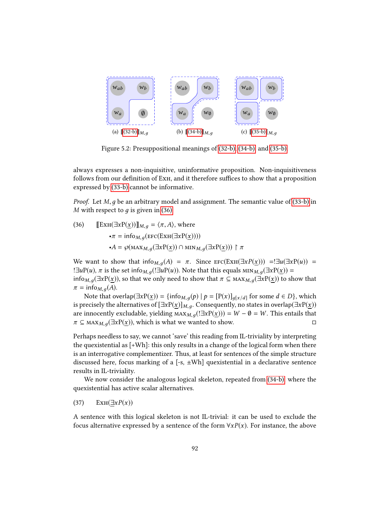<span id="page-95-0"></span>

<span id="page-95-2"></span>Figure 5.2: Presuppositional meanings of [\(32-b\),](#page-94-0) [\(34-b\),](#page-94-2) and [\(35-b\).](#page-94-3)

always expresses a non-inquisitive, uninformative proposition. Non-inquisitiveness follows from our definition of EXH, and it therefore suffices to show that a proposition expressed by [\(33-b\)](#page-94-1) cannot be informative.

*Proof.* Let  $M$ ,  $q$  be an arbitrary model and assignment. The semantic value of [\(33-b\)](#page-94-1) in M with respect to  $q$  is given in [\(36\).](#page-95-1)

<span id="page-95-1"></span>(36) 
$$
\llbracket \text{ExH}(\exists x P(\underline{x})) \rrbracket_{M,g} = \langle \pi, A \rangle, \text{ where}
$$

$$
\bullet \pi = \text{info}_{M,g}(\text{EFC}(\text{ExH}(\exists x P(\underline{x}))))
$$

$$
\bullet A = \wp(\text{MAX}_{M,g}(\exists x P(\underline{x})) \cap \text{MIN}_{M,g}(\exists x P(\underline{x}))) \upharpoonright \pi
$$

We want to show that info<sub>M,q</sub>(A) =  $\pi$ . Since  $\text{EFC}(\text{Ext}(\exists x P(x))) = \exists u(\exists x P(u)) =$ ! $\exists u P(u)$ ,  $\pi$  is the set info<sub>M,q</sub>(! $\exists u P(u)$ ). Note that this equals  $\min_{M,q}(\exists x P(x))$  = info<sub>M,  $q(\exists xP(x))$ </sub>, so that we only need to show that  $\pi \subseteq \max_{M,q}(\exists xP(x))$  to show that  $\pi = \text{info}_{M, g}(A).$ 

Note that overlap $(\exists x P(\underline{x})) = {\{\text{info}_{M,g}(p) \mid p = [P(x)]_{g[x/d]} \text{ for some } d \in D\}}$ , which is precisely the alternatives of  $[\exists x P(x)]_{M,q}$ . Consequently, no states in overlap( $\exists x P(x)$ ) are innocently excludable, yielding  $\text{MAX}_M(g(\exists xP(x))) = W - \emptyset = W$ . This entails that  $\pi \subseteq \text{MAX}_M(g(\exists xP(x)))$ , which is what we wanted to show. □  $\pi \subseteq \text{MAX}_{M,q}(\exists x P(x))$ , which is what we wanted to show.

Perhaps needless to say, we cannot 'save' this reading from IL-triviality by interpreting the quexistential as  $[+Wh]$ : this only results in a change of the logical form when there is an interrogative complementizer. Thus, at least for sentences of the simple structure discussed here, focus marking of a  $[-s, \pm Wh]$  quexistential in a declarative sentence results in IL-triviality.

We now consider the analogous logical skeleton, repeated from [\(34-b\),](#page-94-2) where the quexistential has active scalar alternatives.

$$
(37) \qquad \text{ExH}(\underline{\exists} x P(x))
$$

A sentence with this logical skeleton is not IL-trivial: it can be used to exclude the focus alternative expressed by a sentence of the form  $\forall x P(x)$ . For instance, the above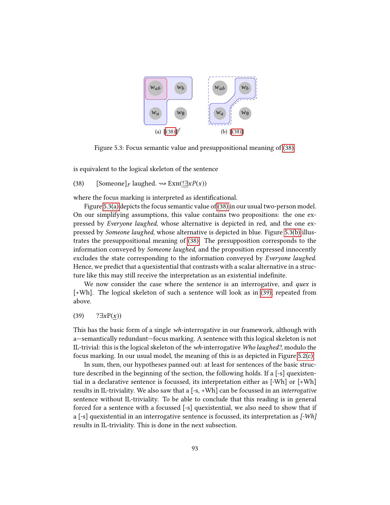<span id="page-96-2"></span><span id="page-96-1"></span>

Figure 5.3: Focus semantic value and presuppositional meaning of [\(38\).](#page-96-0)

<span id="page-96-0"></span>is equivalent to the logical skeleton of the sentence

(38) [Someone]<sub>F</sub> laughed.  $\rightsquigarrow$  ExH(! $\exists x P(x)$ )

where the focus marking is interpreted as identificational.

Figure [5.3\(a\)](#page-96-1) depicts the focus semantic value of [\(38\)](#page-96-0) in our usual two-person model. On our simplifying assumptions, this value contains two propositions: the one expressed by Everyone laughed, whose alternative is depicted in red, and the one expressed by Someone laughed, whose alternative is depicted in blue. Figure [5.3\(b\)](#page-96-2) illustrates the presuppositional meaning of [\(38\).](#page-96-0) The presupposition corresponds to the information conveyed by Someone laughed, and the proposition expressed innocently excludes the state corresponding to the information conveyed by Everyone laughed. Hence, we predict that a quexistential that contrasts with a scalar alternative in a structure like this may still receive the interpretation as an existential indefinite.

We now consider the case where the sentence is an interrogative, and *quex* is [+Wh]. The logical skeleton of such a sentence will look as in [\(39\),](#page-96-3) repeated from above.

<span id="page-96-3"></span>(39) ? $\exists x P(x)$ )

This has the basic form of a single wh-interrogative in our framework, although with a—semantically redundant—focus marking. A sentence with this logical skeleton is not IL-trivial: this is the logical skeleton of the wh-interrogative Who laughed?, modulo the focus marking. In our usual model, the meaning of this is as depicted in Figure [5.2\(c\).](#page-95-2)

In sum, then, our hypotheses panned out: at least for sentences of the basic structure described in the beginning of the section, the following holds. If a [-s] quexistential in a declarative sentence is focussed, its interpretation either as [-Wh] or [+Wh] results in IL-triviality. We also saw that a  $[-s, +Wh]$  can be focussed in an *interrogative* sentence without IL-triviality. To be able to conclude that this reading is in general forced for a sentence with a focussed [-s] quexistential, we also need to show that if a  $[-s]$  quexistential in an interrogative sentence is focussed, its interpretation as  $[-Wh]$ results in IL-triviality. This is done in the next subsection.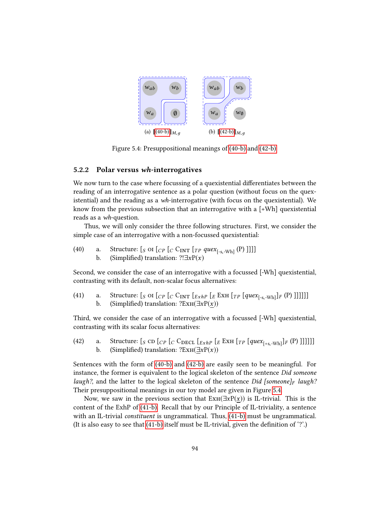

<span id="page-97-2"></span>Figure 5.4: Presuppositional meanings of [\(40-b\)](#page-97-0) and [\(42-b\).](#page-97-1)

#### 5.2.2 Polar versus wh-interrogatives

We now turn to the case where focussing of a quexistential differentiates between the reading of an interrogative sentence as a polar question (without focus on the quexistential) and the reading as a wh-interrogative (with focus on the quexistential). We know from the previous subsection that an interrogative with a [+Wh] quexistential reads as a wh-question.

Thus, we will only consider the three following structures. First, we consider the simple case of an interrogative with a non-focussed quexistential:

- <span id="page-97-0"></span>(40) a. Structure:  $\left[ \int_{S} \text{OI} \left[ C \right]_{C} \left[ C \left[ \text{C} \right]_{T} \left[ \text{TP} \left[ \text{query}_{[s, -Wh]} \left( P \right) \right] \right] \right] \right]$ 
	- b. (Simplified) translation: ?! $\exists x P(x)$

Second, we consider the case of an interrogative with a focussed [-Wh] quexistential, contrasting with its default, non-scalar focus alternatives:

<span id="page-97-3"></span>(41) a. Structure:  $\begin{bmatrix} S & O & I \end{bmatrix} \begin{bmatrix} C & C & I \end{bmatrix} \begin{bmatrix} E \end{bmatrix} \begin{bmatrix} E \end{bmatrix} \begin{bmatrix} E \end{bmatrix} \begin{bmatrix} E \end{bmatrix} \begin{bmatrix} T & P \end{bmatrix} \begin{bmatrix} q \mu \varepsilon x_{[-s, \text{wh}]} \end{bmatrix} \begin{bmatrix} F & P \end{bmatrix} \begin{bmatrix} 1 \end{bmatrix} \begin{bmatrix} 1 \end{bmatrix} \begin{bmatrix} 1 \end{bmatrix} \begin{bmatrix} 1 \end{bmatrix$ b. (Simplified) translation: ?EXH( $\exists xP(x)$ )

Third, we consider the case of an interrogative with a focussed [-Wh] quexistential, contrasting with its scalar focus alternatives:

<span id="page-97-1"></span>(42) a. Structure:  $\left[ S \text{ CD} \left[ C \right] \left[ C \text{ CDECL} \left[ E \text{ K } H \left[ T \right] \left[ q u e x_{\text{F-S-Wh}} \right] \right] F \left( P \right) \right] \right] \right]$ b. (Simplified) translation:  $?Ext(\exists xP(x))$ 

Sentences with the form of [\(40-b\)](#page-97-0) and [\(42-b\)](#page-97-1) are easily seen to be meaningful. For instance, the former is equivalent to the logical skeleton of the sentence Did someone laugh?, and the latter to the logical skeleton of the sentence Did [someone]<sub>F</sub> laugh? Their presuppositional meanings in our toy model are given in Figure [5.4.](#page-97-2)

Now, we saw in the previous section that  $\text{ExH}(\exists x P(x))$  is IL-trivial. This is the content of the ExhP of [\(41-b\).](#page-97-3) Recall that by our Principle of IL-triviality, a sentence with an IL-trivial *constituent* is ungrammatical. Thus,  $(41-b)$  must be ungrammatical. (It is also easy to see that  $(41-b)$  itself must be IL-trivial, given the definition of  $\degree$ ).)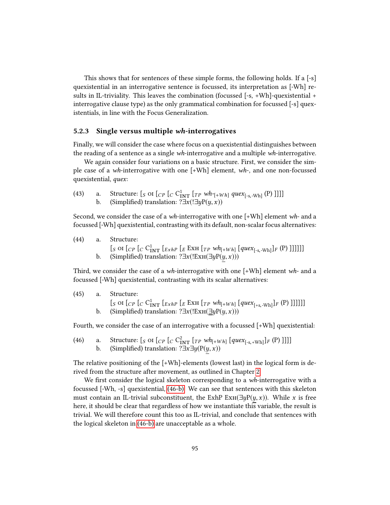This shows that for sentences of these simple forms, the following holds. If a [-s] quexistential in an interrogative sentence is focussed, its interpretation as [-Wh] results in IL-triviality. This leaves the combination (focussed [-s, +Wh]-quexistential + interrogative clause type) as the only grammatical combination for focussed [-s] quexistentials, in line with the Focus Generalization.

## 5.2.3 Single versus multiple wh-interrogatives

Finally, we will consider the case where focus on a quexistential distinguishes between the reading of a sentence as a single wh-interrogative and a multiple wh-interrogative.

We again consider four variations on a basic structure. First, we consider the simple case of a wh-interrogative with one [+Wh] element, wh-, and one non-focussed quexistential, quex:

<span id="page-98-1"></span>(43) a. Structure:  $\left[ \int_{S} \text{OI} \left[ C \right]_{\text{INT}} \left[ T P W h_{[-W h]} q u e x_{[-s, -Wh]} \left( P \right) \right] \right]$ b. (Simplified) translation: ? $\exists x$ (! $\exists y P(y, x)$ )

Second, we consider the case of a *wh*-interrogative with one  $[+Wh]$  element *wh*- and a focussed [-Wh] quexistential, contrasting with its default, non-scalar focus alternatives:

- (44) a. Structure: [s OI  $\begin{bmatrix} C_P \end{bmatrix} \begin{bmatrix} C_{1NT}^1 \\ ExhP \end{bmatrix} \begin{bmatrix} E \end{bmatrix}$   $\begin{bmatrix} F & Wh_{[+Wh]} \end{bmatrix} \begin{bmatrix} que & x_{[-s,-Wh]} \end{bmatrix} F$  (P) ]]]]]]
	- b. (Simplified) translation: ?∃x(!Ex $H(\exists y P(\underline{y}, x))$ )

Third, we consider the case of a *wh*-interrogative with one  $[+Wh]$  element *wh*- and a focussed [-Wh] quexistential, contrasting with its scalar alternatives:

(45) a. Structure: [s OI  $[CP \ [C \ C^1_{INT} \ [ExhP \ [E \ xxH \ [TP \ wh_{[+Wh}] \ [quex_{[+s,-Wh}]\ F (P) \ ]]]]]]$ ] b. (Simplified) translation: ? $\exists x(!\text{ExH}(\exists y P(y, x)))$ 

<span id="page-98-2"></span>Fourth, we consider the case of an interrogative with a focussed [+Wh] quexistential:

<span id="page-98-0"></span>(46) a. Structure:  $\begin{bmatrix} S & \text{or} \\ \text{or} \\ \text{or} \end{bmatrix}$   $\begin{bmatrix} C & C_{\text{INT}}^2 \\ T & P \end{bmatrix}$   $\begin{bmatrix} T & P & W & h_{[+Wh]} \\ (T & R) & P \end{bmatrix}$   $\begin{bmatrix} q & u_{[+Kh]} \\ (R & h_{[+Wh]} \end{bmatrix}$   $\begin{bmatrix} F & P \\ (R) & H \end{bmatrix}$ b. (Simplified) translation:  $\overrightarrow{?} \exists x \exists y (P(\underline{y}, x))$ 

The relative positioning of the [+Wh]-elements (lowest last) in the logical form is derived from the structure after movement, as outlined in Chapter [2.](#page-9-0)

We first consider the logical skeleton corresponding to a  $wh$ -interrogative with a focussed [-Wh, -s] quexistential, [\(46-b\).](#page-98-0) We can see that sentences with this skeleton must contain an IL-trivial subconstituent, the ExhP Ex $H(\exists yP(y, x))$ . While x is free here, it should be clear that regardless of how we instantiate this variable, the result is trivial. We will therefore count this too as IL-trivial, and conclude that sentences with the logical skeleton in [\(46-b\)](#page-98-0) are unacceptable as a whole.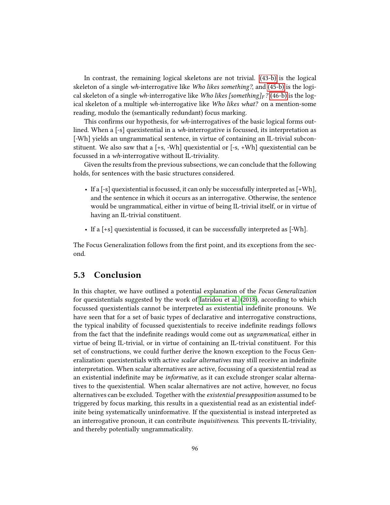In contrast, the remaining logical skeletons are not trivial. [\(43-b\)](#page-98-1) is the logical skeleton of a single wh-interrogative like Who likes something?, and [\(45-b\)](#page-98-2) is the logical skeleton of a single wh-interrogative like Who likes [something] $_F$ ? [\(46-b\)](#page-98-0) is the logical skeleton of a multiple wh-interrogative like Who likes what? on a mention-some reading, modulo the (semantically redundant) focus marking.

This confirms our hypothesis, for  $wh$ -interrogatives of the basic logical forms outlined. When a [-s] quexistential in a wh-interrogative is focussed, its interpretation as [-Wh] yields an ungrammatical sentence, in virtue of containing an IL-trivial subconstituent. We also saw that a [+s, -Wh] quexistential or [-s, +Wh] quexistential can be focussed in a wh-interrogative without IL-triviality.

Given the results from the previous subsections, we can conclude that the following holds, for sentences with the basic structures considered.

- If a [-s] quexistential is focussed, it can only be successfully interpreted as [+Wh], and the sentence in which it occurs as an interrogative. Otherwise, the sentence would be ungrammatical, either in virtue of being IL-trivial itself, or in virtue of having an IL-trivial constituent.
- If a [+s] quexistential is focussed, it can be successfully interpreted as [-Wh].

The Focus Generalization follows from the first point, and its exceptions from the second.

## <span id="page-99-0"></span>5.3 Conclusion

In this chapter, we have outlined a potential explanation of the Focus Generalization for quexistentials suggested by the work of [Iatridou et al.](#page-105-1) [\(2018\)](#page-105-1), according to which focussed quexistentials cannot be interpreted as existential indenite pronouns. We have seen that for a set of basic types of declarative and interrogative constructions, the typical inability of focussed quexistentials to receive indenite readings follows from the fact that the indefinite readings would come out as *ungrammatical*, either in virtue of being IL-trivial, or in virtue of containing an IL-trivial constituent. For this set of constructions, we could further derive the known exception to the Focus Generalization: quexistentials with active *scalar alternatives* may still receive an indefinite interpretation. When scalar alternatives are active, focussing of a quexistential read as an existential indefinite may be *informative*, as it can exclude stronger scalar alternatives to the quexistential. When scalar alternatives are not active, however, no focus alternatives can be excluded. Together with the existential presupposition assumed to be triggered by focus marking, this results in a quexistential read as an existential indefinite being systematically uninformative. If the quexistential is instead interpreted as an interrogative pronoun, it can contribute inquisitiveness. This prevents IL-triviality, and thereby potentially ungrammaticality.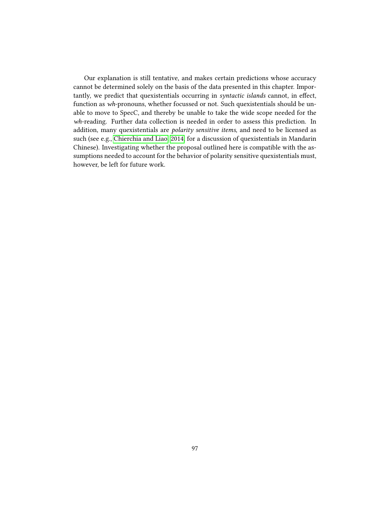Our explanation is still tentative, and makes certain predictions whose accuracy cannot be determined solely on the basis of the data presented in this chapter. Importantly, we predict that quexistentials occurring in *syntactic islands* cannot, in effect, function as wh-pronouns, whether focussed or not. Such quexistentials should be unable to move to SpecC, and thereby be unable to take the wide scope needed for the wh-reading. Further data collection is needed in order to assess this prediction. In addition, many quexistentials are polarity sensitive items, and need to be licensed as such (see e.g., [Chierchia and Liao, 2014,](#page-104-5) for a discussion of quexistentials in Mandarin Chinese). Investigating whether the proposal outlined here is compatible with the assumptions needed to account for the behavior of polarity sensitive quexistentials must, however, be left for future work.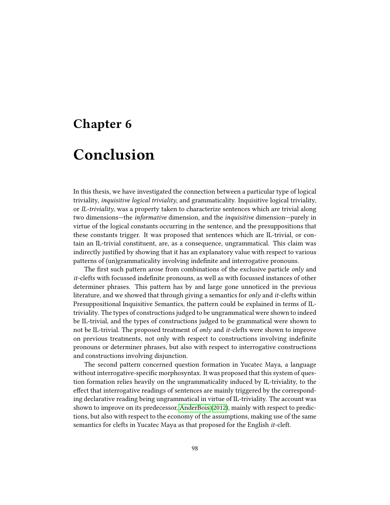## Chapter 6

# Conclusion

In this thesis, we have investigated the connection between a particular type of logical triviality, inquisitive logical triviality, and grammaticality. Inquisitive logical triviality, or IL-triviality, was a property taken to characterize sentences which are trivial along two dimensions—the informative dimension, and the inquisitive dimension—purely in virtue of the logical constants occurring in the sentence, and the presuppositions that these constants trigger. It was proposed that sentences which are IL-trivial, or contain an IL-trivial constituent, are, as a consequence, ungrammatical. This claim was indirectly justified by showing that it has an explanatory value with respect to various patterns of (un)grammaticality involving indefinite and interrogative pronouns.

The first such pattern arose from combinations of the exclusive particle  $only$  and  $it$ -clefts with focussed indefinite pronouns, as well as with focussed instances of other determiner phrases. This pattern has by and large gone unnoticed in the previous literature, and we showed that through giving a semantics for *only* and *it*-clefts within Presuppositional Inquisitive Semantics, the pattern could be explained in terms of ILtriviality. The types of constructions judged to be ungrammatical were shown to indeed be IL-trivial, and the types of constructions judged to be grammatical were shown to not be IL-trivial. The proposed treatment of only and it-clefts were shown to improve on previous treatments, not only with respect to constructions involving indenite pronouns or determiner phrases, but also with respect to interrogative constructions and constructions involving disjunction.

The second pattern concerned question formation in Yucatec Maya, a language without interrogative-specific morphosyntax. It was proposed that this system of question formation relies heavily on the ungrammaticality induced by IL-triviality, to the effect that interrogative readings of sentences are mainly triggered by the corresponding declarative reading being ungrammatical in virtue of IL-triviality. The account was shown to improve on its predecessor, [AnderBois](#page-103-2) [\(2012\)](#page-103-2), mainly with respect to predictions, but also with respect to the economy of the assumptions, making use of the same semantics for clefts in Yucatec Maya as that proposed for the English it-cleft.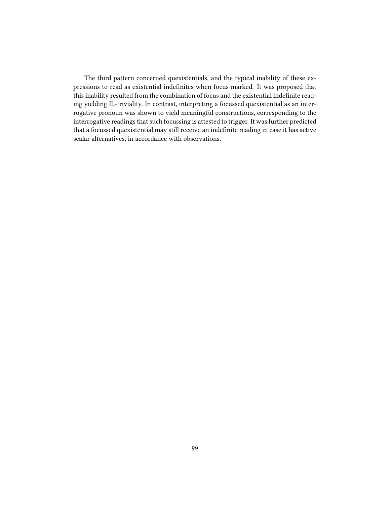The third pattern concerned quexistentials, and the typical inability of these expressions to read as existential indefinites when focus marked. It was proposed that this inability resulted from the combination of focus and the existential indefinite reading yielding IL-triviality. In contrast, interpreting a focussed quexistential as an interrogative pronoun was shown to yield meaningful constructions, corresponding to the interrogative readings that such focussing is attested to trigger. It was further predicted that a focussed quexistential may still receive an indefinite reading in case it has active scalar alternatives, in accordance with observations.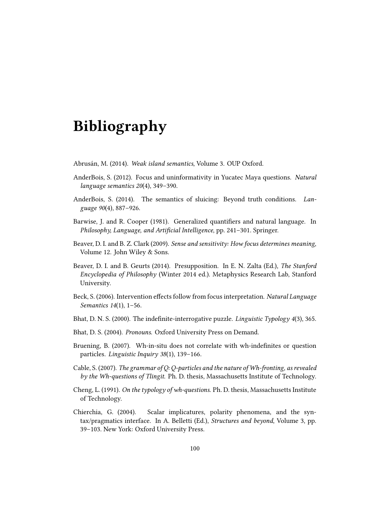# Bibliography

- Abrusán, M. (2014). Weak island semantics, Volume 3. OUP Oxford.
- <span id="page-103-2"></span>AnderBois, S. (2012). Focus and uninformativity in Yucatec Maya questions. Natural language semantics 20(4), 349–390.
- AnderBois, S. (2014). The semantics of sluicing: Beyond truth conditions. Language 90(4), 887–926.
- Barwise, J. and R. Cooper (1981). Generalized quantifiers and natural language. In Philosophy, Language, and Artificial Intelligence, pp. 241-301. Springer.
- Beaver, D. I. and B. Z. Clark (2009). Sense and sensitivity: How focus determines meaning, Volume 12. John Wiley & Sons.
- Beaver, D. I. and B. Geurts (2014). Presupposition. In E. N. Zalta (Ed.), The Stanford Encyclopedia of Philosophy (Winter 2014 ed.). Metaphysics Research Lab, Stanford University.
- <span id="page-103-0"></span>Beck, S. (2006). Intervention effects follow from focus interpretation. Natural Language Semantics 14(1), 1–56.
- <span id="page-103-5"></span>Bhat, D. N. S. (2000). The indefinite-interrogative puzzle. Linguistic Typology  $4(3)$ , 365.
- <span id="page-103-3"></span>Bhat, D. S. (2004). Pronouns. Oxford University Press on Demand.
- <span id="page-103-6"></span>Bruening, B. (2007). Wh-in-situ does not correlate with wh-indefinites or question particles. Linguistic Inquiry 38(1), 139–166.
- <span id="page-103-1"></span>Cable, S. (2007). The grammar of Q: Q-particles and the nature of Wh-fronting, as revealed by the Wh-questions of Tlingit. Ph. D. thesis, Massachusetts Institute of Technology.
- <span id="page-103-4"></span>Cheng, L. (1991). On the typology of wh-questions. Ph. D. thesis, Massachusetts Institute of Technology.
- <span id="page-103-7"></span>Chierchia, G. (2004). Scalar implicatures, polarity phenomena, and the syntax/pragmatics interface. In A. Belletti (Ed.), Structures and beyond, Volume 3, pp. 39–103. New York: Oxford University Press.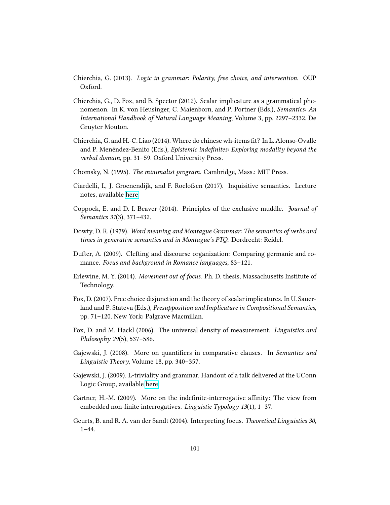- <span id="page-104-4"></span>Chierchia, G. (2013). Logic in grammar: Polarity, free choice, and intervention. OUP Oxford.
- <span id="page-104-1"></span>Chierchia, G., D. Fox, and B. Spector (2012). Scalar implicature as a grammatical phenomenon. In K. von Heusinger, C. Maienborn, and P. Portner (Eds.), Semantics: An International Handbook of Natural Language Meaning, Volume 3, pp. 2297–2332. De Gruyter Mouton.
- <span id="page-104-5"></span>Chierchia, G. and H.-C. Liao (2014). Where do chinese wh-items t? In L. Alonso-Ovalle and P. Menéndez-Benito (Eds.), Epistemic indefinites: Exploring modality beyond the verbal domain, pp. 31–59. Oxford University Press.
- Chomsky, N. (1995). The minimalist program. Cambridge, Mass.: MIT Press.
- Ciardelli, I., J. Groenendijk, and F. Roelofsen (2017). Inquisitive semantics. Lecture notes, available [here.](https://www.dropbox.com/s/urxamczijsy8v5z/inquisitive-semantics-lecture-notes-2017-course-version.pdf)
- Coppock, E. and D. I. Beaver (2014). Principles of the exclusive muddle. Journal of Semantics 31(3), 371–432.
- Dowty, D. R. (1979). Word meaning and Montague Grammar: The semantics of verbs and times in generative semantics and in Montague's PTQ. Dordrecht: Reidel.
- Dufter, A. (2009). Clefting and discourse organization: Comparing germanic and romance. Focus and background in Romance languages, 83–121.
- <span id="page-104-3"></span>Erlewine, M. Y. (2014). Movement out of focus. Ph. D. thesis, Massachusetts Institute of Technology.
- Fox, D. (2007). Free choice disjunction and the theory of scalar implicatures. In U. Sauerland and P. Stateva (Eds.), Presupposition and Implicature in Compositional Semantics, pp. 71–120. New York: Palgrave Macmillan.
- Fox, D. and M. Hackl (2006). The universal density of measurement. Linguistics and Philosophy 29(5), 537–586.
- Gajewski, J. (2008). More on quantifiers in comparative clauses. In Semantics and Linguistic Theory, Volume 18, pp. 340–357.
- Gajewski, J. (2009). L-triviality and grammar. Handout of a talk delivered at the UConn Logic Group, available [here.](https://logic.uconn.edu/wp-content/uploads/sites/508/2014/01/Gajewski022709.pdf)
- <span id="page-104-0"></span>Gärtner, H.-M. (2009). More on the indefinite-interrogative affinity: The view from embedded non-finite interrogatives. Linguistic Typology  $13(1)$ , 1-37.
- <span id="page-104-2"></span>Geurts, B. and R. A. van der Sandt (2004). Interpreting focus. Theoretical Linguistics 30,  $1 - 44.$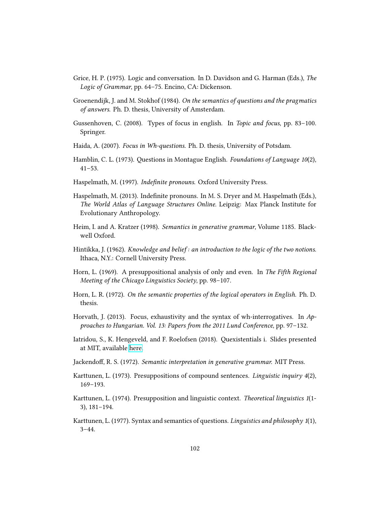- Grice, H. P. (1975). Logic and conversation. In D. Davidson and G. Harman (Eds.), The Logic of Grammar, pp. 64–75. Encino, CA: Dickenson.
- Groenendijk, J. and M. Stokhof (1984). On the semantics of questions and the pragmatics of answers. Ph. D. thesis, University of Amsterdam.
- <span id="page-105-4"></span>Gussenhoven, C. (2008). Types of focus in english. In Topic and focus, pp. 83–100. Springer.
- <span id="page-105-3"></span>Haida, A. (2007). Focus in Wh-questions. Ph. D. thesis, University of Potsdam.
- Hamblin, C. L. (1973). Questions in Montague English. Foundations of Language 10(2), 41–53.
- <span id="page-105-0"></span>Haspelmath, M. (1997). Indefinite pronouns. Oxford University Press.
- <span id="page-105-2"></span>Haspelmath, M. (2013). Indefinite pronouns. In M. S. Dryer and M. Haspelmath (Eds.), The World Atlas of Language Structures Online. Leipzig: Max Planck Institute for Evolutionary Anthropology.
- Heim, I. and A. Kratzer (1998). Semantics in generative grammar, Volume 1185. Blackwell Oxford.
- Hintikka, J. (1962). *Knowledge and belief: an introduction to the logic of the two notions.* Ithaca, N.Y.: Cornell University Press.
- Horn, L. (1969). A presuppositional analysis of only and even. In The Fifth Regional Meeting of the Chicago Linguistics Society, pp. 98–107.
- Horn, L. R. (1972). On the semantic properties of the logical operators in English. Ph. D. thesis.
- <span id="page-105-5"></span>Horvath, J. (2013). Focus, exhaustivity and the syntax of wh-interrogatives. In Approaches to Hungarian. Vol. 13: Papers from the 2011 Lund Conference, pp. 97–132.
- <span id="page-105-1"></span>Iatridou, S., K. Hengeveld, and F. Roelofsen (2018). Quexistentials i. Slides presented at MIT, available [here.](http://lingphil.scripts.mit.edu/papers/iatridou/Quexistentials_I.pdf)
- Jackendoff, R. S. (1972). Semantic interpretation in generative grammar. MIT Press.
- Karttunen, L. (1973). Presuppositions of compound sentences. Linguistic inquiry 4(2), 169–193.
- Karttunen, L. (1974). Presupposition and linguistic context. Theoretical linguistics 1(1- 3), 181–194.
- Karttunen, L. (1977). Syntax and semantics of questions. Linguistics and philosophy  $1(1)$ ,  $3 - 44.$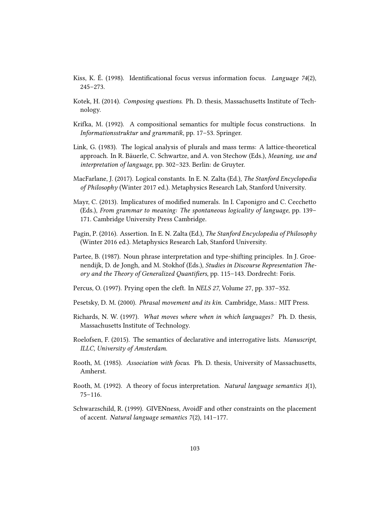- <span id="page-106-2"></span>Kiss, K. É. (1998). Identificational focus versus information focus. *Language* 74(2), 245–273.
- Kotek, H. (2014). Composing questions. Ph. D. thesis, Massachusetts Institute of Technology.
- Krifka, M. (1992). A compositional semantics for multiple focus constructions. In Informationsstruktur und grammatik, pp. 17–53. Springer.
- <span id="page-106-1"></span>Link, G. (1983). The logical analysis of plurals and mass terms: A lattice-theoretical approach. In R. Bäuerle, C. Schwartze, and A. von Stechow (Eds.), Meaning, use and interpretation of language, pp. 302–323. Berlin: de Gruyter.
- MacFarlane, J. (2017). Logical constants. In E. N. Zalta (Ed.), The Stanford Encyclopedia of Philosophy (Winter 2017 ed.). Metaphysics Research Lab, Stanford University.
- Mayr, C. (2013). Implicatures of modified numerals. In I. Caponigro and C. Cecchetto (Eds.), From grammar to meaning: The spontaneous logicality of language, pp. 139– 171. Cambridge University Press Cambridge.
- Pagin, P. (2016). Assertion. In E. N. Zalta (Ed.), The Stanford Encyclopedia of Philosophy (Winter 2016 ed.). Metaphysics Research Lab, Stanford University.
- <span id="page-106-0"></span>Partee, B. (1987). Noun phrase interpretation and type-shifting principles. In J. Groenendijk, D. de Jongh, and M. Stokhof (Eds.), Studies in Discourse Representation Theory and the Theory of Generalized Quantifiers, pp. 115-143. Dordrecht: Foris.
- Percus, O. (1997). Prying open the cleft. In NELS 27, Volume 27, pp. 337–352.
- Pesetsky, D. M. (2000). Phrasal movement and its kin. Cambridge, Mass.: MIT Press.
- Richards, N. W. (1997). What moves where when in which languages? Ph. D. thesis, Massachusetts Institute of Technology.
- Roelofsen, F. (2015). The semantics of declarative and interrogative lists. Manuscript, ILLC, University of Amsterdam.
- Rooth, M. (1985). Association with focus. Ph. D. thesis, University of Massachusetts, Amherst.
- Rooth, M. (1992). A theory of focus interpretation. Natural language semantics 1(1), 75–116.
- Schwarzschild, R. (1999). GIVENness, AvoidF and other constraints on the placement of accent. Natural language semantics 7(2), 141–177.